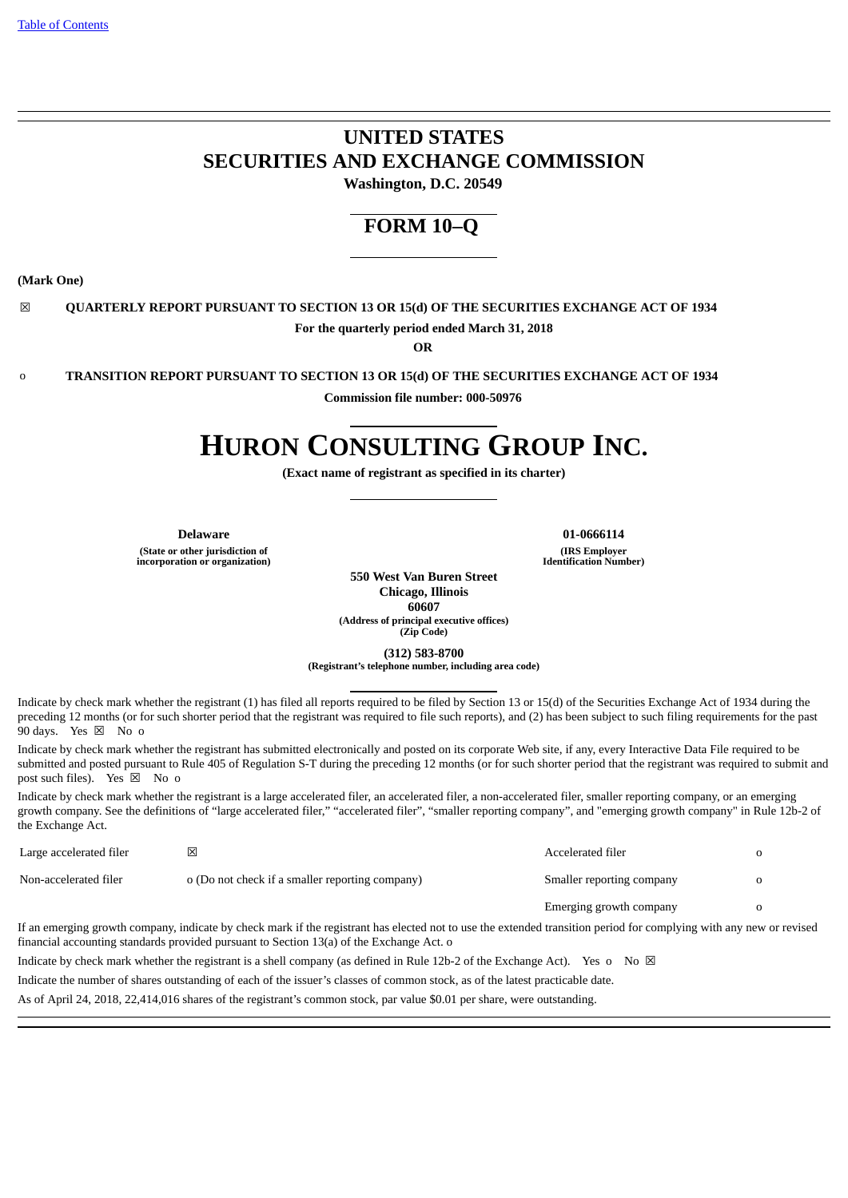# **UNITED STATES SECURITIES AND EXCHANGE COMMISSION**

**Washington, D.C. 20549**

# **FORM 10–Q**

**(Mark One)**

☒ **QUARTERLY REPORT PURSUANT TO SECTION 13 OR 15(d) OF THE SECURITIES EXCHANGE ACT OF 1934 For the quarterly period ended March 31, 2018**

**OR**

o **TRANSITION REPORT PURSUANT TO SECTION 13 OR 15(d) OF THE SECURITIES EXCHANGE ACT OF 1934**

**Commission file number: 000-50976**

# **HURON CONSULTING GROUP INC.**

**(Exact name of registrant as specified in its charter)**

**(State or other jurisdiction of incorporation or organization)**

**Delaware 01-0666114 (IRS Employer Identification Number)**

**550 West Van Buren Street Chicago, Illinois 60607 (Address of principal executive offices) (Zip Code)**

**(312) 583-8700**

**(Registrant's telephone number, including area code)**

Indicate by check mark whether the registrant (1) has filed all reports required to be filed by Section 13 or 15(d) of the Securities Exchange Act of 1934 during the preceding 12 months (or for such shorter period that the registrant was required to file such reports), and (2) has been subject to such filing requirements for the past 90 days. Yes  $\boxtimes$  No o

Indicate by check mark whether the registrant has submitted electronically and posted on its corporate Web site, if any, every Interactive Data File required to be submitted and posted pursuant to Rule 405 of Regulation S-T during the preceding 12 months (or for such shorter period that the registrant was required to submit and post such files). Yes  $\boxtimes$  No o

Indicate by check mark whether the registrant is a large accelerated filer, an accelerated filer, a non-accelerated filer, smaller reporting company, or an emerging growth company. See the definitions of "large accelerated filer," "accelerated filer", "smaller reporting company", and "emerging growth company" in Rule 12b-2 of the Exchange Act.

| Large accelerated filer | X                                                                                                                                                                                                                                                               | Accelerated filer         |  |
|-------------------------|-----------------------------------------------------------------------------------------------------------------------------------------------------------------------------------------------------------------------------------------------------------------|---------------------------|--|
| Non-accelerated filer   | o (Do not check if a smaller reporting company)                                                                                                                                                                                                                 | Smaller reporting company |  |
|                         |                                                                                                                                                                                                                                                                 | Emerging growth company   |  |
|                         | If an emerging growth company, indicate by check mark if the registrant has elected not to use the extended transition period for complying with any new or revised<br>financial accounting standards provided pursuant to Section 13(a) of the Exchange Act. o |                           |  |

Indicate by check mark whether the registrant is a shell company (as defined in Rule 12b-2 of the Exchange Act). Yes o No  $\boxtimes$ 

Indicate the number of shares outstanding of each of the issuer's classes of common stock, as of the latest practicable date.

As of April 24, 2018, 22,414,016 shares of the registrant's common stock, par value \$0.01 per share, were outstanding.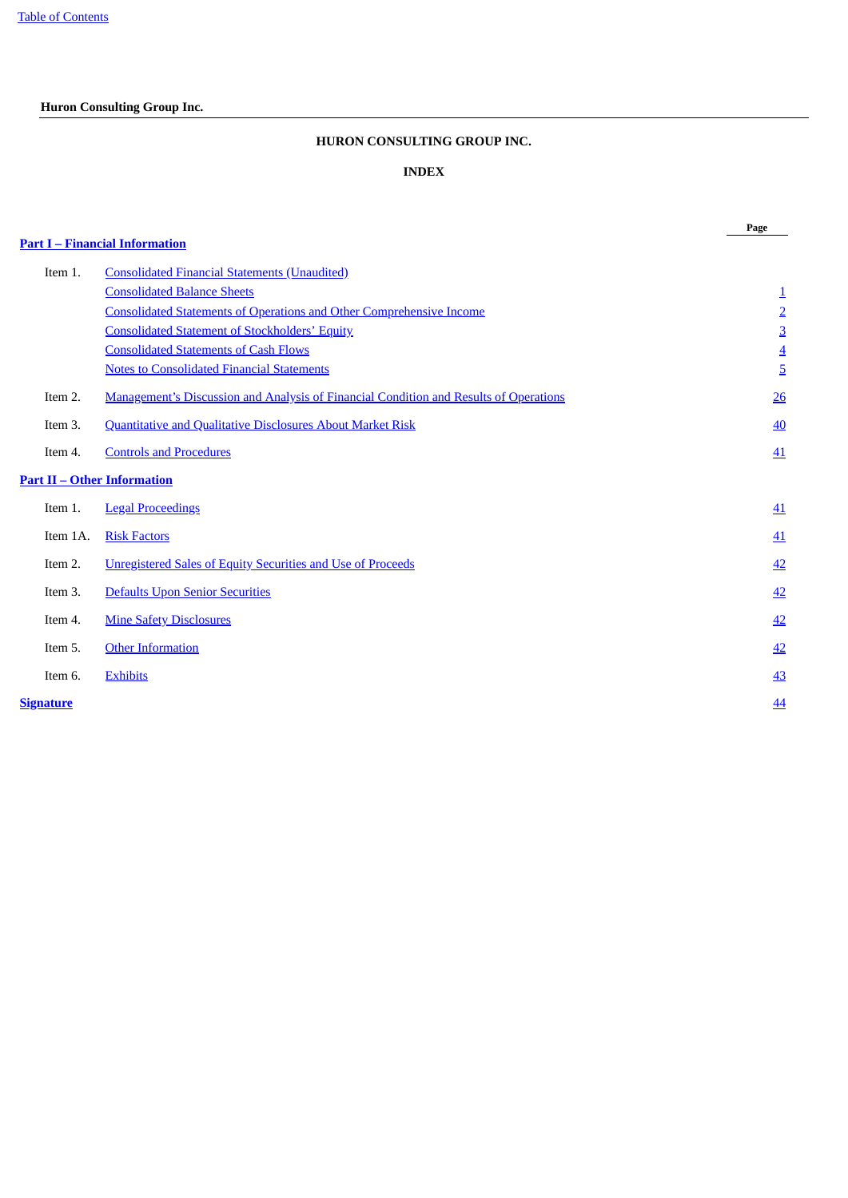## <span id="page-1-0"></span>**Huron Consulting Group Inc.**

## **HURON CONSULTING GROUP INC.**

## **INDEX**

**Page**

|                  | <b>Part I – Financial Information</b>                                                        |                |
|------------------|----------------------------------------------------------------------------------------------|----------------|
| Item 1.          | <b>Consolidated Financial Statements (Unaudited)</b>                                         |                |
|                  | <b>Consolidated Balance Sheets</b>                                                           | $\overline{1}$ |
|                  | <b>Consolidated Statements of Operations and Other Comprehensive Income</b>                  | $\overline{2}$ |
|                  | <b>Consolidated Statement of Stockholders' Equity</b>                                        | $\overline{3}$ |
|                  | <b>Consolidated Statements of Cash Flows</b>                                                 | $\overline{4}$ |
|                  | <b>Notes to Consolidated Financial Statements</b>                                            | $\overline{5}$ |
| Item 2.          | <b>Management's Discussion and Analysis of Financial Condition and Results of Operations</b> | 26             |
| Item 3.          | <b>Quantitative and Qualitative Disclosures About Market Risk</b>                            | 40             |
| Item 4.          | <b>Controls and Procedures</b>                                                               | 41             |
|                  | <u> Part II – Other Information</u>                                                          |                |
| Item 1.          | <b>Legal Proceedings</b>                                                                     | 41             |
| Item 1A.         | <b>Risk Factors</b>                                                                          | 41             |
| Item 2.          | <b>Unregistered Sales of Equity Securities and Use of Proceeds</b>                           | 42             |
| Item 3.          | <b>Defaults Upon Senior Securities</b>                                                       | 42             |
| Item 4.          | <b>Mine Safety Disclosures</b>                                                               | 42             |
| Item 5.          | <b>Other Information</b>                                                                     | 42             |
| Item 6.          | <b>Exhibits</b>                                                                              | 43             |
| <b>Signature</b> |                                                                                              | 44             |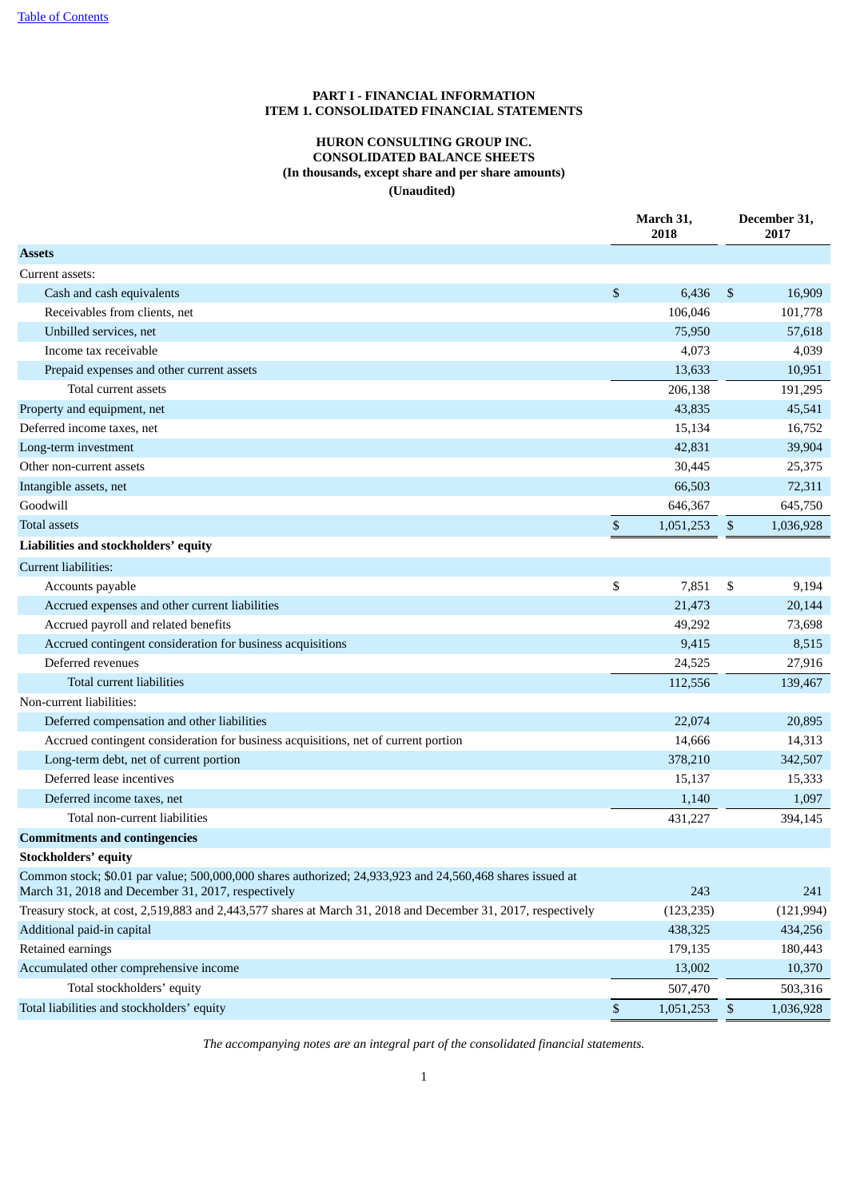## **PART I - FINANCIAL INFORMATION ITEM 1. CONSOLIDATED FINANCIAL STATEMENTS**

## **HURON CONSULTING GROUP INC. CONSOLIDATED BALANCE SHEETS (In thousands, except share and per share amounts) (Unaudited)**

<span id="page-2-2"></span><span id="page-2-1"></span><span id="page-2-0"></span>

|                                                                                                                                                                 | March 31,<br>2018 |            | December 31,<br>2017 |            |  |
|-----------------------------------------------------------------------------------------------------------------------------------------------------------------|-------------------|------------|----------------------|------------|--|
| <b>Assets</b>                                                                                                                                                   |                   |            |                      |            |  |
| Current assets:                                                                                                                                                 |                   |            |                      |            |  |
| Cash and cash equivalents                                                                                                                                       | $\$$              | 6,436      | $\mathfrak{S}$       | 16,909     |  |
| Receivables from clients, net                                                                                                                                   |                   | 106,046    |                      | 101,778    |  |
| Unbilled services, net                                                                                                                                          |                   | 75,950     |                      | 57,618     |  |
| Income tax receivable                                                                                                                                           |                   | 4,073      |                      | 4,039      |  |
| Prepaid expenses and other current assets                                                                                                                       |                   | 13,633     |                      | 10,951     |  |
| Total current assets                                                                                                                                            |                   | 206,138    |                      | 191,295    |  |
| Property and equipment, net                                                                                                                                     |                   | 43,835     |                      | 45,541     |  |
| Deferred income taxes, net                                                                                                                                      |                   | 15,134     |                      | 16,752     |  |
| Long-term investment                                                                                                                                            |                   | 42,831     |                      | 39,904     |  |
| Other non-current assets                                                                                                                                        |                   | 30,445     |                      | 25,375     |  |
| Intangible assets, net                                                                                                                                          |                   | 66,503     |                      | 72,311     |  |
| Goodwill                                                                                                                                                        |                   | 646,367    |                      | 645,750    |  |
| <b>Total assets</b>                                                                                                                                             | $\,$              | 1,051,253  | \$                   | 1,036,928  |  |
| Liabilities and stockholders' equity                                                                                                                            |                   |            |                      |            |  |
| Current liabilities:                                                                                                                                            |                   |            |                      |            |  |
| Accounts payable                                                                                                                                                | \$                | 7,851      | \$                   | 9,194      |  |
| Accrued expenses and other current liabilities                                                                                                                  |                   | 21,473     |                      | 20,144     |  |
| Accrued payroll and related benefits                                                                                                                            |                   | 49,292     |                      | 73,698     |  |
| Accrued contingent consideration for business acquisitions                                                                                                      |                   | 9,415      |                      | 8,515      |  |
| Deferred revenues                                                                                                                                               |                   | 24,525     |                      | 27,916     |  |
| Total current liabilities                                                                                                                                       |                   | 112,556    |                      | 139,467    |  |
| Non-current liabilities:                                                                                                                                        |                   |            |                      |            |  |
| Deferred compensation and other liabilities                                                                                                                     |                   | 22,074     |                      | 20,895     |  |
| Accrued contingent consideration for business acquisitions, net of current portion                                                                              |                   | 14,666     |                      | 14,313     |  |
| Long-term debt, net of current portion                                                                                                                          |                   | 378,210    |                      | 342,507    |  |
| Deferred lease incentives                                                                                                                                       |                   | 15,137     |                      | 15,333     |  |
| Deferred income taxes, net                                                                                                                                      |                   | 1,140      |                      | 1,097      |  |
| Total non-current liabilities                                                                                                                                   |                   | 431,227    |                      | 394,145    |  |
| <b>Commitments and contingencies</b>                                                                                                                            |                   |            |                      |            |  |
| <b>Stockholders' equity</b>                                                                                                                                     |                   |            |                      |            |  |
| Common stock; \$0.01 par value; 500,000,000 shares authorized; 24,933,923 and 24,560,468 shares issued at<br>March 31, 2018 and December 31, 2017, respectively |                   | 243        |                      | 241        |  |
| Treasury stock, at cost, 2,519,883 and 2,443,577 shares at March 31, 2018 and December 31, 2017, respectively                                                   |                   | (123, 235) |                      | (121, 994) |  |
| Additional paid-in capital                                                                                                                                      |                   | 438,325    |                      | 434,256    |  |
| Retained earnings                                                                                                                                               |                   | 179,135    |                      | 180,443    |  |
| Accumulated other comprehensive income                                                                                                                          |                   | 13,002     |                      | 10,370     |  |
| Total stockholders' equity                                                                                                                                      |                   | 507,470    |                      | 503,316    |  |
| Total liabilities and stockholders' equity                                                                                                                      | $$\mathbb{S}$$    | 1,051,253  | $\mathfrak{s}$       | 1,036,928  |  |

*The accompanying notes are an integral part of the consolidated financial statements.*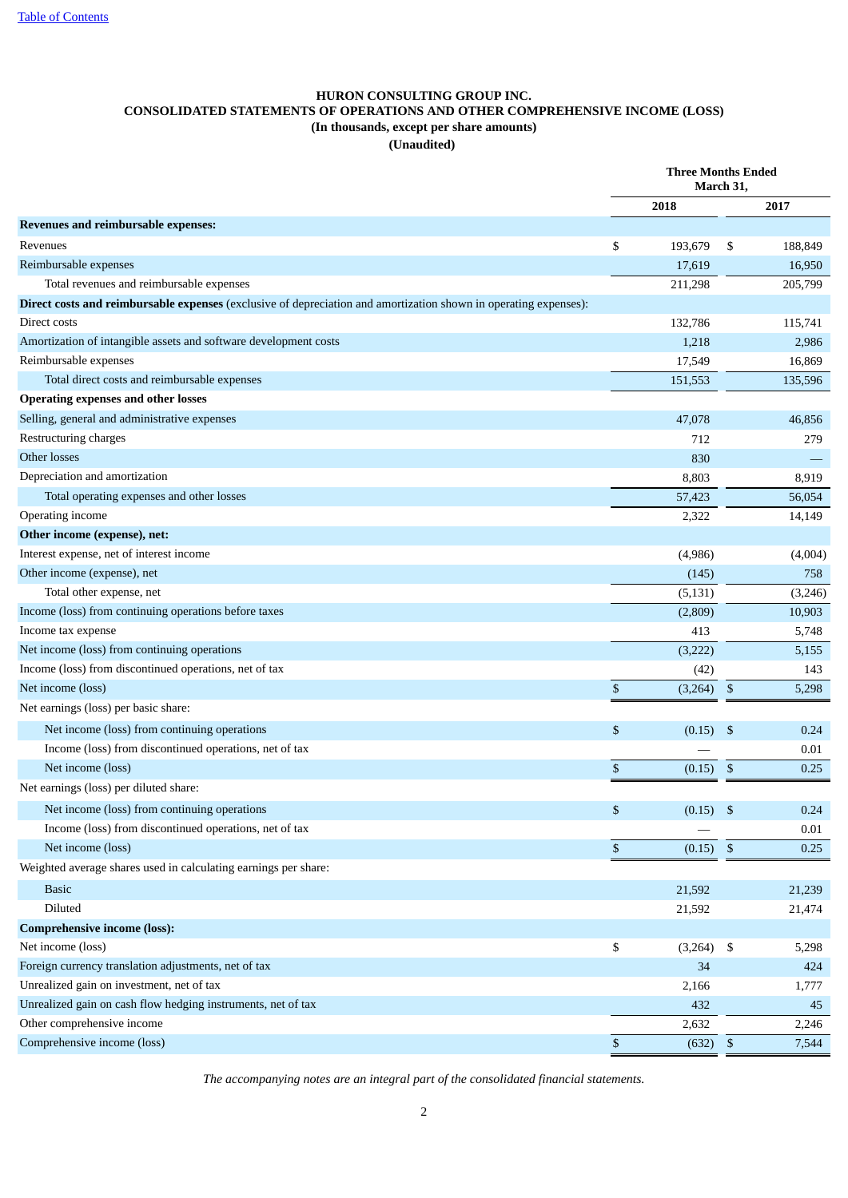## <span id="page-3-0"></span>**HURON CONSULTING GROUP INC. CONSOLIDATED STATEMENTS OF OPERATIONS AND OTHER COMPREHENSIVE INCOME (LOSS) (In thousands, except per share amounts) (Unaudited)**

|                                                                                                                  | <b>Three Months Ended</b><br>March 31, |             |                           |         |
|------------------------------------------------------------------------------------------------------------------|----------------------------------------|-------------|---------------------------|---------|
|                                                                                                                  |                                        | 2018        |                           | 2017    |
| Revenues and reimbursable expenses:                                                                              |                                        |             |                           |         |
| Revenues                                                                                                         | \$                                     | 193,679     | \$                        | 188,849 |
| Reimbursable expenses                                                                                            |                                        | 17,619      |                           | 16,950  |
| Total revenues and reimbursable expenses                                                                         |                                        | 211,298     |                           | 205,799 |
| Direct costs and reimbursable expenses (exclusive of depreciation and amortization shown in operating expenses): |                                        |             |                           |         |
| Direct costs                                                                                                     |                                        | 132,786     |                           | 115,741 |
| Amortization of intangible assets and software development costs                                                 |                                        | 1,218       |                           | 2,986   |
| Reimbursable expenses                                                                                            |                                        | 17,549      |                           | 16,869  |
| Total direct costs and reimbursable expenses                                                                     |                                        | 151,553     |                           | 135,596 |
| <b>Operating expenses and other losses</b>                                                                       |                                        |             |                           |         |
| Selling, general and administrative expenses                                                                     |                                        | 47,078      |                           | 46,856  |
| Restructuring charges                                                                                            |                                        | 712         |                           | 279     |
| Other losses                                                                                                     |                                        | 830         |                           |         |
| Depreciation and amortization                                                                                    |                                        | 8,803       |                           | 8,919   |
| Total operating expenses and other losses                                                                        |                                        | 57,423      |                           | 56,054  |
| Operating income                                                                                                 |                                        | 2,322       |                           | 14,149  |
| Other income (expense), net:                                                                                     |                                        |             |                           |         |
| Interest expense, net of interest income                                                                         |                                        | (4,986)     |                           | (4,004) |
| Other income (expense), net                                                                                      |                                        | (145)       |                           | 758     |
| Total other expense, net                                                                                         |                                        | (5, 131)    |                           | (3,246) |
| Income (loss) from continuing operations before taxes                                                            |                                        | (2,809)     |                           | 10,903  |
| Income tax expense                                                                                               |                                        | 413         |                           | 5,748   |
| Net income (loss) from continuing operations                                                                     |                                        | (3,222)     |                           | 5,155   |
| Income (loss) from discontinued operations, net of tax                                                           |                                        | (42)        |                           | 143     |
| Net income (loss)                                                                                                | \$                                     | (3,264)     | $\mathfrak{s}$            | 5,298   |
| Net earnings (loss) per basic share:                                                                             |                                        |             |                           |         |
| Net income (loss) from continuing operations                                                                     | \$                                     | (0.15)      | -\$                       | 0.24    |
| Income (loss) from discontinued operations, net of tax                                                           |                                        |             |                           | 0.01    |
| Net income (loss)                                                                                                | \$                                     | (0.15)      | \$                        | 0.25    |
| Net earnings (loss) per diluted share:                                                                           |                                        |             |                           |         |
| Net income (loss) from continuing operations                                                                     | \$                                     | $(0.15)$ \$ |                           | 0.24    |
| Income (loss) from discontinued operations, net of tax                                                           |                                        |             |                           | 0.01    |
| Net income (loss)                                                                                                | $\$$                                   | (0.15)      | $\boldsymbol{\mathsf{S}}$ | 0.25    |
| Weighted average shares used in calculating earnings per share:                                                  |                                        |             |                           |         |
| <b>Basic</b>                                                                                                     |                                        | 21,592      |                           | 21,239  |
| Diluted                                                                                                          |                                        |             |                           |         |
|                                                                                                                  |                                        | 21,592      |                           | 21,474  |
| <b>Comprehensive income (loss):</b><br>Net income (loss)                                                         | \$                                     |             | - \$                      | 5,298   |
|                                                                                                                  |                                        | (3,264)     |                           |         |
| Foreign currency translation adjustments, net of tax<br>Unrealized gain on investment, net of tax                |                                        | 34          |                           | 424     |
| Unrealized gain on cash flow hedging instruments, net of tax                                                     |                                        | 2,166       |                           | 1,777   |
| Other comprehensive income                                                                                       |                                        | 432         |                           | 45      |
| Comprehensive income (loss)                                                                                      |                                        | 2,632       |                           | 2,246   |
|                                                                                                                  | $\$$                                   | $(632)$ \$  |                           | 7,544   |

*The accompanying notes are an integral part of the consolidated financial statements.*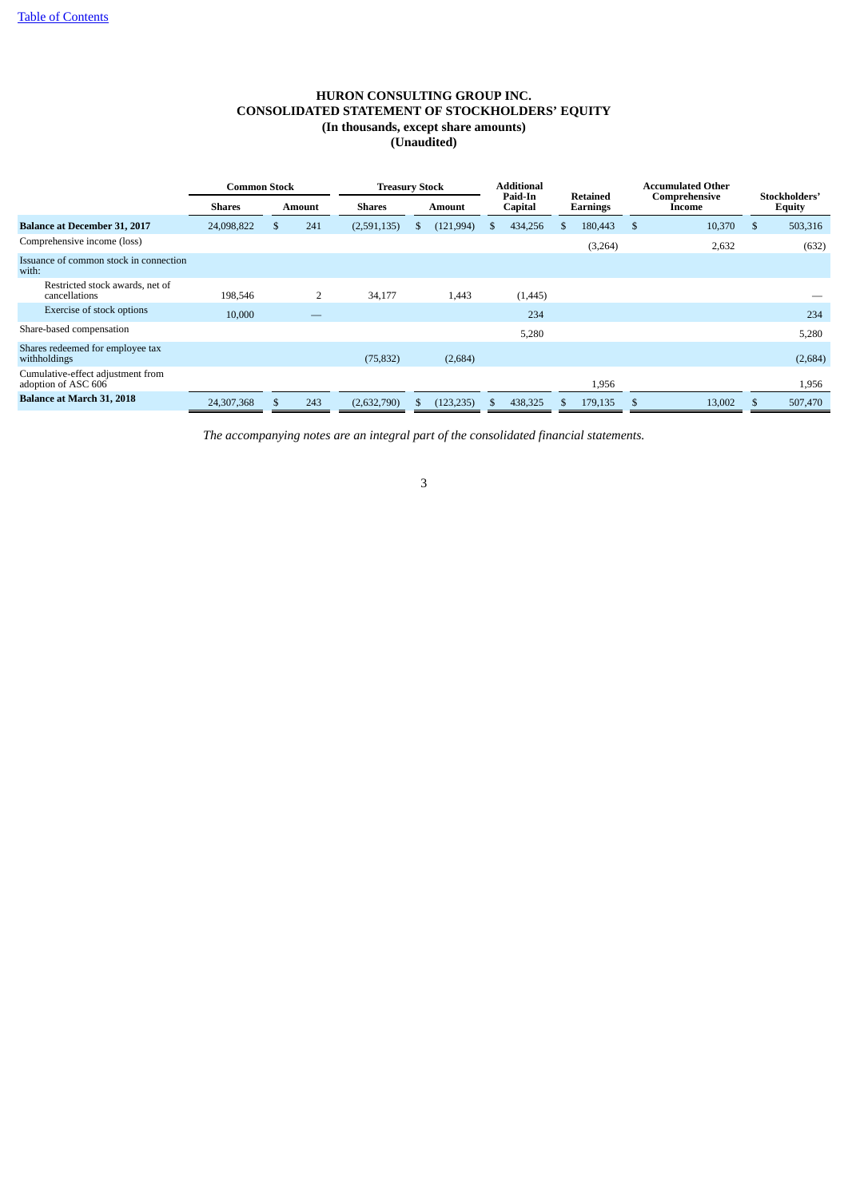## **HURON CONSULTING GROUP INC. CONSOLIDATED STATEMENT OF STOCKHOLDERS' EQUITY (In thousands, except share amounts) (Unaudited)**

<span id="page-4-0"></span>

|                                                          | <b>Common Stock</b> |          | <b>Treasury Stock</b> |             |  | Additional    |   |                    |  | <b>Accumulated Other</b>    |     |        |   |                         |  |                                |
|----------------------------------------------------------|---------------------|----------|-----------------------|-------------|--|---------------|---|--------------------|--|-----------------------------|-----|--------|---|-------------------------|--|--------------------------------|
|                                                          | <b>Shares</b>       |          | Amount                | Shares      |  | <b>Amount</b> |   | Paid-In<br>Capital |  | <b>Retained</b><br>Earnings |     |        |   | Comprehensive<br>Income |  | Stockholders'<br><b>Equity</b> |
| <b>Balance at December 31, 2017</b>                      | 24,098,822          | <b>S</b> | 241                   | (2,591,135) |  | (121, 994)    | Ж | 434,256            |  | 180,443                     | -S  | 10,370 | S | 503,316                 |  |                                |
| Comprehensive income (loss)                              |                     |          |                       |             |  |               |   |                    |  | (3,264)                     |     | 2,632  |   | (632)                   |  |                                |
| Issuance of common stock in connection<br>with:          |                     |          |                       |             |  |               |   |                    |  |                             |     |        |   |                         |  |                                |
| Restricted stock awards, net of<br>cancellations         | 198,546             |          | 2                     | 34,177      |  | 1,443         |   | (1,445)            |  |                             |     |        |   |                         |  |                                |
| Exercise of stock options                                | 10,000              |          |                       |             |  |               |   | 234                |  |                             |     |        |   | 234                     |  |                                |
| Share-based compensation                                 |                     |          |                       |             |  |               |   | 5,280              |  |                             |     |        |   | 5,280                   |  |                                |
| Shares redeemed for employee tax<br>withholdings         |                     |          |                       | (75, 832)   |  | (2,684)       |   |                    |  |                             |     |        |   | (2,684)                 |  |                                |
| Cumulative-effect adjustment from<br>adoption of ASC 606 |                     |          |                       |             |  |               |   |                    |  | 1,956                       |     |        |   | 1,956                   |  |                                |
| Balance at March 31, 2018                                | 24,307,368          |          | 243                   | (2,632,790) |  | (123, 235)    | ж | 438,325            |  | 179,135                     | ĴЪ. | 13,002 | ж | 507,470                 |  |                                |

*The accompanying notes are an integral part of the consolidated financial statements.*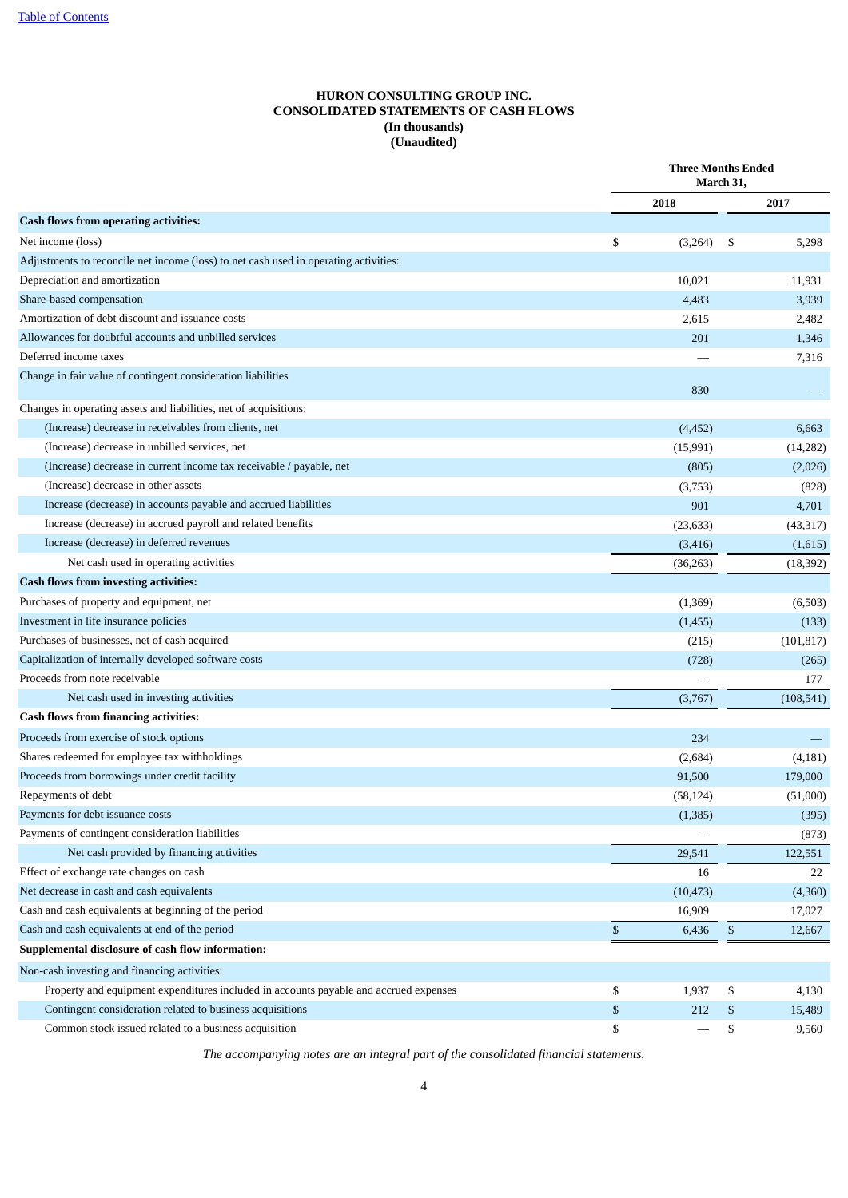## **HURON CONSULTING GROUP INC. CONSOLIDATED STATEMENTS OF CASH FLOWS (In thousands) (Unaudited)**

<span id="page-5-0"></span>

|                                                                                       | <b>Three Months Ended</b><br>March 31, |           |     |            |  |  |
|---------------------------------------------------------------------------------------|----------------------------------------|-----------|-----|------------|--|--|
|                                                                                       |                                        | 2018      |     | 2017       |  |  |
| <b>Cash flows from operating activities:</b>                                          |                                        |           |     |            |  |  |
| Net income (loss)                                                                     | \$                                     | (3,264)   | -\$ | 5,298      |  |  |
| Adjustments to reconcile net income (loss) to net cash used in operating activities:  |                                        |           |     |            |  |  |
| Depreciation and amortization                                                         |                                        | 10,021    |     | 11,931     |  |  |
| Share-based compensation                                                              |                                        | 4,483     |     | 3,939      |  |  |
| Amortization of debt discount and issuance costs                                      |                                        | 2,615     |     | 2,482      |  |  |
| Allowances for doubtful accounts and unbilled services                                |                                        | 201       |     | 1,346      |  |  |
| Deferred income taxes                                                                 |                                        |           |     | 7,316      |  |  |
| Change in fair value of contingent consideration liabilities                          |                                        | 830       |     |            |  |  |
| Changes in operating assets and liabilities, net of acquisitions:                     |                                        |           |     |            |  |  |
| (Increase) decrease in receivables from clients, net                                  |                                        | (4, 452)  |     | 6,663      |  |  |
| (Increase) decrease in unbilled services, net                                         |                                        | (15,991)  |     | (14,282)   |  |  |
| (Increase) decrease in current income tax receivable / payable, net                   |                                        | (805)     |     | (2,026)    |  |  |
| (Increase) decrease in other assets                                                   |                                        | (3,753)   |     | (828)      |  |  |
| Increase (decrease) in accounts payable and accrued liabilities                       |                                        | 901       |     | 4,701      |  |  |
| Increase (decrease) in accrued payroll and related benefits                           |                                        | (23, 633) |     | (43, 317)  |  |  |
| Increase (decrease) in deferred revenues                                              |                                        | (3, 416)  |     | (1,615)    |  |  |
| Net cash used in operating activities                                                 |                                        | (36, 263) |     | (18, 392)  |  |  |
| <b>Cash flows from investing activities:</b>                                          |                                        |           |     |            |  |  |
| Purchases of property and equipment, net                                              |                                        | (1,369)   |     | (6,503)    |  |  |
| Investment in life insurance policies                                                 |                                        | (1,455)   |     | (133)      |  |  |
| Purchases of businesses, net of cash acquired                                         |                                        | (215)     |     | (101, 817) |  |  |
| Capitalization of internally developed software costs                                 |                                        | (728)     |     | (265)      |  |  |
| Proceeds from note receivable                                                         |                                        |           |     | 177        |  |  |
| Net cash used in investing activities                                                 |                                        | (3,767)   |     | (108, 541) |  |  |
| <b>Cash flows from financing activities:</b>                                          |                                        |           |     |            |  |  |
| Proceeds from exercise of stock options                                               |                                        | 234       |     |            |  |  |
| Shares redeemed for employee tax withholdings                                         |                                        | (2,684)   |     | (4,181)    |  |  |
| Proceeds from borrowings under credit facility                                        |                                        | 91,500    |     | 179,000    |  |  |
| Repayments of debt                                                                    |                                        | (58, 124) |     | (51,000)   |  |  |
| Payments for debt issuance costs                                                      |                                        | (1, 385)  |     | (395)      |  |  |
| Payments of contingent consideration liabilities                                      |                                        |           |     | (873)      |  |  |
| Net cash provided by financing activities                                             |                                        | 29,541    |     | 122,551    |  |  |
| Effect of exchange rate changes on cash                                               |                                        | 16        |     | 22         |  |  |
| Net decrease in cash and cash equivalents                                             |                                        | (10, 473) |     | (4,360)    |  |  |
| Cash and cash equivalents at beginning of the period                                  |                                        | 16,909    |     | 17,027     |  |  |
| Cash and cash equivalents at end of the period                                        | \$                                     | 6,436     | \$  | 12,667     |  |  |
| Supplemental disclosure of cash flow information:                                     |                                        |           |     |            |  |  |
| Non-cash investing and financing activities:                                          |                                        |           |     |            |  |  |
| Property and equipment expenditures included in accounts payable and accrued expenses | \$                                     | 1,937     | \$  | 4,130      |  |  |
| Contingent consideration related to business acquisitions                             | \$                                     | 212       | \$  | 15,489     |  |  |
| Common stock issued related to a business acquisition                                 | \$                                     |           | \$  | 9,560      |  |  |

*The accompanying notes are an integral part of the consolidated financial statements.*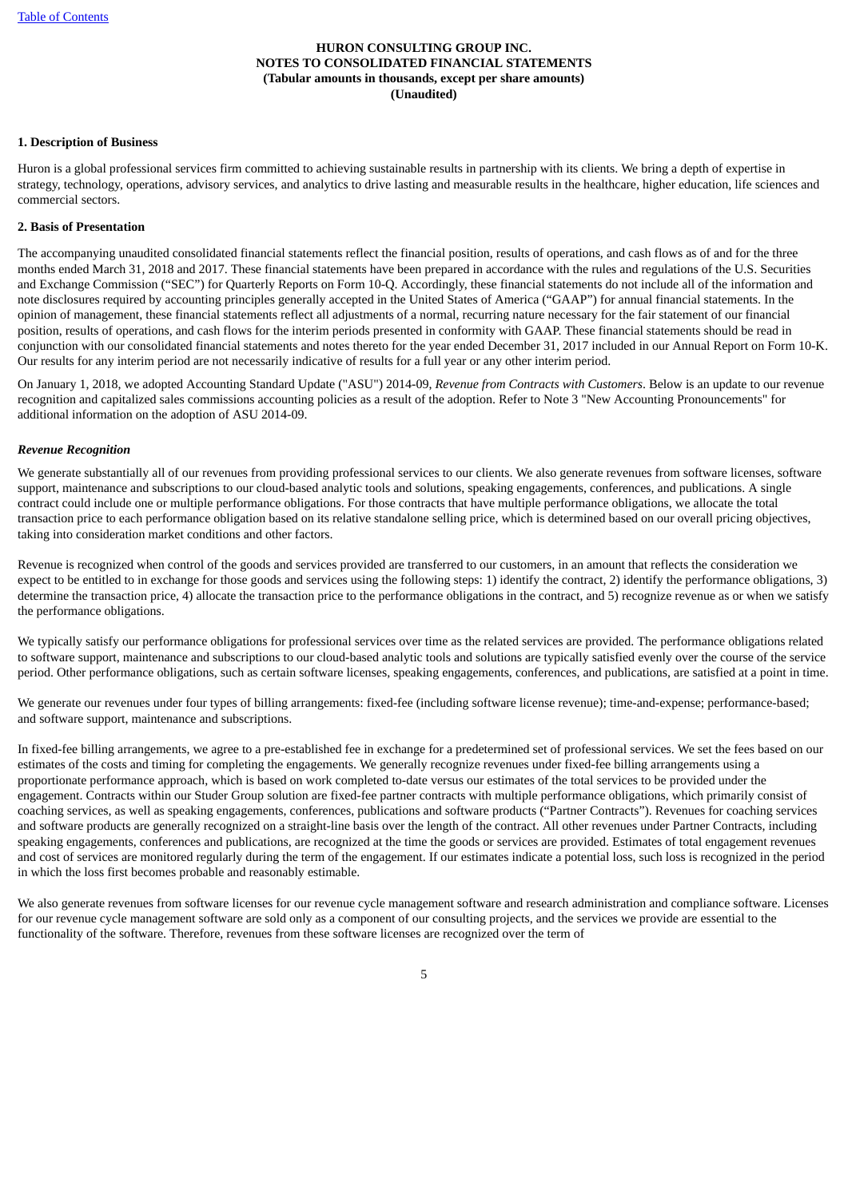#### <span id="page-6-0"></span>**1. Description of Business**

Huron is a global professional services firm committed to achieving sustainable results in partnership with its clients. We bring a depth of expertise in strategy, technology, operations, advisory services, and analytics to drive lasting and measurable results in the healthcare, higher education, life sciences and commercial sectors.

#### **2. Basis of Presentation**

The accompanying unaudited consolidated financial statements reflect the financial position, results of operations, and cash flows as of and for the three months ended March 31, 2018 and 2017. These financial statements have been prepared in accordance with the rules and regulations of the U.S. Securities and Exchange Commission ("SEC") for Quarterly Reports on Form 10-Q. Accordingly, these financial statements do not include all of the information and note disclosures required by accounting principles generally accepted in the United States of America ("GAAP") for annual financial statements. In the opinion of management, these financial statements reflect all adjustments of a normal, recurring nature necessary for the fair statement of our financial position, results of operations, and cash flows for the interim periods presented in conformity with GAAP. These financial statements should be read in conjunction with our consolidated financial statements and notes thereto for the year ended December 31, 2017 included in our Annual Report on Form 10-K. Our results for any interim period are not necessarily indicative of results for a full year or any other interim period.

On January 1, 2018, we adopted Accounting Standard Update ("ASU") 2014-09, *Revenue from Contracts with Customers*. Below is an update to our revenue recognition and capitalized sales commissions accounting policies as a result of the adoption. Refer to Note 3 "New Accounting Pronouncements" for additional information on the adoption of ASU 2014-09.

#### *Revenue Recognition*

We generate substantially all of our revenues from providing professional services to our clients. We also generate revenues from software licenses, software support, maintenance and subscriptions to our cloud-based analytic tools and solutions, speaking engagements, conferences, and publications. A single contract could include one or multiple performance obligations. For those contracts that have multiple performance obligations, we allocate the total transaction price to each performance obligation based on its relative standalone selling price, which is determined based on our overall pricing objectives, taking into consideration market conditions and other factors.

Revenue is recognized when control of the goods and services provided are transferred to our customers, in an amount that reflects the consideration we expect to be entitled to in exchange for those goods and services using the following steps: 1) identify the contract, 2) identify the performance obligations, 3) determine the transaction price, 4) allocate the transaction price to the performance obligations in the contract, and 5) recognize revenue as or when we satisfy the performance obligations.

We typically satisfy our performance obligations for professional services over time as the related services are provided. The performance obligations related to software support, maintenance and subscriptions to our cloud-based analytic tools and solutions are typically satisfied evenly over the course of the service period. Other performance obligations, such as certain software licenses, speaking engagements, conferences, and publications, are satisfied at a point in time.

We generate our revenues under four types of billing arrangements: fixed-fee (including software license revenue); time-and-expense; performance-based; and software support, maintenance and subscriptions.

In fixed-fee billing arrangements, we agree to a pre-established fee in exchange for a predetermined set of professional services. We set the fees based on our estimates of the costs and timing for completing the engagements. We generally recognize revenues under fixed-fee billing arrangements using a proportionate performance approach, which is based on work completed to-date versus our estimates of the total services to be provided under the engagement. Contracts within our Studer Group solution are fixed-fee partner contracts with multiple performance obligations, which primarily consist of coaching services, as well as speaking engagements, conferences, publications and software products ("Partner Contracts"). Revenues for coaching services and software products are generally recognized on a straight-line basis over the length of the contract. All other revenues under Partner Contracts, including speaking engagements, conferences and publications, are recognized at the time the goods or services are provided. Estimates of total engagement revenues and cost of services are monitored regularly during the term of the engagement. If our estimates indicate a potential loss, such loss is recognized in the period in which the loss first becomes probable and reasonably estimable.

We also generate revenues from software licenses for our revenue cycle management software and research administration and compliance software. Licenses for our revenue cycle management software are sold only as a component of our consulting projects, and the services we provide are essential to the functionality of the software. Therefore, revenues from these software licenses are recognized over the term of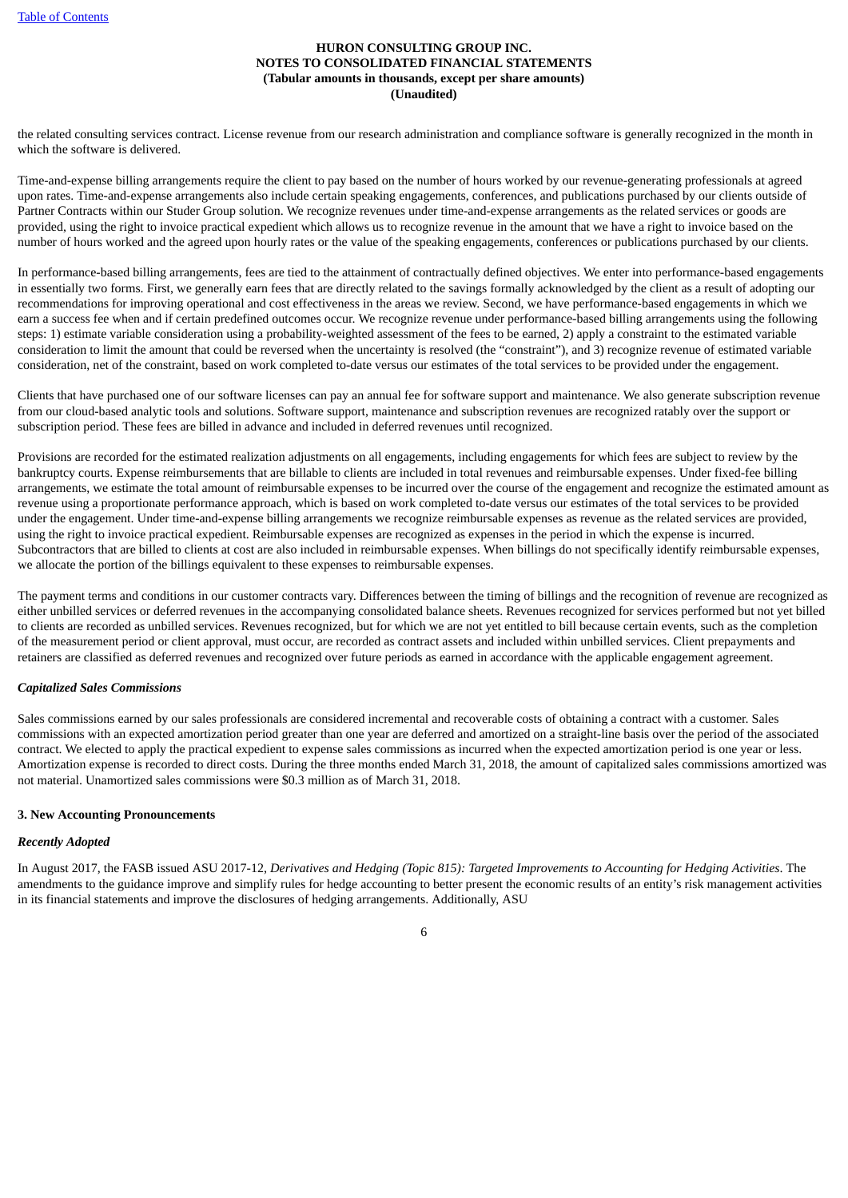the related consulting services contract. License revenue from our research administration and compliance software is generally recognized in the month in which the software is delivered.

Time-and-expense billing arrangements require the client to pay based on the number of hours worked by our revenue-generating professionals at agreed upon rates. Time-and-expense arrangements also include certain speaking engagements, conferences, and publications purchased by our clients outside of Partner Contracts within our Studer Group solution. We recognize revenues under time-and-expense arrangements as the related services or goods are provided, using the right to invoice practical expedient which allows us to recognize revenue in the amount that we have a right to invoice based on the number of hours worked and the agreed upon hourly rates or the value of the speaking engagements, conferences or publications purchased by our clients.

In performance-based billing arrangements, fees are tied to the attainment of contractually defined objectives. We enter into performance-based engagements in essentially two forms. First, we generally earn fees that are directly related to the savings formally acknowledged by the client as a result of adopting our recommendations for improving operational and cost effectiveness in the areas we review. Second, we have performance-based engagements in which we earn a success fee when and if certain predefined outcomes occur. We recognize revenue under performance-based billing arrangements using the following steps: 1) estimate variable consideration using a probability-weighted assessment of the fees to be earned, 2) apply a constraint to the estimated variable consideration to limit the amount that could be reversed when the uncertainty is resolved (the "constraint"), and 3) recognize revenue of estimated variable consideration, net of the constraint, based on work completed to-date versus our estimates of the total services to be provided under the engagement.

Clients that have purchased one of our software licenses can pay an annual fee for software support and maintenance. We also generate subscription revenue from our cloud-based analytic tools and solutions. Software support, maintenance and subscription revenues are recognized ratably over the support or subscription period. These fees are billed in advance and included in deferred revenues until recognized.

Provisions are recorded for the estimated realization adjustments on all engagements, including engagements for which fees are subject to review by the bankruptcy courts. Expense reimbursements that are billable to clients are included in total revenues and reimbursable expenses. Under fixed-fee billing arrangements, we estimate the total amount of reimbursable expenses to be incurred over the course of the engagement and recognize the estimated amount as revenue using a proportionate performance approach, which is based on work completed to-date versus our estimates of the total services to be provided under the engagement. Under time-and-expense billing arrangements we recognize reimbursable expenses as revenue as the related services are provided, using the right to invoice practical expedient. Reimbursable expenses are recognized as expenses in the period in which the expense is incurred. Subcontractors that are billed to clients at cost are also included in reimbursable expenses. When billings do not specifically identify reimbursable expenses, we allocate the portion of the billings equivalent to these expenses to reimbursable expenses.

The payment terms and conditions in our customer contracts vary. Differences between the timing of billings and the recognition of revenue are recognized as either unbilled services or deferred revenues in the accompanying consolidated balance sheets. Revenues recognized for services performed but not yet billed to clients are recorded as unbilled services. Revenues recognized, but for which we are not yet entitled to bill because certain events, such as the completion of the measurement period or client approval, must occur, are recorded as contract assets and included within unbilled services. Client prepayments and retainers are classified as deferred revenues and recognized over future periods as earned in accordance with the applicable engagement agreement.

## *Capitalized Sales Commissions*

Sales commissions earned by our sales professionals are considered incremental and recoverable costs of obtaining a contract with a customer. Sales commissions with an expected amortization period greater than one year are deferred and amortized on a straight-line basis over the period of the associated contract. We elected to apply the practical expedient to expense sales commissions as incurred when the expected amortization period is one year or less. Amortization expense is recorded to direct costs. During the three months ended March 31, 2018, the amount of capitalized sales commissions amortized was not material. Unamortized sales commissions were \$0.3 million as of March 31, 2018.

## **3. New Accounting Pronouncements**

#### *Recently Adopted*

In August 2017, the FASB issued ASU 2017-12, Derivatives and Hedging (Topic 815): Targeted Improvements to Accounting for Hedging Activities. The amendments to the guidance improve and simplify rules for hedge accounting to better present the economic results of an entity's risk management activities in its financial statements and improve the disclosures of hedging arrangements. Additionally, ASU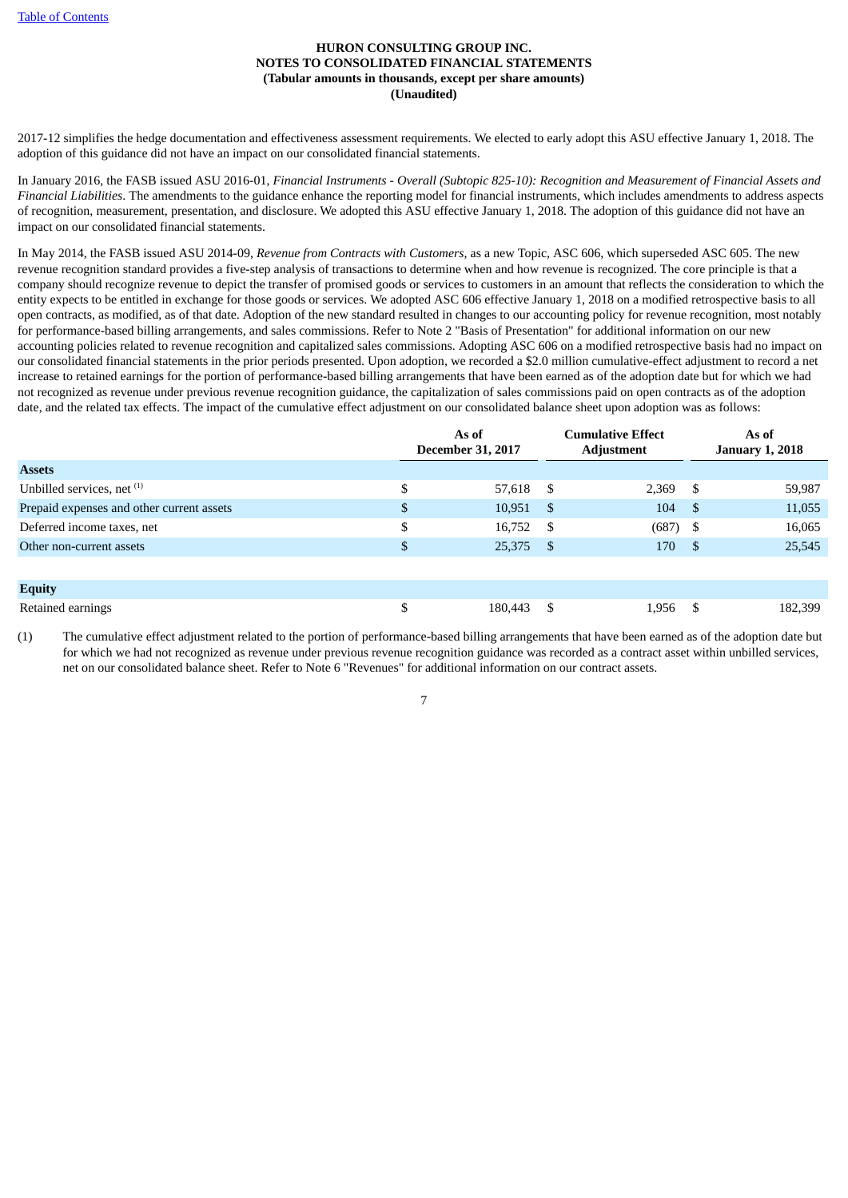2017-12 simplifies the hedge documentation and effectiveness assessment requirements. We elected to early adopt this ASU effective January 1, 2018. The adoption of this guidance did not have an impact on our consolidated financial statements.

In January 2016, the FASB issued ASU 2016-01, Financial Instruments - Overall (Subtopic 825-10): Recognition and Measurement of Financial Assets and *Financial Liabilities*. The amendments to the guidance enhance the reporting model for financial instruments, which includes amendments to address aspects of recognition, measurement, presentation, and disclosure. We adopted this ASU effective January 1, 2018. The adoption of this guidance did not have an impact on our consolidated financial statements.

In May 2014, the FASB issued ASU 2014-09, *Revenue from Contracts with Customers*, as a new Topic, ASC 606, which superseded ASC 605. The new revenue recognition standard provides a five-step analysis of transactions to determine when and how revenue is recognized. The core principle is that a company should recognize revenue to depict the transfer of promised goods or services to customers in an amount that reflects the consideration to which the entity expects to be entitled in exchange for those goods or services. We adopted ASC 606 effective January 1, 2018 on a modified retrospective basis to all open contracts, as modified, as of that date. Adoption of the new standard resulted in changes to our accounting policy for revenue recognition, most notably for performance-based billing arrangements, and sales commissions. Refer to Note 2 "Basis of Presentation" for additional information on our new accounting policies related to revenue recognition and capitalized sales commissions. Adopting ASC 606 on a modified retrospective basis had no impact on our consolidated financial statements in the prior periods presented. Upon adoption, we recorded a \$2.0 million cumulative-effect adjustment to record a net increase to retained earnings for the portion of performance-based billing arrangements that have been earned as of the adoption date but for which we had not recognized as revenue under previous revenue recognition guidance, the capitalization of sales commissions paid on open contracts as of the adoption date, and the related tax effects. The impact of the cumulative effect adjustment on our consolidated balance sheet upon adoption was as follows:

|                                           | As of<br><b>December 31, 2017</b> |    | <b>Cumulative Effect</b><br><b>Adjustment</b> | As of<br><b>January 1, 2018</b> |         |  |
|-------------------------------------------|-----------------------------------|----|-----------------------------------------------|---------------------------------|---------|--|
| <b>Assets</b>                             |                                   |    |                                               |                                 |         |  |
| Unbilled services, net (1)                | \$<br>57,618                      | -S | 2,369                                         | - \$                            | 59,987  |  |
| Prepaid expenses and other current assets | \$<br>10,951                      | -S | 104                                           | - \$                            | 11,055  |  |
| Deferred income taxes, net                | \$<br>16,752                      | -S | $(687)$ \$                                    |                                 | 16,065  |  |
| Other non-current assets                  | \$<br>25,375                      | -S | 170                                           | <b>S</b>                        | 25,545  |  |
|                                           |                                   |    |                                               |                                 |         |  |
| <b>Equity</b>                             |                                   |    |                                               |                                 |         |  |
| Retained earnings                         | \$<br>180,443                     | S  | 1.956                                         | - \$                            | 182.399 |  |

(1) The cumulative effect adjustment related to the portion of performance-based billing arrangements that have been earned as of the adoption date but for which we had not recognized as revenue under previous revenue recognition guidance was recorded as a contract asset within unbilled services, net on our consolidated balance sheet. Refer to Note 6 "Revenues" for additional information on our contract assets.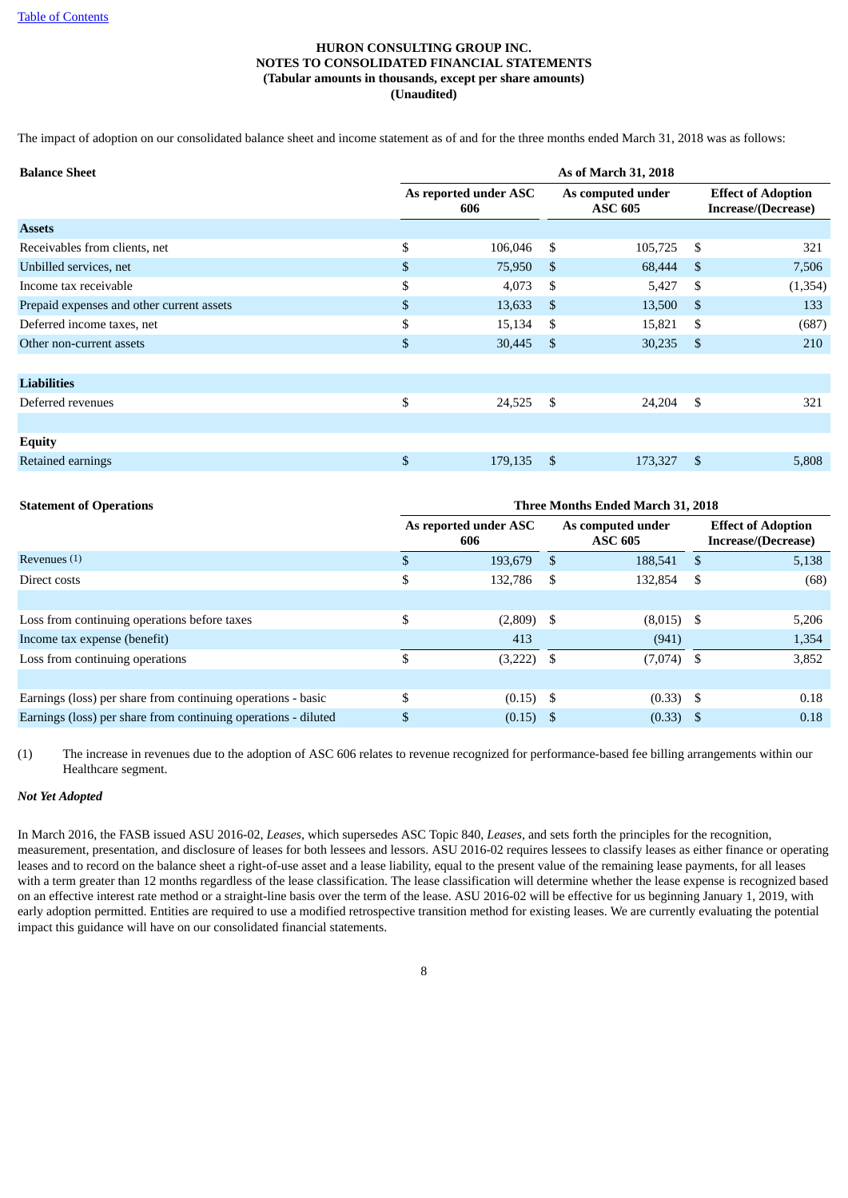The impact of adoption on our consolidated balance sheet and income statement as of and for the three months ended March 31, 2018 was as follows:

| <b>Balance Sheet</b>                      | As of March 31, 2018 |                              |               |                                     |                                                  |          |  |  |  |
|-------------------------------------------|----------------------|------------------------------|---------------|-------------------------------------|--------------------------------------------------|----------|--|--|--|
|                                           |                      | As reported under ASC<br>606 |               | As computed under<br><b>ASC 605</b> | <b>Effect of Adoption</b><br>Increase/(Decrease) |          |  |  |  |
| <b>Assets</b>                             |                      |                              |               |                                     |                                                  |          |  |  |  |
| Receivables from clients, net             | \$                   | 106,046                      | S.            | 105,725                             | \$                                               | 321      |  |  |  |
| Unbilled services, net                    | \$                   | 75,950                       | \$            | 68,444                              | - \$                                             | 7,506    |  |  |  |
| Income tax receivable                     | \$                   | 4,073                        | S.            | 5,427                               | \$                                               | (1, 354) |  |  |  |
| Prepaid expenses and other current assets | $\mathbb{S}$         | 13,633                       | <sup>\$</sup> | 13,500                              | \$                                               | 133      |  |  |  |
| Deferred income taxes, net                | \$                   | 15,134                       | \$            | 15,821                              | - \$                                             | (687)    |  |  |  |
| Other non-current assets                  | \$                   | 30,445                       | \$            | 30,235                              | - \$                                             | 210      |  |  |  |
|                                           |                      |                              |               |                                     |                                                  |          |  |  |  |
| <b>Liabilities</b>                        |                      |                              |               |                                     |                                                  |          |  |  |  |
| Deferred revenues                         | \$                   | 24,525                       | \$            | 24,204                              | - \$                                             | 321      |  |  |  |
|                                           |                      |                              |               |                                     |                                                  |          |  |  |  |
| <b>Equity</b>                             |                      |                              |               |                                     |                                                  |          |  |  |  |
| Retained earnings                         | \$                   | 179,135                      | <sup>\$</sup> | 173,327                             | \$                                               | 5,808    |  |  |  |

## **Statement of Operations Three Months Ended March 31, 2018**

| otatement of operations                                        |                              |             |      |                                     |                                                  |       |  |  |  |
|----------------------------------------------------------------|------------------------------|-------------|------|-------------------------------------|--------------------------------------------------|-------|--|--|--|
|                                                                | As reported under ASC<br>606 |             |      | As computed under<br><b>ASC 605</b> | <b>Effect of Adoption</b><br>Increase/(Decrease) |       |  |  |  |
| Revenues $(1)$                                                 |                              | 193,679     | - \$ | 188,541                             | - \$                                             | 5,138 |  |  |  |
| Direct costs                                                   | \$                           | 132.786     | S    | 132,854                             | - \$                                             | (68)  |  |  |  |
|                                                                |                              |             |      |                                     |                                                  |       |  |  |  |
| Loss from continuing operations before taxes                   | \$                           | (2,809)     | - \$ | $(8,015)$ \$                        |                                                  | 5,206 |  |  |  |
| Income tax expense (benefit)                                   |                              | 413         |      | (941)                               |                                                  | 1,354 |  |  |  |
| Loss from continuing operations                                | \$.                          | (3,222)     | - \$ | $(7,074)$ \$                        |                                                  | 3,852 |  |  |  |
|                                                                |                              |             |      |                                     |                                                  |       |  |  |  |
| Earnings (loss) per share from continuing operations - basic   | \$.                          | $(0.15)$ \$ |      | $(0.33)$ \$                         |                                                  | 0.18  |  |  |  |
| Earnings (loss) per share from continuing operations - diluted | \$                           | $(0.15)$ \$ |      | $(0.33)$ \$                         |                                                  | 0.18  |  |  |  |
|                                                                |                              |             |      |                                     |                                                  |       |  |  |  |

(1) The increase in revenues due to the adoption of ASC 606 relates to revenue recognized for performance-based fee billing arrangements within our Healthcare segment.

## *Not Yet Adopted*

In March 2016, the FASB issued ASU 2016-02, *Leases*, which supersedes ASC Topic 840, *Leases*, and sets forth the principles for the recognition, measurement, presentation, and disclosure of leases for both lessees and lessors. ASU 2016-02 requires lessees to classify leases as either finance or operating leases and to record on the balance sheet a right-of-use asset and a lease liability, equal to the present value of the remaining lease payments, for all leases with a term greater than 12 months regardless of the lease classification. The lease classification will determine whether the lease expense is recognized based on an effective interest rate method or a straight-line basis over the term of the lease. ASU 2016-02 will be effective for us beginning January 1, 2019, with early adoption permitted. Entities are required to use a modified retrospective transition method for existing leases. We are currently evaluating the potential impact this guidance will have on our consolidated financial statements.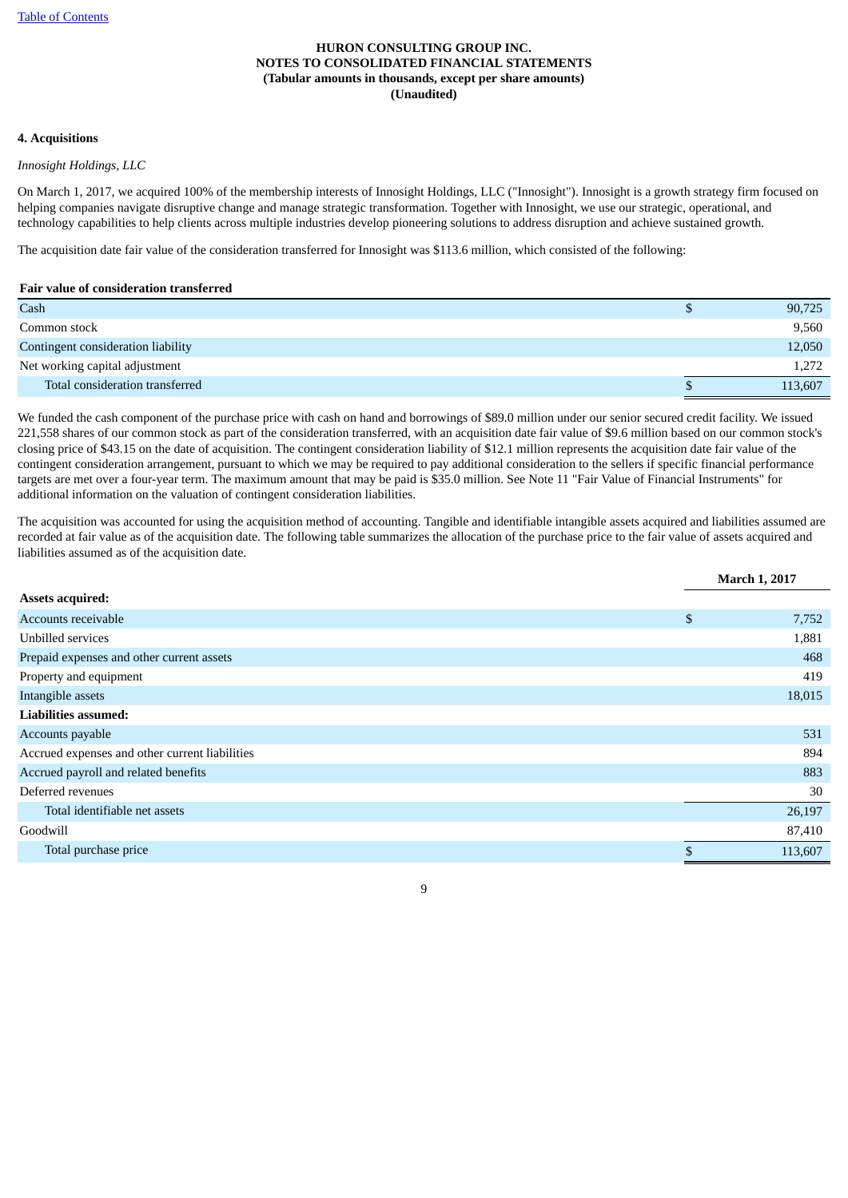## **4. Acquisitions**

## *Innosight Holdings, LLC*

On March 1, 2017, we acquired 100% of the membership interests of Innosight Holdings, LLC ("Innosight"). Innosight is a growth strategy firm focused on helping companies navigate disruptive change and manage strategic transformation. Together with Innosight, we use our strategic, operational, and technology capabilities to help clients across multiple industries develop pioneering solutions to address disruption and achieve sustained growth.

The acquisition date fair value of the consideration transferred for Innosight was \$113.6 million, which consisted of the following:

#### **Fair value of consideration transferred**

| Cash                               | 90,725  |
|------------------------------------|---------|
| Common stock                       | 9,560   |
| Contingent consideration liability | 12,050  |
| Net working capital adjustment     | 1,272   |
| Total consideration transferred    | 113,607 |

We funded the cash component of the purchase price with cash on hand and borrowings of \$89.0 million under our senior secured credit facility. We issued 221,558 shares of our common stock as part of the consideration transferred, with an acquisition date fair value of \$9.6 million based on our common stock's closing price of \$43.15 on the date of acquisition. The contingent consideration liability of \$12.1 million represents the acquisition date fair value of the contingent consideration arrangement, pursuant to which we may be required to pay additional consideration to the sellers if specific financial performance targets are met over a four-year term. The maximum amount that may be paid is \$35.0 million. See Note 11 "Fair Value of Financial Instruments" for additional information on the valuation of contingent consideration liabilities.

The acquisition was accounted for using the acquisition method of accounting. Tangible and identifiable intangible assets acquired and liabilities assumed are recorded at fair value as of the acquisition date. The following table summarizes the allocation of the purchase price to the fair value of assets acquired and liabilities assumed as of the acquisition date.

|                                                | March 1, 2017 |
|------------------------------------------------|---------------|
| <b>Assets acquired:</b>                        |               |
| Accounts receivable                            | \$<br>7,752   |
| Unbilled services                              | 1,881         |
| Prepaid expenses and other current assets      | 468           |
| Property and equipment                         | 419           |
| Intangible assets                              | 18,015        |
| Liabilities assumed:                           |               |
| Accounts payable                               | 531           |
| Accrued expenses and other current liabilities | 894           |
| Accrued payroll and related benefits           | 883           |
| Deferred revenues                              | 30            |
| Total identifiable net assets                  | 26,197        |
| Goodwill                                       | 87,410        |
| Total purchase price                           | \$<br>113,607 |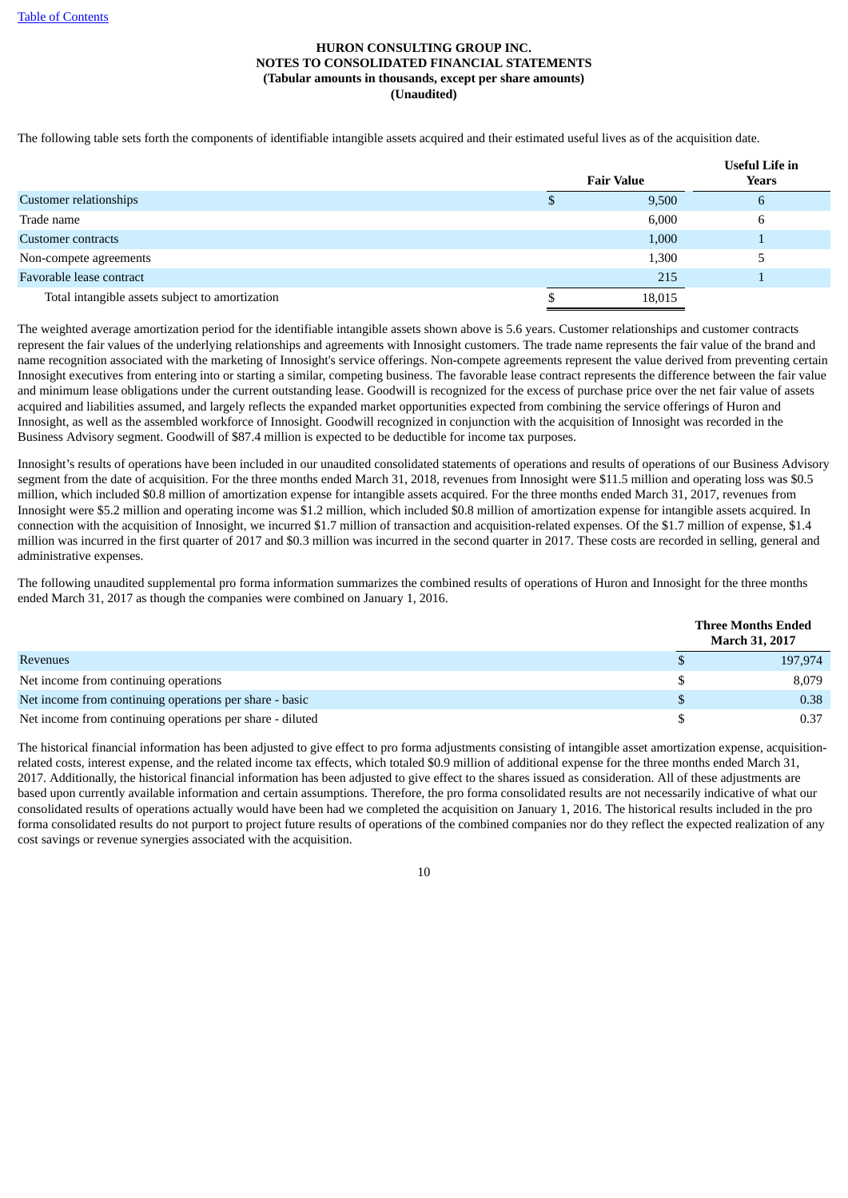The following table sets forth the components of identifiable intangible assets acquired and their estimated useful lives as of the acquisition date.

|                                                 | <b>Fair Value</b> | <b>Useful Life in</b><br><b>Years</b> |
|-------------------------------------------------|-------------------|---------------------------------------|
| <b>Customer relationships</b>                   | 9,500             | b                                     |
| Trade name                                      | 6,000             | b                                     |
| Customer contracts                              | 1,000             |                                       |
| Non-compete agreements                          | 1,300             | л. 1                                  |
| Favorable lease contract                        | 215               |                                       |
| Total intangible assets subject to amortization | 18,015            |                                       |

The weighted average amortization period for the identifiable intangible assets shown above is 5.6 years. Customer relationships and customer contracts represent the fair values of the underlying relationships and agreements with Innosight customers. The trade name represents the fair value of the brand and name recognition associated with the marketing of Innosight's service offerings. Non-compete agreements represent the value derived from preventing certain Innosight executives from entering into or starting a similar, competing business. The favorable lease contract represents the difference between the fair value and minimum lease obligations under the current outstanding lease. Goodwill is recognized for the excess of purchase price over the net fair value of assets acquired and liabilities assumed, and largely reflects the expanded market opportunities expected from combining the service offerings of Huron and Innosight, as well as the assembled workforce of Innosight. Goodwill recognized in conjunction with the acquisition of Innosight was recorded in the Business Advisory segment. Goodwill of \$87.4 million is expected to be deductible for income tax purposes.

Innosight's results of operations have been included in our unaudited consolidated statements of operations and results of operations of our Business Advisory segment from the date of acquisition. For the three months ended March 31, 2018, revenues from Innosight were \$11.5 million and operating loss was \$0.5 million, which included \$0.8 million of amortization expense for intangible assets acquired. For the three months ended March 31, 2017, revenues from Innosight were \$5.2 million and operating income was \$1.2 million, which included \$0.8 million of amortization expense for intangible assets acquired. In connection with the acquisition of Innosight, we incurred \$1.7 million of transaction and acquisition-related expenses. Of the \$1.7 million of expense, \$1.4 million was incurred in the first quarter of 2017 and \$0.3 million was incurred in the second quarter in 2017. These costs are recorded in selling, general and administrative expenses.

The following unaudited supplemental pro forma information summarizes the combined results of operations of Huron and Innosight for the three months ended March 31, 2017 as though the companies were combined on January 1, 2016.

|                                                           | <b>Three Months Ended</b><br><b>March 31, 2017</b> |
|-----------------------------------------------------------|----------------------------------------------------|
| Revenues                                                  | 197.974                                            |
| Net income from continuing operations                     | 8.079                                              |
| Net income from continuing operations per share - basic   | 0.38                                               |
| Net income from continuing operations per share - diluted | 0.37                                               |

The historical financial information has been adjusted to give effect to pro forma adjustments consisting of intangible asset amortization expense, acquisitionrelated costs, interest expense, and the related income tax effects, which totaled \$0.9 million of additional expense for the three months ended March 31, 2017. Additionally, the historical financial information has been adjusted to give effect to the shares issued as consideration. All of these adjustments are based upon currently available information and certain assumptions. Therefore, the pro forma consolidated results are not necessarily indicative of what our consolidated results of operations actually would have been had we completed the acquisition on January 1, 2016. The historical results included in the pro forma consolidated results do not purport to project future results of operations of the combined companies nor do they reflect the expected realization of any cost savings or revenue synergies associated with the acquisition.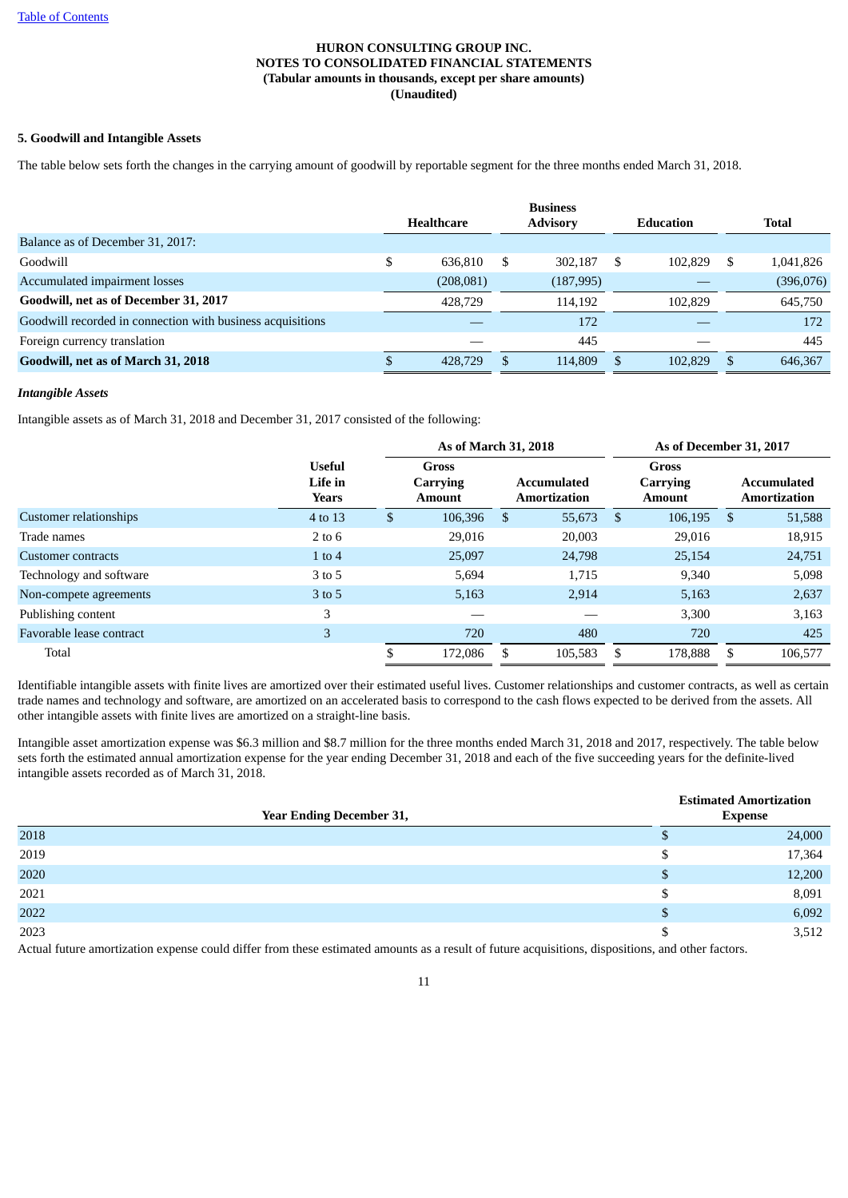## **5. Goodwill and Intangible Assets**

The table below sets forth the changes in the carrying amount of goodwill by reportable segment for the three months ended March 31, 2018.

|                                                            |   |                   |    | <b>Business</b> |   |                  |              |           |
|------------------------------------------------------------|---|-------------------|----|-----------------|---|------------------|--------------|-----------|
|                                                            |   | <b>Healthcare</b> |    | <b>Advisory</b> |   | <b>Education</b> | <b>Total</b> |           |
| Balance as of December 31, 2017:                           |   |                   |    |                 |   |                  |              |           |
| Goodwill                                                   | S | 636.810           | -S | 302.187         | S | 102.829          | S            | 1,041,826 |
| Accumulated impairment losses                              |   | (208, 081)        |    | (187,995)       |   |                  |              | (396,076) |
| Goodwill, net as of December 31, 2017                      |   | 428.729           |    | 114,192         |   | 102.829          |              | 645,750   |
| Goodwill recorded in connection with business acquisitions |   |                   |    | 172             |   |                  |              | 172       |
| Foreign currency translation                               |   |                   |    | 445             |   |                  |              | 445       |
| Goodwill, net as of March 31, 2018                         |   | 428,729           |    | 114,809         |   | 102.829          |              | 646,367   |

## *Intangible Assets*

Intangible assets as of March 31, 2018 and December 31, 2017 consisted of the following:

|                          |                                          | As of March 31, 2018 |                                           |     | As of December 31, 2017            |               |                                    |    |                                           |
|--------------------------|------------------------------------------|----------------------|-------------------------------------------|-----|------------------------------------|---------------|------------------------------------|----|-------------------------------------------|
|                          | <b>Useful</b><br>Life in<br><b>Years</b> |                      | <b>Gross</b><br>Carrying<br><b>Amount</b> |     | <b>Accumulated</b><br>Amortization |               | Gross<br>Carrying<br><b>Amount</b> |    | <b>Accumulated</b><br><b>Amortization</b> |
| Customer relationships   | 4 to 13                                  | \$                   | 106,396                                   | -\$ | 55,673                             | <sup>\$</sup> | 106,195                            | -S | 51,588                                    |
| Trade names              | $2$ to $6$                               |                      | 29,016                                    |     | 20,003                             |               | 29,016                             |    | 18,915                                    |
| Customer contracts       | $1$ to $4$                               |                      | 25,097                                    |     | 24,798                             |               | 25,154                             |    | 24,751                                    |
| Technology and software  | 3 to 5                                   |                      | 5,694                                     |     | 1,715                              |               | 9,340                              |    | 5,098                                     |
| Non-compete agreements   | 3 to 5                                   |                      | 5,163                                     |     | 2,914                              |               | 5,163                              |    | 2,637                                     |
| Publishing content       | 3                                        |                      |                                           |     |                                    |               | 3.300                              |    | 3,163                                     |
| Favorable lease contract | 3                                        |                      | 720                                       |     | 480                                |               | 720                                |    | 425                                       |
| Total                    |                                          | \$                   | 172,086                                   |     | 105,583                            | S             | 178,888                            | -S | 106,577                                   |

Identifiable intangible assets with finite lives are amortized over their estimated useful lives. Customer relationships and customer contracts, as well as certain trade names and technology and software, are amortized on an accelerated basis to correspond to the cash flows expected to be derived from the assets. All other intangible assets with finite lives are amortized on a straight-line basis.

Intangible asset amortization expense was \$6.3 million and \$8.7 million for the three months ended March 31, 2018 and 2017, respectively. The table below sets forth the estimated annual amortization expense for the year ending December 31, 2018 and each of the five succeeding years for the definite-lived intangible assets recorded as of March 31, 2018.

|      |                                                                                                                      |   | <b>Estimated Amortization</b> |
|------|----------------------------------------------------------------------------------------------------------------------|---|-------------------------------|
|      | <b>Year Ending December 31,</b>                                                                                      |   | <b>Expense</b>                |
| 2018 |                                                                                                                      |   | 24,000                        |
| 2019 |                                                                                                                      |   | 17,364                        |
| 2020 |                                                                                                                      | ъ | 12,200                        |
| 2021 |                                                                                                                      | D | 8,091                         |
| 2022 |                                                                                                                      |   | 6,092                         |
| 2023 |                                                                                                                      |   | 3,512                         |
|      | the contract of the contract of the contract of the contract of the contract of the contract of the contract of<br>. | . |                               |

Actual future amortization expense could differ from these estimated amounts as a result of future acquisitions, dispositions, and other factors.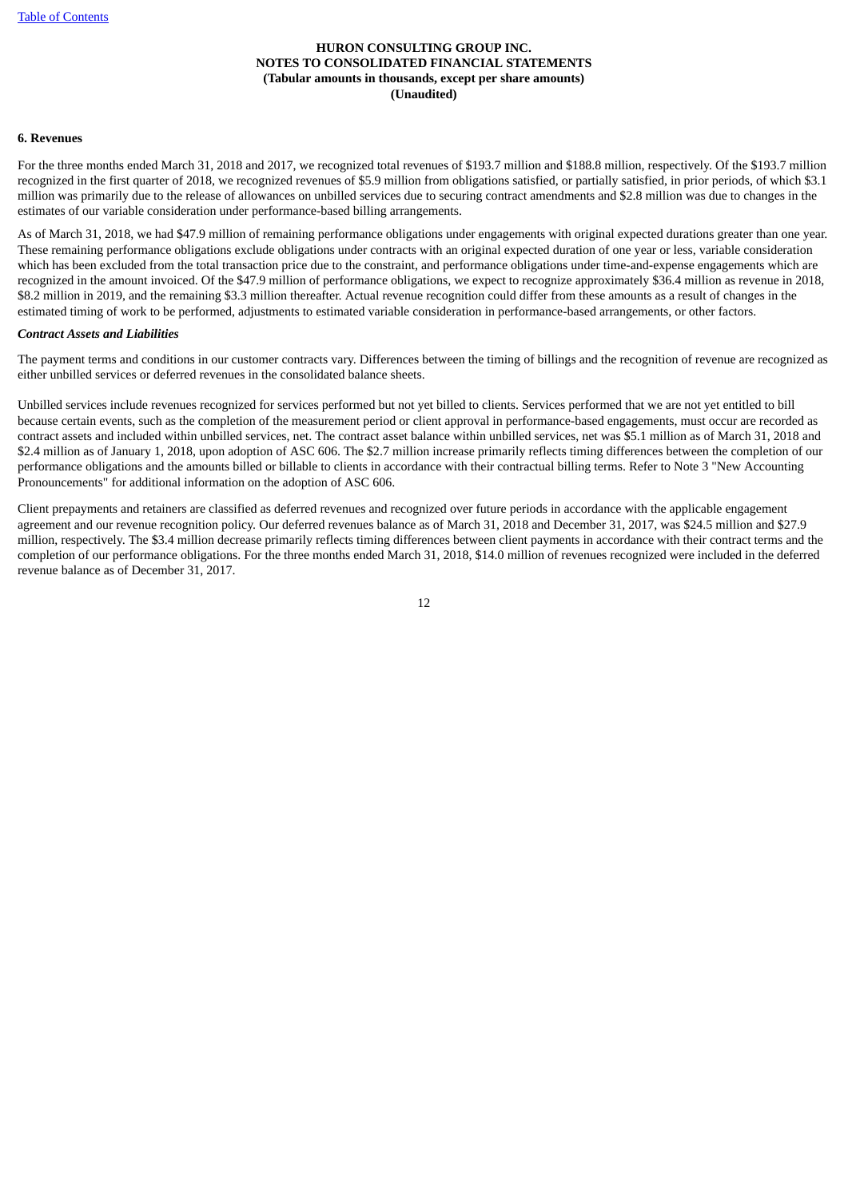#### **6. Revenues**

For the three months ended March 31, 2018 and 2017, we recognized total revenues of \$193.7 million and \$188.8 million, respectively. Of the \$193.7 million recognized in the first quarter of 2018, we recognized revenues of \$5.9 million from obligations satisfied, or partially satisfied, in prior periods, of which \$3.1 million was primarily due to the release of allowances on unbilled services due to securing contract amendments and \$2.8 million was due to changes in the estimates of our variable consideration under performance-based billing arrangements.

As of March 31, 2018, we had \$47.9 million of remaining performance obligations under engagements with original expected durations greater than one year. These remaining performance obligations exclude obligations under contracts with an original expected duration of one year or less, variable consideration which has been excluded from the total transaction price due to the constraint, and performance obligations under time-and-expense engagements which are recognized in the amount invoiced. Of the \$47.9 million of performance obligations, we expect to recognize approximately \$36.4 million as revenue in 2018, \$8.2 million in 2019, and the remaining \$3.3 million thereafter. Actual revenue recognition could differ from these amounts as a result of changes in the estimated timing of work to be performed, adjustments to estimated variable consideration in performance-based arrangements, or other factors.

#### *Contract Assets and Liabilities*

The payment terms and conditions in our customer contracts vary. Differences between the timing of billings and the recognition of revenue are recognized as either unbilled services or deferred revenues in the consolidated balance sheets.

Unbilled services include revenues recognized for services performed but not yet billed to clients. Services performed that we are not yet entitled to bill because certain events, such as the completion of the measurement period or client approval in performance-based engagements, must occur are recorded as contract assets and included within unbilled services, net. The contract asset balance within unbilled services, net was \$5.1 million as of March 31, 2018 and \$2.4 million as of January 1, 2018, upon adoption of ASC 606. The \$2.7 million increase primarily reflects timing differences between the completion of our performance obligations and the amounts billed or billable to clients in accordance with their contractual billing terms. Refer to Note 3 "New Accounting Pronouncements" for additional information on the adoption of ASC 606.

Client prepayments and retainers are classified as deferred revenues and recognized over future periods in accordance with the applicable engagement agreement and our revenue recognition policy. Our deferred revenues balance as of March 31, 2018 and December 31, 2017, was \$24.5 million and \$27.9 million, respectively. The \$3.4 million decrease primarily reflects timing differences between client payments in accordance with their contract terms and the completion of our performance obligations. For the three months ended March 31, 2018, \$14.0 million of revenues recognized were included in the deferred revenue balance as of December 31, 2017.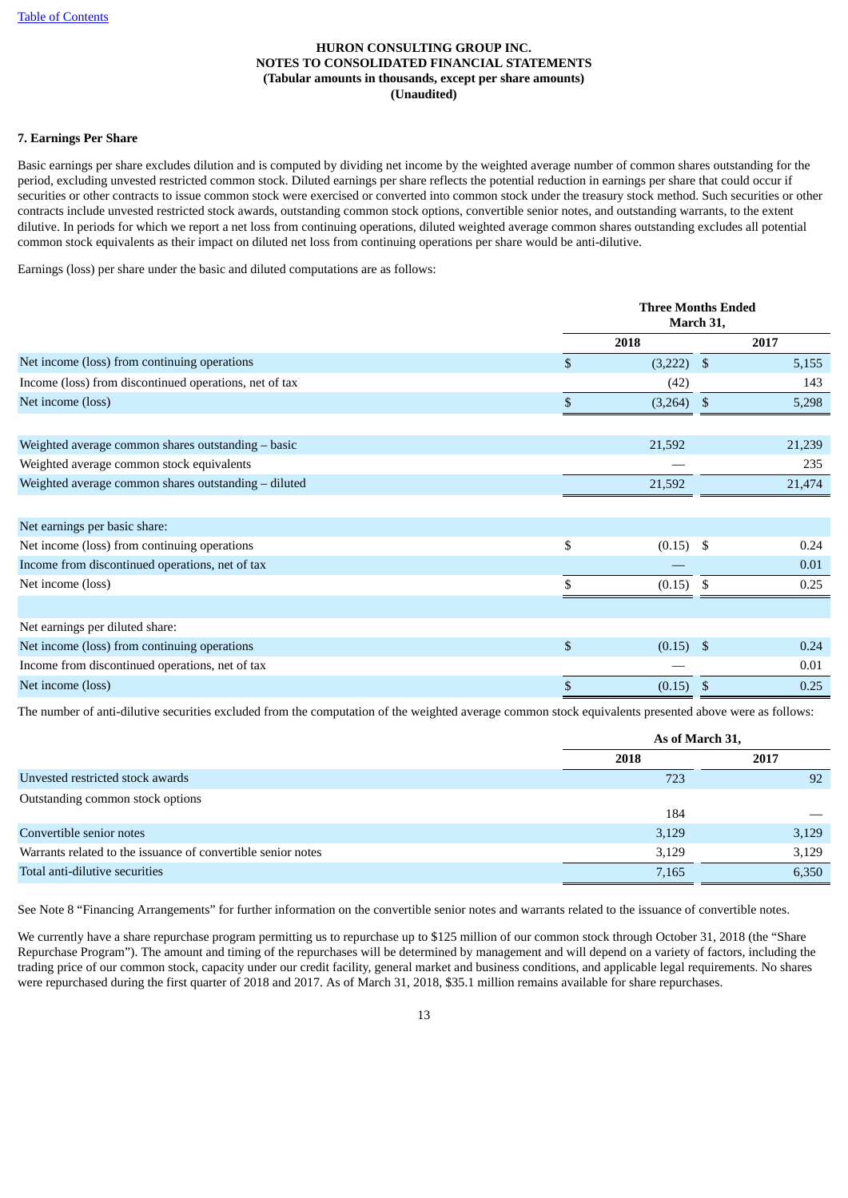## **7. Earnings Per Share**

Basic earnings per share excludes dilution and is computed by dividing net income by the weighted average number of common shares outstanding for the period, excluding unvested restricted common stock. Diluted earnings per share reflects the potential reduction in earnings per share that could occur if securities or other contracts to issue common stock were exercised or converted into common stock under the treasury stock method. Such securities or other contracts include unvested restricted stock awards, outstanding common stock options, convertible senior notes, and outstanding warrants, to the extent dilutive. In periods for which we report a net loss from continuing operations, diluted weighted average common shares outstanding excludes all potential common stock equivalents as their impact on diluted net loss from continuing operations per share would be anti-dilutive.

Earnings (loss) per share under the basic and diluted computations are as follows:

|                                                        | <b>Three Months Ended</b><br>March 31, |               |               |  |  |
|--------------------------------------------------------|----------------------------------------|---------------|---------------|--|--|
|                                                        | 2018                                   |               | 2017          |  |  |
| Net income (loss) from continuing operations           | \$<br>(3,222)                          | -\$           | 5,155         |  |  |
| Income (loss) from discontinued operations, net of tax | (42)                                   |               | 143           |  |  |
| Net income (loss)                                      | \$<br>(3,264)                          | <sup>\$</sup> | 5,298         |  |  |
| Weighted average common shares outstanding - basic     | 21,592                                 |               |               |  |  |
| Weighted average common stock equivalents              |                                        |               | 21,239<br>235 |  |  |
|                                                        |                                        |               |               |  |  |
| Weighted average common shares outstanding - diluted   | 21,592                                 |               | 21,474        |  |  |
| Net earnings per basic share:                          |                                        |               |               |  |  |
| Net income (loss) from continuing operations           | \$<br>(0.15)                           | -S            | 0.24          |  |  |
| Income from discontinued operations, net of tax        |                                        |               | 0.01          |  |  |
| Net income (loss)                                      | \$<br>(0.15)                           | \$            | 0.25          |  |  |
|                                                        |                                        |               |               |  |  |
| Net earnings per diluted share:                        |                                        |               |               |  |  |
| Net income (loss) from continuing operations           | \$<br>$(0.15)$ \$                      |               | 0.24          |  |  |
| Income from discontinued operations, net of tax        |                                        |               | 0.01          |  |  |
| Net income (loss)                                      | \$<br>(0.15)                           | \$            | 0.25          |  |  |

The number of anti-dilutive securities excluded from the computation of the weighted average common stock equivalents presented above were as follows:

|                                                              | As of March 31, |       |  |  |
|--------------------------------------------------------------|-----------------|-------|--|--|
|                                                              | 2018            | 2017  |  |  |
| Unvested restricted stock awards                             | 723             | 92    |  |  |
| Outstanding common stock options                             |                 |       |  |  |
|                                                              | 184             |       |  |  |
| Convertible senior notes                                     | 3,129           | 3,129 |  |  |
| Warrants related to the issuance of convertible senior notes | 3,129           | 3,129 |  |  |
| Total anti-dilutive securities                               | 7,165           | 6,350 |  |  |

See Note 8 "Financing Arrangements" for further information on the convertible senior notes and warrants related to the issuance of convertible notes.

We currently have a share repurchase program permitting us to repurchase up to \$125 million of our common stock through October 31, 2018 (the "Share Repurchase Program"). The amount and timing of the repurchases will be determined by management and will depend on a variety of factors, including the trading price of our common stock, capacity under our credit facility, general market and business conditions, and applicable legal requirements. No shares were repurchased during the first quarter of 2018 and 2017. As of March 31, 2018, \$35.1 million remains available for share repurchases.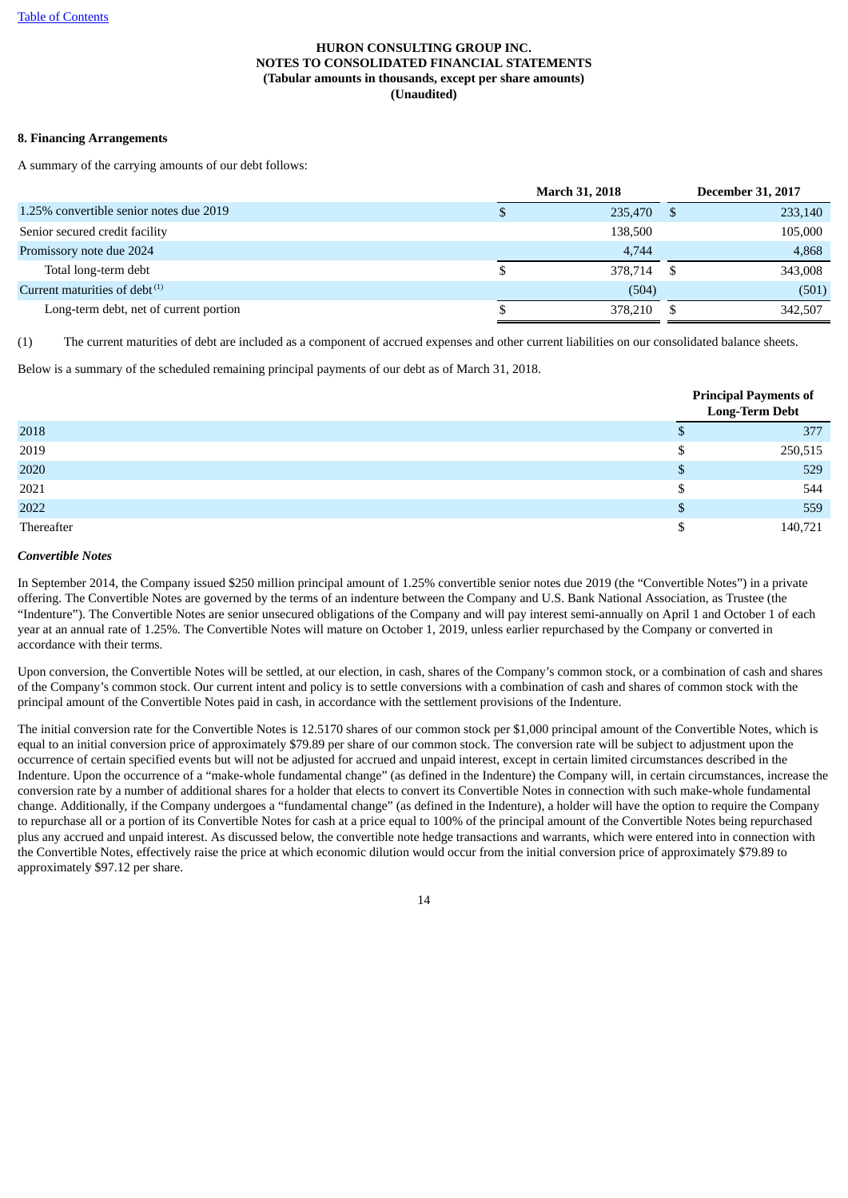## **8. Financing Arrangements**

A summary of the carrying amounts of our debt follows:

|                                         | <b>March 31, 2018</b> |         |    | <b>December 31, 2017</b> |  |
|-----------------------------------------|-----------------------|---------|----|--------------------------|--|
| 1.25% convertible senior notes due 2019 | Φ                     | 235,470 | -S | 233,140                  |  |
| Senior secured credit facility          |                       | 138,500 |    | 105,000                  |  |
| Promissory note due 2024                |                       | 4.744   |    | 4,868                    |  |
| Total long-term debt                    |                       | 378,714 | S  | 343,008                  |  |
| Current maturities of debt $^{(1)}$     |                       | (504)   |    | (501)                    |  |
| Long-term debt, net of current portion  |                       | 378.210 |    | 342,507                  |  |

(1) The current maturities of debt are included as a component of accrued expenses and other current liabilities on our consolidated balance sheets.

Below is a summary of the scheduled remaining principal payments of our debt as of March 31, 2018.

|            |   | <b>Principal Payments of</b><br><b>Long-Term Debt</b> |
|------------|---|-------------------------------------------------------|
| 2018       |   | 377                                                   |
| 2019       |   | 250,515                                               |
| 2020       | S | 529                                                   |
| 2021       |   | 544                                                   |
| 2022       |   | 559                                                   |
| Thereafter |   | 140,721                                               |

## *Convertible Notes*

In September 2014, the Company issued \$250 million principal amount of 1.25% convertible senior notes due 2019 (the "Convertible Notes") in a private offering. The Convertible Notes are governed by the terms of an indenture between the Company and U.S. Bank National Association, as Trustee (the "Indenture"). The Convertible Notes are senior unsecured obligations of the Company and will pay interest semi-annually on April 1 and October 1 of each year at an annual rate of 1.25%. The Convertible Notes will mature on October 1, 2019, unless earlier repurchased by the Company or converted in accordance with their terms.

Upon conversion, the Convertible Notes will be settled, at our election, in cash, shares of the Company's common stock, or a combination of cash and shares of the Company's common stock. Our current intent and policy is to settle conversions with a combination of cash and shares of common stock with the principal amount of the Convertible Notes paid in cash, in accordance with the settlement provisions of the Indenture.

The initial conversion rate for the Convertible Notes is 12.5170 shares of our common stock per \$1,000 principal amount of the Convertible Notes, which is equal to an initial conversion price of approximately \$79.89 per share of our common stock. The conversion rate will be subject to adjustment upon the occurrence of certain specified events but will not be adjusted for accrued and unpaid interest, except in certain limited circumstances described in the Indenture. Upon the occurrence of a "make-whole fundamental change" (as defined in the Indenture) the Company will, in certain circumstances, increase the conversion rate by a number of additional shares for a holder that elects to convert its Convertible Notes in connection with such make-whole fundamental change. Additionally, if the Company undergoes a "fundamental change" (as defined in the Indenture), a holder will have the option to require the Company to repurchase all or a portion of its Convertible Notes for cash at a price equal to 100% of the principal amount of the Convertible Notes being repurchased plus any accrued and unpaid interest. As discussed below, the convertible note hedge transactions and warrants, which were entered into in connection with the Convertible Notes, effectively raise the price at which economic dilution would occur from the initial conversion price of approximately \$79.89 to approximately \$97.12 per share.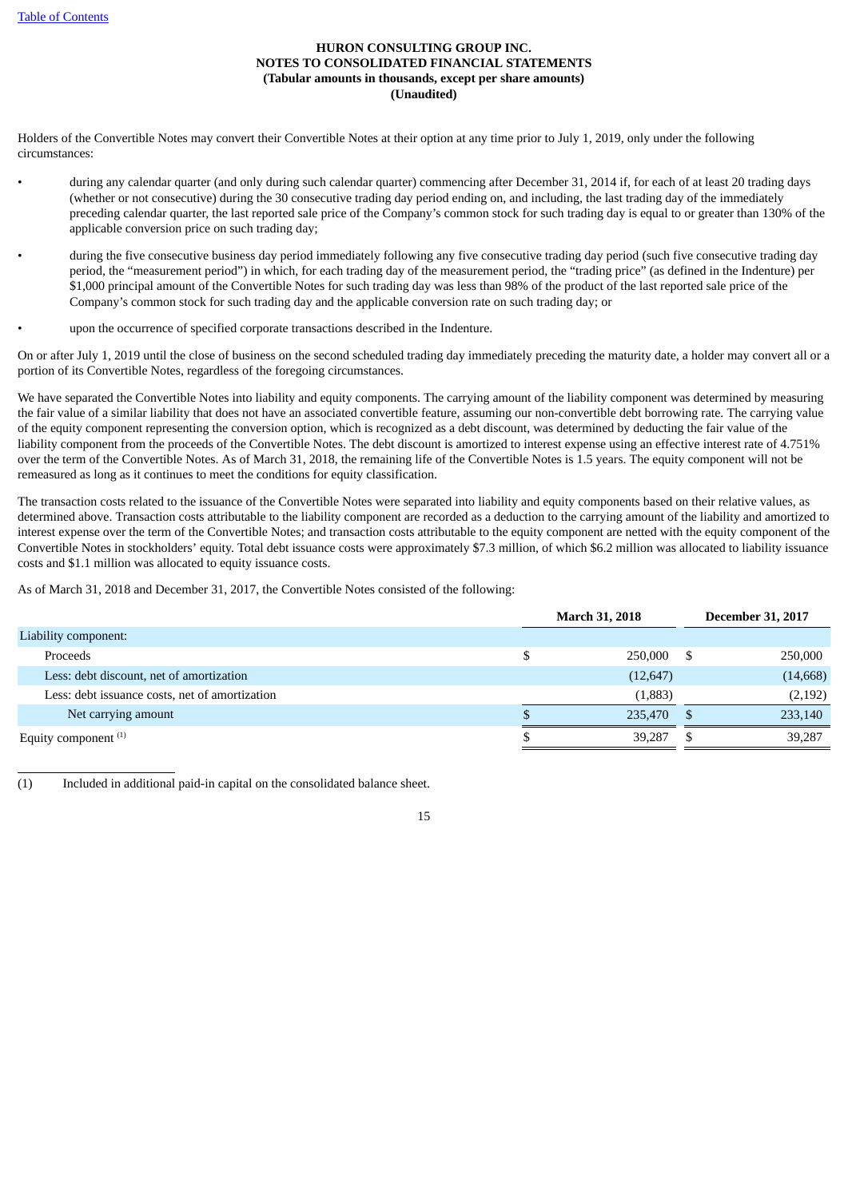Holders of the Convertible Notes may convert their Convertible Notes at their option at any time prior to July 1, 2019, only under the following circumstances:

- during any calendar quarter (and only during such calendar quarter) commencing after December 31, 2014 if, for each of at least 20 trading days (whether or not consecutive) during the 30 consecutive trading day period ending on, and including, the last trading day of the immediately preceding calendar quarter, the last reported sale price of the Company's common stock for such trading day is equal to or greater than 130% of the applicable conversion price on such trading day;
- during the five consecutive business day period immediately following any five consecutive trading day period (such five consecutive trading day period, the "measurement period") in which, for each trading day of the measurement period, the "trading price" (as defined in the Indenture) per \$1,000 principal amount of the Convertible Notes for such trading day was less than 98% of the product of the last reported sale price of the Company's common stock for such trading day and the applicable conversion rate on such trading day; or
- upon the occurrence of specified corporate transactions described in the Indenture.

On or after July 1, 2019 until the close of business on the second scheduled trading day immediately preceding the maturity date, a holder may convert all or a portion of its Convertible Notes, regardless of the foregoing circumstances.

We have separated the Convertible Notes into liability and equity components. The carrying amount of the liability component was determined by measuring the fair value of a similar liability that does not have an associated convertible feature, assuming our non-convertible debt borrowing rate. The carrying value of the equity component representing the conversion option, which is recognized as a debt discount, was determined by deducting the fair value of the liability component from the proceeds of the Convertible Notes. The debt discount is amortized to interest expense using an effective interest rate of 4.751% over the term of the Convertible Notes. As of March 31, 2018, the remaining life of the Convertible Notes is 1.5 years. The equity component will not be remeasured as long as it continues to meet the conditions for equity classification.

The transaction costs related to the issuance of the Convertible Notes were separated into liability and equity components based on their relative values, as determined above. Transaction costs attributable to the liability component are recorded as a deduction to the carrying amount of the liability and amortized to interest expense over the term of the Convertible Notes; and transaction costs attributable to the equity component are netted with the equity component of the Convertible Notes in stockholders' equity. Total debt issuance costs were approximately \$7.3 million, of which \$6.2 million was allocated to liability issuance costs and \$1.1 million was allocated to equity issuance costs.

As of March 31, 2018 and December 31, 2017, the Convertible Notes consisted of the following:

|                                                | <b>March 31, 2018</b> |           |      | <b>December 31, 2017</b> |
|------------------------------------------------|-----------------------|-----------|------|--------------------------|
| Liability component:                           |                       |           |      |                          |
| Proceeds                                       |                       | 250,000   | - \$ | 250,000                  |
| Less: debt discount, net of amortization       |                       | (12, 647) |      | (14, 668)                |
| Less: debt issuance costs, net of amortization |                       | (1,883)   |      | (2, 192)                 |
| Net carrying amount                            |                       | 235,470   |      | 233,140                  |
| Equity component $(1)$                         |                       | 39.287    |      | 39,287                   |
|                                                |                       |           |      |                          |

(1) Included in additional paid-in capital on the consolidated balance sheet.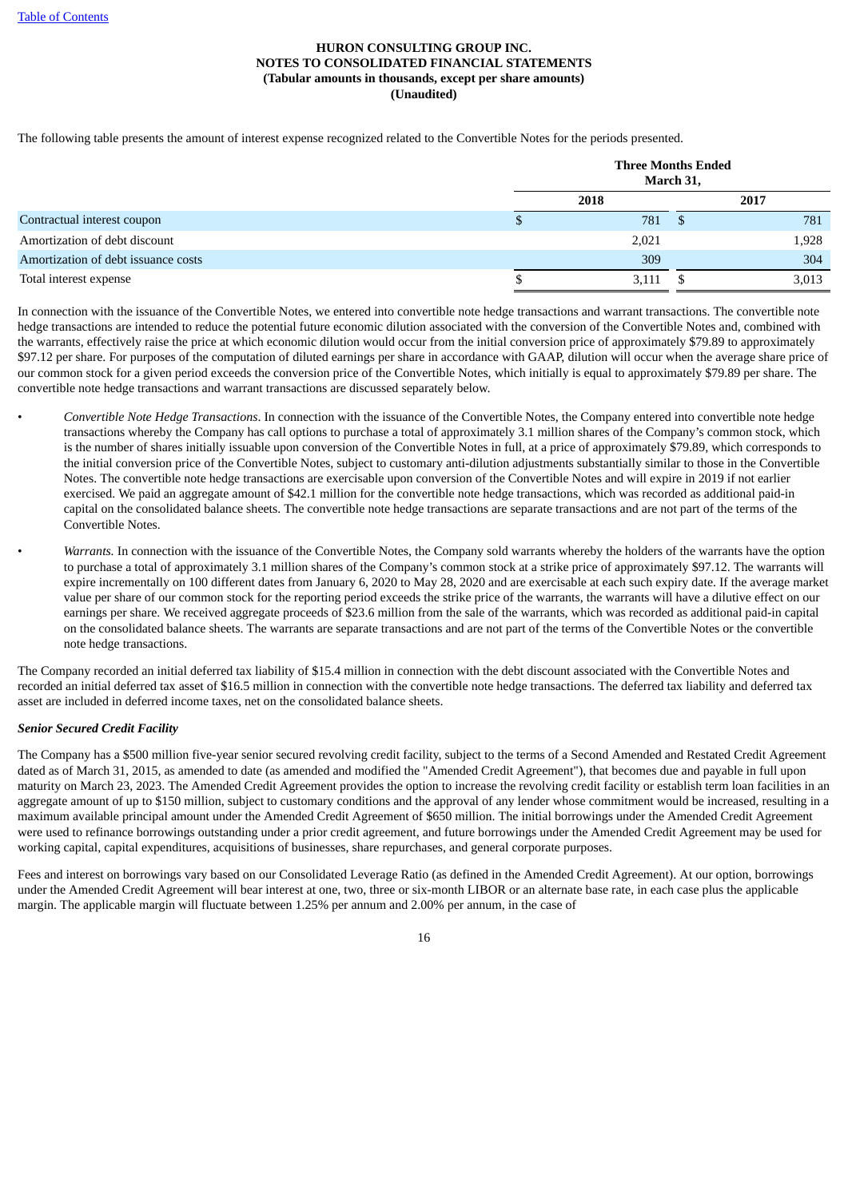The following table presents the amount of interest expense recognized related to the Convertible Notes for the periods presented.

|                                     | <b>Three Months Ended</b><br>March 31, |       |  |       |  |
|-------------------------------------|----------------------------------------|-------|--|-------|--|
|                                     | 2018                                   |       |  | 2017  |  |
| Contractual interest coupon         |                                        | 781   |  | 781   |  |
| Amortization of debt discount       |                                        | 2,021 |  | 1,928 |  |
| Amortization of debt issuance costs |                                        | 309   |  | 304   |  |
| Total interest expense              |                                        | 3,111 |  | 3,013 |  |

In connection with the issuance of the Convertible Notes, we entered into convertible note hedge transactions and warrant transactions. The convertible note hedge transactions are intended to reduce the potential future economic dilution associated with the conversion of the Convertible Notes and, combined with the warrants, effectively raise the price at which economic dilution would occur from the initial conversion price of approximately \$79.89 to approximately \$97.12 per share. For purposes of the computation of diluted earnings per share in accordance with GAAP, dilution will occur when the average share price of our common stock for a given period exceeds the conversion price of the Convertible Notes, which initially is equal to approximately \$79.89 per share. The convertible note hedge transactions and warrant transactions are discussed separately below.

- *Convertible Note Hedge Transactions*. In connection with the issuance of the Convertible Notes, the Company entered into convertible note hedge transactions whereby the Company has call options to purchase a total of approximately 3.1 million shares of the Company's common stock, which is the number of shares initially issuable upon conversion of the Convertible Notes in full, at a price of approximately \$79.89, which corresponds to the initial conversion price of the Convertible Notes, subject to customary anti-dilution adjustments substantially similar to those in the Convertible Notes. The convertible note hedge transactions are exercisable upon conversion of the Convertible Notes and will expire in 2019 if not earlier exercised. We paid an aggregate amount of \$42.1 million for the convertible note hedge transactions, which was recorded as additional paid-in capital on the consolidated balance sheets. The convertible note hedge transactions are separate transactions and are not part of the terms of the Convertible Notes.
- *Warrants.* In connection with the issuance of the Convertible Notes, the Company sold warrants whereby the holders of the warrants have the option to purchase a total of approximately 3.1 million shares of the Company's common stock at a strike price of approximately \$97.12. The warrants will expire incrementally on 100 different dates from January 6, 2020 to May 28, 2020 and are exercisable at each such expiry date. If the average market value per share of our common stock for the reporting period exceeds the strike price of the warrants, the warrants will have a dilutive effect on our earnings per share. We received aggregate proceeds of \$23.6 million from the sale of the warrants, which was recorded as additional paid-in capital on the consolidated balance sheets. The warrants are separate transactions and are not part of the terms of the Convertible Notes or the convertible note hedge transactions.

The Company recorded an initial deferred tax liability of \$15.4 million in connection with the debt discount associated with the Convertible Notes and recorded an initial deferred tax asset of \$16.5 million in connection with the convertible note hedge transactions. The deferred tax liability and deferred tax asset are included in deferred income taxes, net on the consolidated balance sheets.

## *Senior Secured Credit Facility*

The Company has a \$500 million five-year senior secured revolving credit facility, subject to the terms of a Second Amended and Restated Credit Agreement dated as of March 31, 2015, as amended to date (as amended and modified the "Amended Credit Agreement"), that becomes due and payable in full upon maturity on March 23, 2023. The Amended Credit Agreement provides the option to increase the revolving credit facility or establish term loan facilities in an aggregate amount of up to \$150 million, subject to customary conditions and the approval of any lender whose commitment would be increased, resulting in a maximum available principal amount under the Amended Credit Agreement of \$650 million. The initial borrowings under the Amended Credit Agreement were used to refinance borrowings outstanding under a prior credit agreement, and future borrowings under the Amended Credit Agreement may be used for working capital, capital expenditures, acquisitions of businesses, share repurchases, and general corporate purposes.

Fees and interest on borrowings vary based on our Consolidated Leverage Ratio (as defined in the Amended Credit Agreement). At our option, borrowings under the Amended Credit Agreement will bear interest at one, two, three or six-month LIBOR or an alternate base rate, in each case plus the applicable margin. The applicable margin will fluctuate between 1.25% per annum and 2.00% per annum, in the case of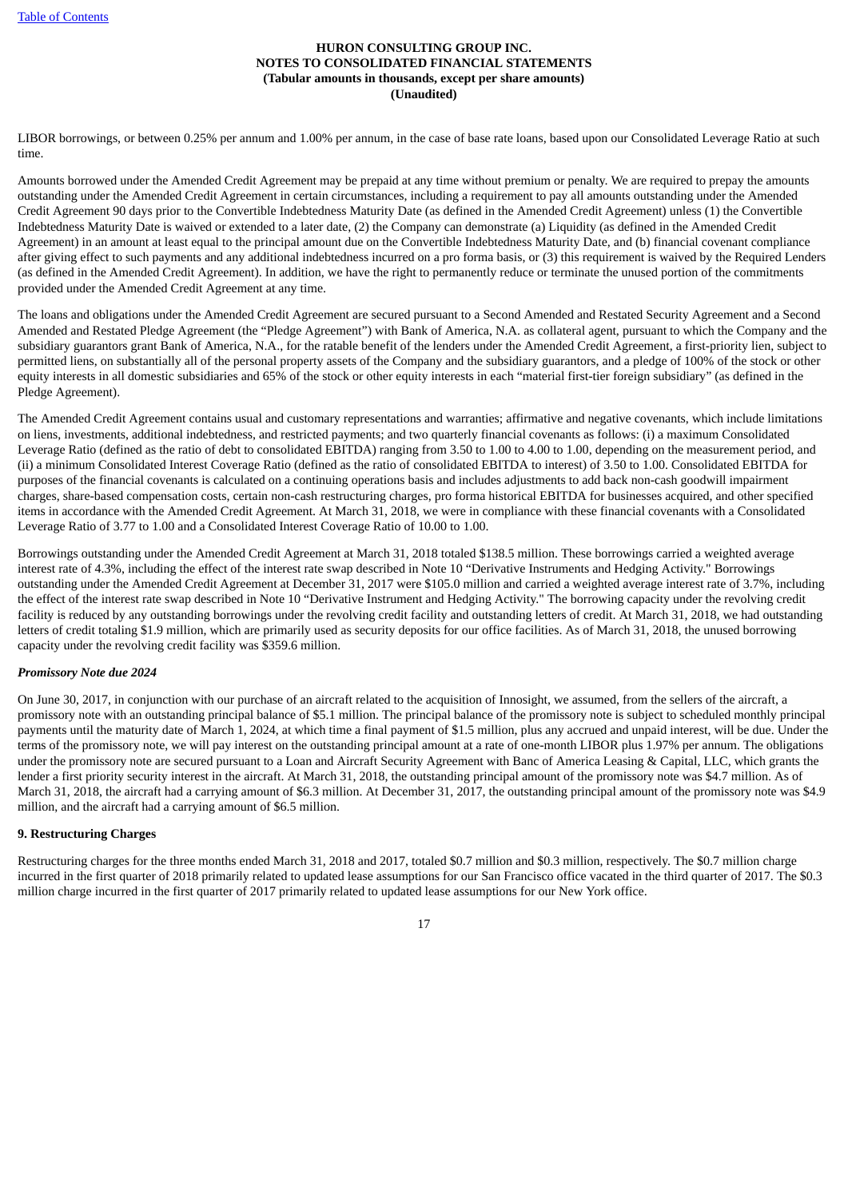LIBOR borrowings, or between 0.25% per annum and 1.00% per annum, in the case of base rate loans, based upon our Consolidated Leverage Ratio at such time.

Amounts borrowed under the Amended Credit Agreement may be prepaid at any time without premium or penalty. We are required to prepay the amounts outstanding under the Amended Credit Agreement in certain circumstances, including a requirement to pay all amounts outstanding under the Amended Credit Agreement 90 days prior to the Convertible Indebtedness Maturity Date (as defined in the Amended Credit Agreement) unless (1) the Convertible Indebtedness Maturity Date is waived or extended to a later date, (2) the Company can demonstrate (a) Liquidity (as defined in the Amended Credit Agreement) in an amount at least equal to the principal amount due on the Convertible Indebtedness Maturity Date, and (b) financial covenant compliance after giving effect to such payments and any additional indebtedness incurred on a pro forma basis, or (3) this requirement is waived by the Required Lenders (as defined in the Amended Credit Agreement). In addition, we have the right to permanently reduce or terminate the unused portion of the commitments provided under the Amended Credit Agreement at any time.

The loans and obligations under the Amended Credit Agreement are secured pursuant to a Second Amended and Restated Security Agreement and a Second Amended and Restated Pledge Agreement (the "Pledge Agreement") with Bank of America, N.A. as collateral agent, pursuant to which the Company and the subsidiary guarantors grant Bank of America, N.A., for the ratable benefit of the lenders under the Amended Credit Agreement, a first-priority lien, subject to permitted liens, on substantially all of the personal property assets of the Company and the subsidiary guarantors, and a pledge of 100% of the stock or other equity interests in all domestic subsidiaries and 65% of the stock or other equity interests in each "material first-tier foreign subsidiary" (as defined in the Pledge Agreement).

The Amended Credit Agreement contains usual and customary representations and warranties; affirmative and negative covenants, which include limitations on liens, investments, additional indebtedness, and restricted payments; and two quarterly financial covenants as follows: (i) a maximum Consolidated Leverage Ratio (defined as the ratio of debt to consolidated EBITDA) ranging from 3.50 to 1.00 to 4.00 to 1.00, depending on the measurement period, and (ii) a minimum Consolidated Interest Coverage Ratio (defined as the ratio of consolidated EBITDA to interest) of 3.50 to 1.00. Consolidated EBITDA for purposes of the financial covenants is calculated on a continuing operations basis and includes adjustments to add back non-cash goodwill impairment charges, share-based compensation costs, certain non-cash restructuring charges, pro forma historical EBITDA for businesses acquired, and other specified items in accordance with the Amended Credit Agreement. At March 31, 2018, we were in compliance with these financial covenants with a Consolidated Leverage Ratio of 3.77 to 1.00 and a Consolidated Interest Coverage Ratio of 10.00 to 1.00.

Borrowings outstanding under the Amended Credit Agreement at March 31, 2018 totaled \$138.5 million. These borrowings carried a weighted average interest rate of 4.3%, including the effect of the interest rate swap described in Note 10 "Derivative Instruments and Hedging Activity." Borrowings outstanding under the Amended Credit Agreement at December 31, 2017 were \$105.0 million and carried a weighted average interest rate of 3.7%, including the effect of the interest rate swap described in Note 10 "Derivative Instrument and Hedging Activity." The borrowing capacity under the revolving credit facility is reduced by any outstanding borrowings under the revolving credit facility and outstanding letters of credit. At March 31, 2018, we had outstanding letters of credit totaling \$1.9 million, which are primarily used as security deposits for our office facilities. As of March 31, 2018, the unused borrowing capacity under the revolving credit facility was \$359.6 million.

## *Promissory Note due 2024*

On June 30, 2017, in conjunction with our purchase of an aircraft related to the acquisition of Innosight, we assumed, from the sellers of the aircraft, a promissory note with an outstanding principal balance of \$5.1 million. The principal balance of the promissory note is subject to scheduled monthly principal payments until the maturity date of March 1, 2024, at which time a final payment of \$1.5 million, plus any accrued and unpaid interest, will be due. Under the terms of the promissory note, we will pay interest on the outstanding principal amount at a rate of one-month LIBOR plus 1.97% per annum. The obligations under the promissory note are secured pursuant to a Loan and Aircraft Security Agreement with Banc of America Leasing & Capital, LLC, which grants the lender a first priority security interest in the aircraft. At March 31, 2018, the outstanding principal amount of the promissory note was \$4.7 million. As of March 31, 2018, the aircraft had a carrying amount of \$6.3 million. At December 31, 2017, the outstanding principal amount of the promissory note was \$4.9 million, and the aircraft had a carrying amount of \$6.5 million.

## **9. Restructuring Charges**

Restructuring charges for the three months ended March 31, 2018 and 2017, totaled \$0.7 million and \$0.3 million, respectively. The \$0.7 million charge incurred in the first quarter of 2018 primarily related to updated lease assumptions for our San Francisco office vacated in the third quarter of 2017. The \$0.3 million charge incurred in the first quarter of 2017 primarily related to updated lease assumptions for our New York office.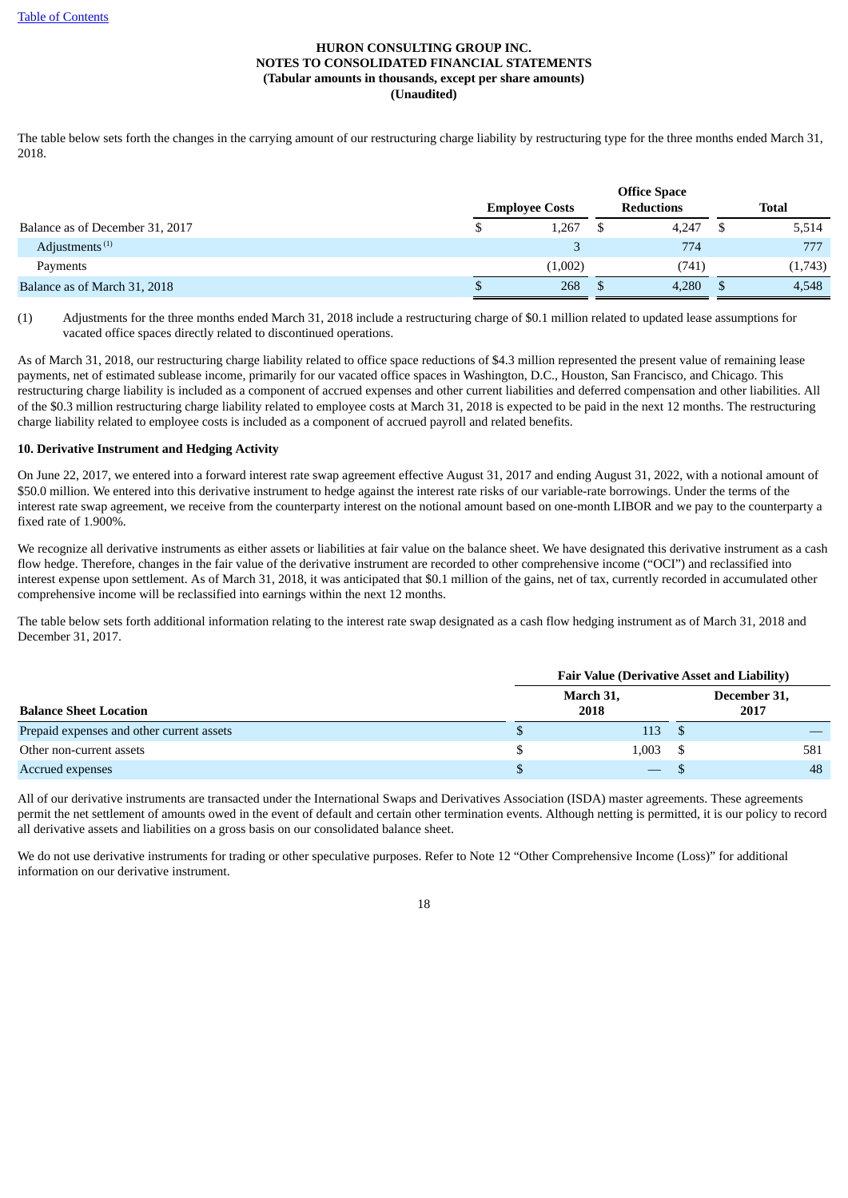The table below sets forth the changes in the carrying amount of our restructuring charge liability by restructuring type for the three months ended March 31, 2018.

|                                 | <b>Employee Costs</b> |         | <b>Office Space</b><br><b>Reductions</b> |       |  | <b>Total</b> |  |  |
|---------------------------------|-----------------------|---------|------------------------------------------|-------|--|--------------|--|--|
| Balance as of December 31, 2017 | S                     | 1,267   |                                          | 4,247 |  | 5,514        |  |  |
| Adjustments <sup>(1)</sup>      |                       |         |                                          | 774   |  | 777          |  |  |
| Payments                        |                       | (1,002) |                                          | (741) |  | (1,743)      |  |  |
| Balance as of March 31, 2018    |                       | 268     | J.                                       | 4,280 |  | 4,548        |  |  |

(1) Adjustments for the three months ended March 31, 2018 include a restructuring charge of \$0.1 million related to updated lease assumptions for vacated office spaces directly related to discontinued operations.

As of March 31, 2018, our restructuring charge liability related to office space reductions of \$4.3 million represented the present value of remaining lease payments, net of estimated sublease income, primarily for our vacated office spaces in Washington, D.C., Houston, San Francisco, and Chicago. This restructuring charge liability is included as a component of accrued expenses and other current liabilities and deferred compensation and other liabilities. All of the \$0.3 million restructuring charge liability related to employee costs at March 31, 2018 is expected to be paid in the next 12 months. The restructuring charge liability related to employee costs is included as a component of accrued payroll and related benefits.

## **10. Derivative Instrument and Hedging Activity**

On June 22, 2017, we entered into a forward interest rate swap agreement effective August 31, 2017 and ending August 31, 2022, with a notional amount of \$50.0 million. We entered into this derivative instrument to hedge against the interest rate risks of our variable-rate borrowings. Under the terms of the interest rate swap agreement, we receive from the counterparty interest on the notional amount based on one-month LIBOR and we pay to the counterparty a fixed rate of 1.900%.

We recognize all derivative instruments as either assets or liabilities at fair value on the balance sheet. We have designated this derivative instrument as a cash flow hedge. Therefore, changes in the fair value of the derivative instrument are recorded to other comprehensive income ("OCI") and reclassified into interest expense upon settlement. As of March 31, 2018, it was anticipated that \$0.1 million of the gains, net of tax, currently recorded in accumulated other comprehensive income will be reclassified into earnings within the next 12 months.

The table below sets forth additional information relating to the interest rate swap designated as a cash flow hedging instrument as of March 31, 2018 and December 31, 2017.

| <b>Balance Sheet Location</b>             |  | <b>Fair Value (Derivative Asset and Liability)</b> |  |                      |
|-------------------------------------------|--|----------------------------------------------------|--|----------------------|
|                                           |  | March 31,<br>2018                                  |  | December 31,<br>2017 |
| Prepaid expenses and other current assets |  | 113                                                |  |                      |
| Other non-current assets                  |  | 1.003                                              |  | 581                  |
| Accrued expenses                          |  | $\hspace{0.1mm}-\hspace{0.1mm}$                    |  | 48                   |

All of our derivative instruments are transacted under the International Swaps and Derivatives Association (ISDA) master agreements. These agreements permit the net settlement of amounts owed in the event of default and certain other termination events. Although netting is permitted, it is our policy to record all derivative assets and liabilities on a gross basis on our consolidated balance sheet.

We do not use derivative instruments for trading or other speculative purposes. Refer to Note 12 "Other Comprehensive Income (Loss)" for additional information on our derivative instrument.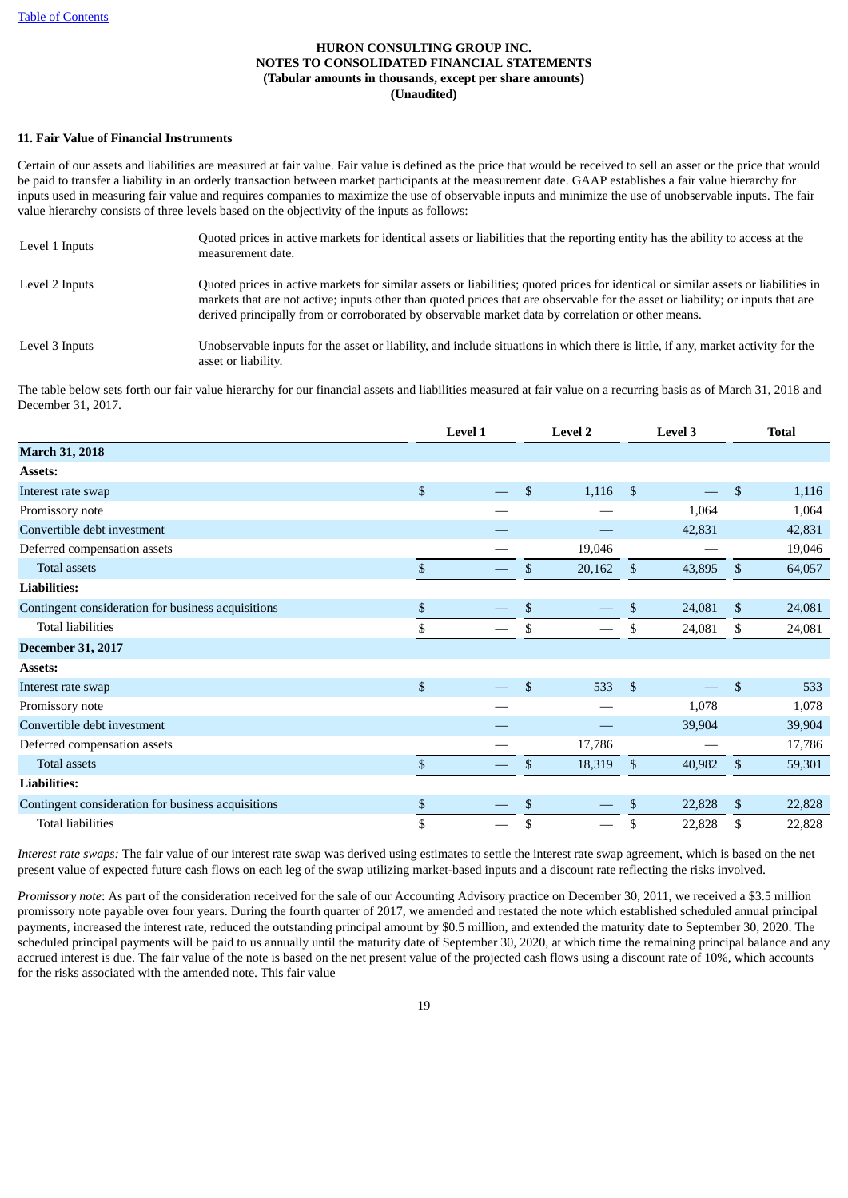## **11. Fair Value of Financial Instruments**

asset or liability.

Certain of our assets and liabilities are measured at fair value. Fair value is defined as the price that would be received to sell an asset or the price that would be paid to transfer a liability in an orderly transaction between market participants at the measurement date. GAAP establishes a fair value hierarchy for inputs used in measuring fair value and requires companies to maximize the use of observable inputs and minimize the use of unobservable inputs. The fair value hierarchy consists of three levels based on the objectivity of the inputs as follows:

| Level 1 Inputs | Quoted prices in active markets for identical assets or liabilities that the reporting entity has the ability to access at the<br>measurement date.                                                                                                                                                                                                                        |
|----------------|----------------------------------------------------------------------------------------------------------------------------------------------------------------------------------------------------------------------------------------------------------------------------------------------------------------------------------------------------------------------------|
| Level 2 Inputs | Quoted prices in active markets for similar assets or liabilities; quoted prices for identical or similar assets or liabilities in<br>markets that are not active; inputs other than quoted prices that are observable for the asset or liability; or inputs that are<br>derived principally from or corroborated by observable market data by correlation or other means. |
| Level 3 Inputs | Unobservable inputs for the asset or liability, and include situations in which there is little, if any, market activity for the                                                                                                                                                                                                                                           |

The table below sets forth our fair value hierarchy for our financial assets and liabilities measured at fair value on a recurring basis as of March 31, 2018 and December 31, 2017.

|                                                    | <b>Level 1</b> | <b>Level 2</b> |                | <b>Level 3</b> |                |        |  | <b>Total</b> |
|----------------------------------------------------|----------------|----------------|----------------|----------------|----------------|--------|--|--------------|
| March 31, 2018                                     |                |                |                |                |                |        |  |              |
| Assets:                                            |                |                |                |                |                |        |  |              |
| Interest rate swap                                 | \$             | \$<br>1,116    | $\mathcal{S}$  |                | \$             | 1,116  |  |              |
| Promissory note                                    |                |                |                | 1,064          |                | 1,064  |  |              |
| Convertible debt investment                        |                |                |                | 42,831         |                | 42,831 |  |              |
| Deferred compensation assets                       |                | 19,046         |                |                |                | 19,046 |  |              |
| <b>Total assets</b>                                | \$             | \$<br>20,162   | $\mathfrak{S}$ | 43,895         | \$             | 64,057 |  |              |
| <b>Liabilities:</b>                                |                |                |                |                |                |        |  |              |
| Contingent consideration for business acquisitions | \$             | \$             |                | 24,081         | \$             | 24,081 |  |              |
| <b>Total liabilities</b>                           | \$             | \$             | \$             | 24,081         | \$             | 24,081 |  |              |
| <b>December 31, 2017</b>                           |                |                |                |                |                |        |  |              |
| Assets:                                            |                |                |                |                |                |        |  |              |
| Interest rate swap                                 | \$             | \$<br>533      | $\mathcal{S}$  |                | \$             | 533    |  |              |
| Promissory note                                    |                |                |                | 1,078          |                | 1,078  |  |              |
| Convertible debt investment                        |                |                |                | 39,904         |                | 39,904 |  |              |
| Deferred compensation assets                       |                | 17,786         |                |                |                | 17,786 |  |              |
| Total assets                                       | \$             | \$<br>18,319   | $\mathfrak{S}$ | 40,982         | $\mathfrak{s}$ | 59,301 |  |              |
| <b>Liabilities:</b>                                |                |                |                |                |                |        |  |              |
| Contingent consideration for business acquisitions | \$             | \$             | \$             | 22,828         | \$             | 22,828 |  |              |
| <b>Total liabilities</b>                           | \$             | \$             | \$             | 22,828         | \$             | 22,828 |  |              |
|                                                    |                |                |                |                |                |        |  |              |

*Interest rate swaps:* The fair value of our interest rate swap was derived using estimates to settle the interest rate swap agreement, which is based on the net present value of expected future cash flows on each leg of the swap utilizing market-based inputs and a discount rate reflecting the risks involved.

*Promissory note*: As part of the consideration received for the sale of our Accounting Advisory practice on December 30, 2011, we received a \$3.5 million promissory note payable over four years. During the fourth quarter of 2017, we amended and restated the note which established scheduled annual principal payments, increased the interest rate, reduced the outstanding principal amount by \$0.5 million, and extended the maturity date to September 30, 2020. The scheduled principal payments will be paid to us annually until the maturity date of September 30, 2020, at which time the remaining principal balance and any accrued interest is due. The fair value of the note is based on the net present value of the projected cash flows using a discount rate of 10%, which accounts for the risks associated with the amended note. This fair value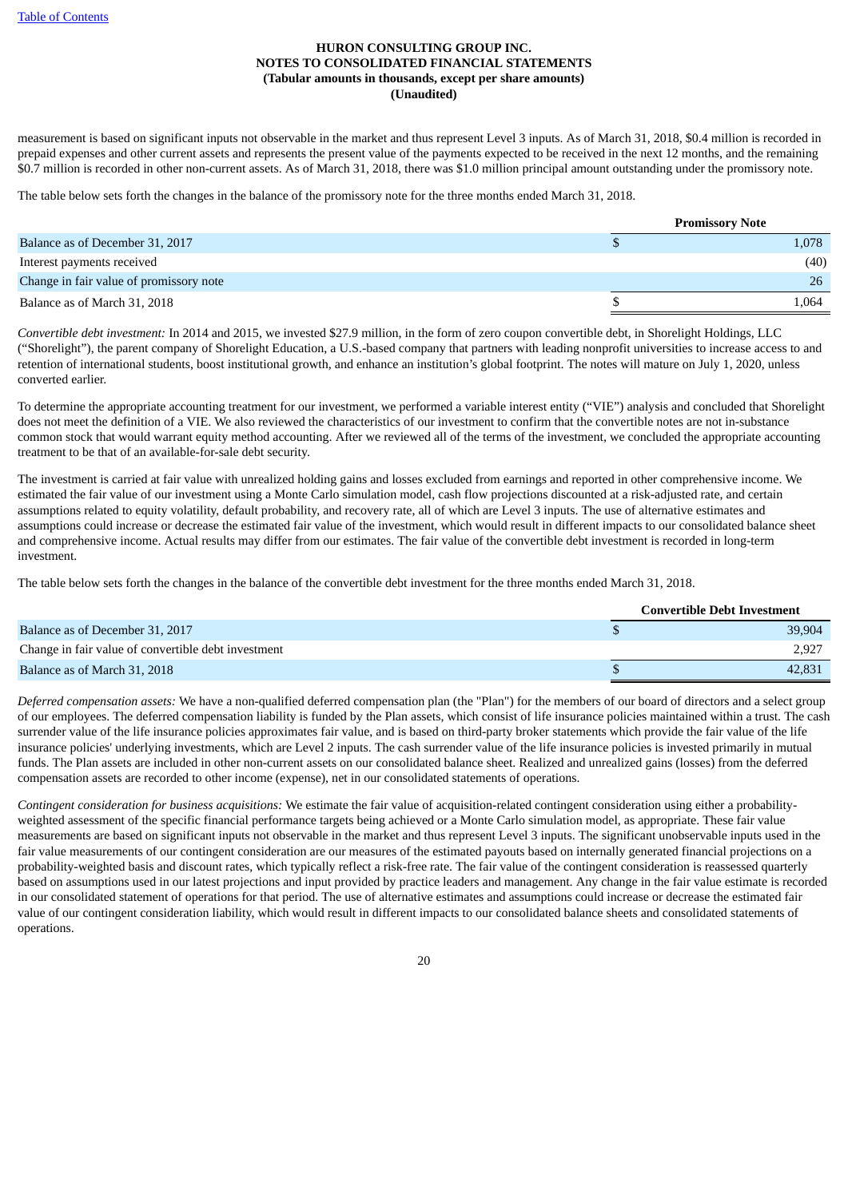measurement is based on significant inputs not observable in the market and thus represent Level 3 inputs. As of March 31, 2018, \$0.4 million is recorded in prepaid expenses and other current assets and represents the present value of the payments expected to be received in the next 12 months, and the remaining \$0.7 million is recorded in other non-current assets. As of March 31, 2018, there was \$1.0 million principal amount outstanding under the promissory note.

The table below sets forth the changes in the balance of the promissory note for the three months ended March 31, 2018.

|                                         | <b>Promissory Note</b> |       |
|-----------------------------------------|------------------------|-------|
| Balance as of December 31, 2017         |                        | 1,078 |
| Interest payments received              |                        | (40)  |
| Change in fair value of promissory note |                        | 26    |
| Balance as of March 31, 2018            |                        | 1,064 |

*Convertible debt investment:* In 2014 and 2015, we invested \$27.9 million, in the form of zero coupon convertible debt, in Shorelight Holdings, LLC ("Shorelight"), the parent company of Shorelight Education, a U.S.-based company that partners with leading nonprofit universities to increase access to and retention of international students, boost institutional growth, and enhance an institution's global footprint. The notes will mature on July 1, 2020, unless converted earlier.

To determine the appropriate accounting treatment for our investment, we performed a variable interest entity ("VIE") analysis and concluded that Shorelight does not meet the definition of a VIE. We also reviewed the characteristics of our investment to confirm that the convertible notes are not in-substance common stock that would warrant equity method accounting. After we reviewed all of the terms of the investment, we concluded the appropriate accounting treatment to be that of an available-for-sale debt security.

The investment is carried at fair value with unrealized holding gains and losses excluded from earnings and reported in other comprehensive income. We estimated the fair value of our investment using a Monte Carlo simulation model, cash flow projections discounted at a risk-adjusted rate, and certain assumptions related to equity volatility, default probability, and recovery rate, all of which are Level 3 inputs. The use of alternative estimates and assumptions could increase or decrease the estimated fair value of the investment, which would result in different impacts to our consolidated balance sheet and comprehensive income. Actual results may differ from our estimates. The fair value of the convertible debt investment is recorded in long-term investment.

The table below sets forth the changes in the balance of the convertible debt investment for the three months ended March 31, 2018.

|                                                     | <b>Convertible Debt Investment</b> |
|-----------------------------------------------------|------------------------------------|
| Balance as of December 31, 2017                     | 39,904                             |
| Change in fair value of convertible debt investment | 2,927                              |
| Balance as of March 31, 2018                        | 42.831                             |

*Deferred compensation assets:* We have a non-qualified deferred compensation plan (the "Plan") for the members of our board of directors and a select group of our employees. The deferred compensation liability is funded by the Plan assets, which consist of life insurance policies maintained within a trust. The cash surrender value of the life insurance policies approximates fair value, and is based on third-party broker statements which provide the fair value of the life insurance policies' underlying investments, which are Level 2 inputs. The cash surrender value of the life insurance policies is invested primarily in mutual funds. The Plan assets are included in other non-current assets on our consolidated balance sheet. Realized and unrealized gains (losses) from the deferred compensation assets are recorded to other income (expense), net in our consolidated statements of operations.

*Contingent consideration for business acquisitions:* We estimate the fair value of acquisition-related contingent consideration using either a probabilityweighted assessment of the specific financial performance targets being achieved or a Monte Carlo simulation model, as appropriate. These fair value measurements are based on significant inputs not observable in the market and thus represent Level 3 inputs. The significant unobservable inputs used in the fair value measurements of our contingent consideration are our measures of the estimated payouts based on internally generated financial projections on a probability-weighted basis and discount rates, which typically reflect a risk-free rate. The fair value of the contingent consideration is reassessed quarterly based on assumptions used in our latest projections and input provided by practice leaders and management. Any change in the fair value estimate is recorded in our consolidated statement of operations for that period. The use of alternative estimates and assumptions could increase or decrease the estimated fair value of our contingent consideration liability, which would result in different impacts to our consolidated balance sheets and consolidated statements of operations.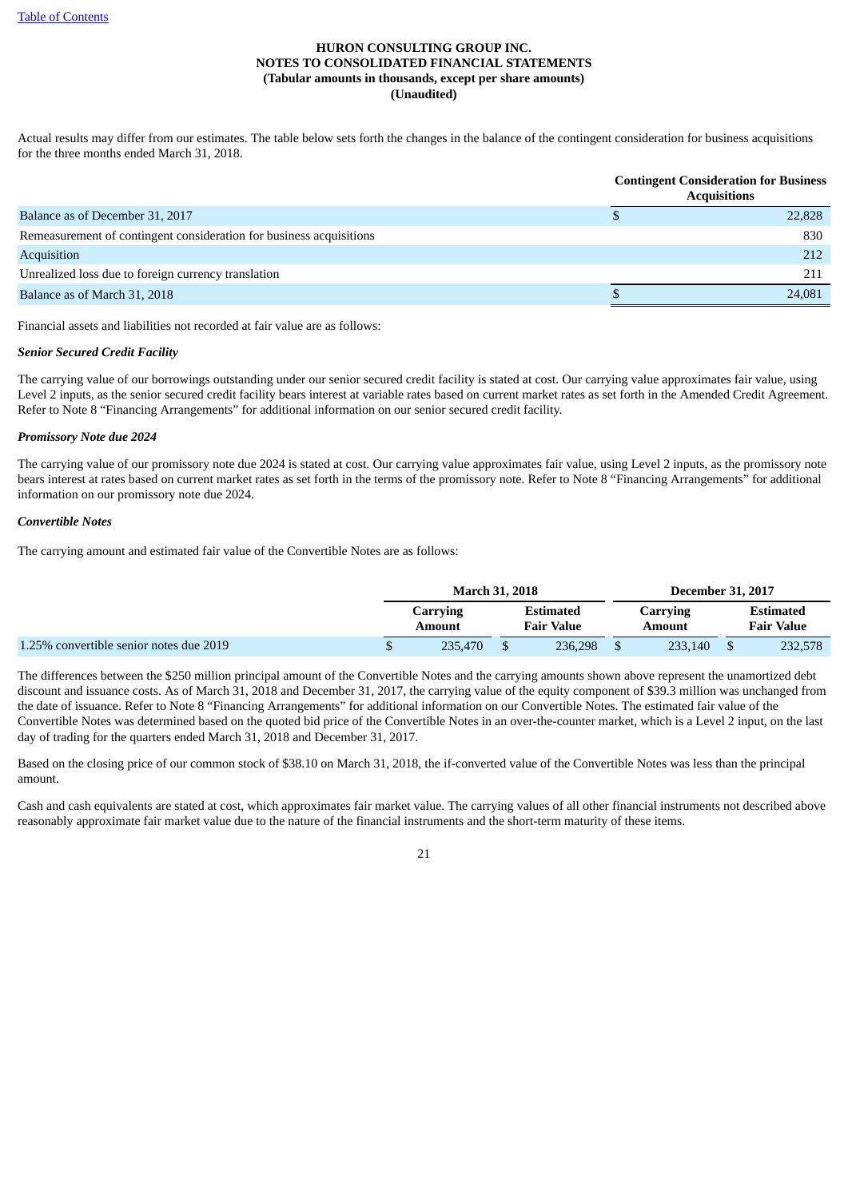Actual results may differ from our estimates. The table below sets forth the changes in the balance of the contingent consideration for business acquisitions for the three months ended March 31, 2018.

|                                                                     | <b>Contingent Consideration for Business</b><br><b>Acquisitions</b> |     |
|---------------------------------------------------------------------|---------------------------------------------------------------------|-----|
| Balance as of December 31, 2017                                     | 22,828                                                              |     |
| Remeasurement of contingent consideration for business acquisitions |                                                                     | 830 |
| Acquisition                                                         |                                                                     | 212 |
| Unrealized loss due to foreign currency translation                 |                                                                     | 211 |
| Balance as of March 31, 2018                                        | 24,081                                                              |     |

Financial assets and liabilities not recorded at fair value are as follows:

#### *Senior Secured Credit Facility*

The carrying value of our borrowings outstanding under our senior secured credit facility is stated at cost. Our carrying value approximates fair value, using Level 2 inputs, as the senior secured credit facility bears interest at variable rates based on current market rates as set forth in the Amended Credit Agreement. Refer to Note 8 "Financing Arrangements" for additional information on our senior secured credit facility.

#### *Promissory Note due 2024*

The carrying value of our promissory note due 2024 is stated at cost. Our carrying value approximates fair value, using Level 2 inputs, as the promissory note bears interest at rates based on current market rates as set forth in the terms of the promissory note. Refer to Note 8 "Financing Arrangements" for additional information on our promissory note due 2024.

#### *Convertible Notes*

The carrying amount and estimated fair value of the Convertible Notes are as follows:

|                                         | <b>March 31, 2018</b> |                         | <b>December 31, 2017</b> |                                |
|-----------------------------------------|-----------------------|-------------------------|--------------------------|--------------------------------|
|                                         | Carrying<br>Amount    | Estimated<br>Fair Value | Carrying<br>Amount       | <b>Estimated</b><br>Fair Value |
| 1.25% convertible senior notes due 2019 | 235,470               | 236,298                 | 233.140                  | 232,578                        |

The differences between the \$250 million principal amount of the Convertible Notes and the carrying amounts shown above represent the unamortized debt discount and issuance costs. As of March 31, 2018 and December 31, 2017, the carrying value of the equity component of \$39.3 million was unchanged from the date of issuance. Refer to Note 8 "Financing Arrangements" for additional information on our Convertible Notes. The estimated fair value of the Convertible Notes was determined based on the quoted bid price of the Convertible Notes in an over-the-counter market, which is a Level 2 input, on the last day of trading for the quarters ended March 31, 2018 and December 31, 2017.

Based on the closing price of our common stock of \$38.10 on March 31, 2018, the if-converted value of the Convertible Notes was less than the principal amount.

Cash and cash equivalents are stated at cost, which approximates fair market value. The carrying values of all other financial instruments not described above reasonably approximate fair market value due to the nature of the financial instruments and the short-term maturity of these items.

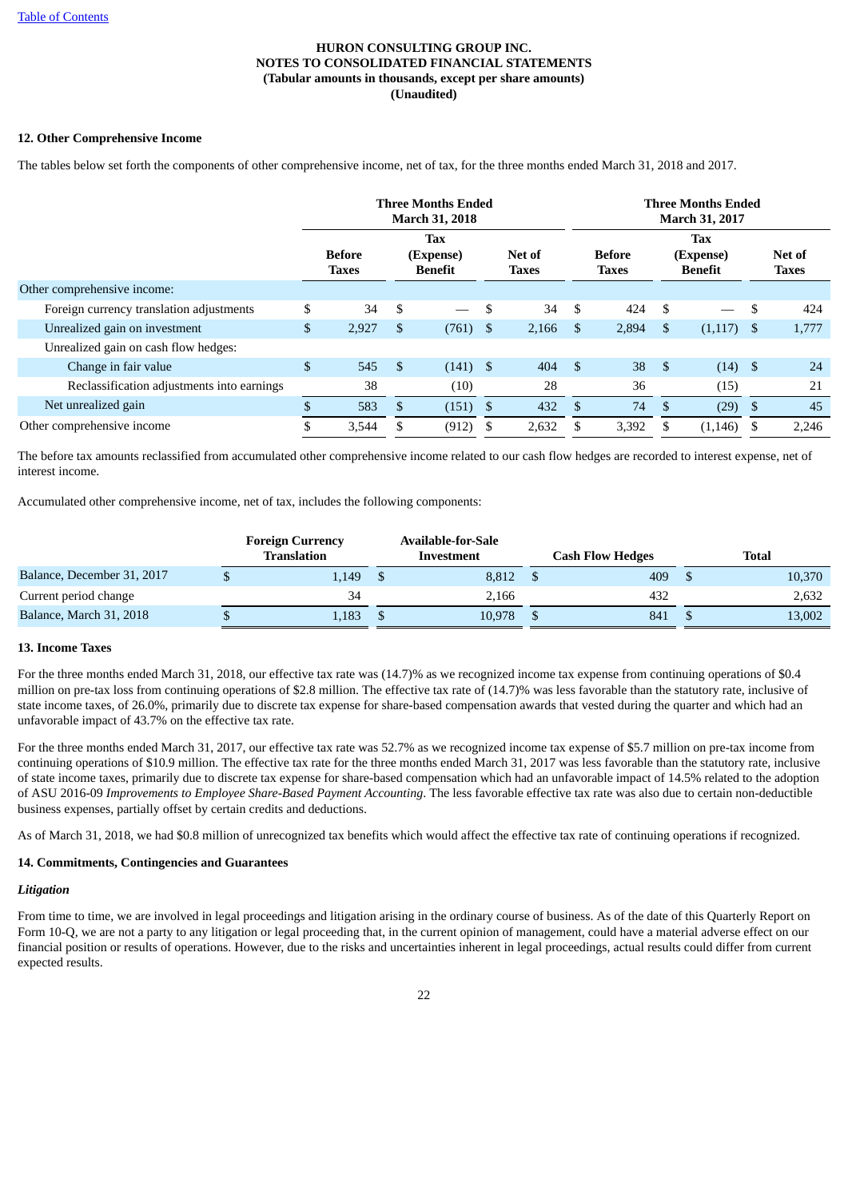## **12. Other Comprehensive Income**

The tables below set forth the components of other comprehensive income, net of tax, for the three months ended March 31, 2018 and 2017.

|                                            |                | <b>Three Months Ended</b><br><b>March 31, 2018</b> |     |                                    |     |                        |               |                               |               | <b>Three Months Ended</b><br><b>March 31, 2017</b> |              |                        |
|--------------------------------------------|----------------|----------------------------------------------------|-----|------------------------------------|-----|------------------------|---------------|-------------------------------|---------------|----------------------------------------------------|--------------|------------------------|
|                                            |                | <b>Before</b><br><b>Taxes</b>                      |     | Tax<br>(Expense)<br><b>Benefit</b> |     | Net of<br><b>Taxes</b> |               | <b>Before</b><br><b>Taxes</b> |               | <b>Tax</b><br>(Expense)<br><b>Benefit</b>          |              | Net of<br><b>Taxes</b> |
| Other comprehensive income:                |                |                                                    |     |                                    |     |                        |               |                               |               |                                                    |              |                        |
| Foreign currency translation adjustments   | \$             | 34                                                 | \$  |                                    | \$  | 34                     | S             | 424                           | -\$           |                                                    | \$           | 424                    |
| Unrealized gain on investment              | \$             | 2,927                                              | \$. | (761)                              | -\$ | 2,166                  | \$.           | 2,894                         | -S            | $(1,117)$ \$                                       |              | 1,777                  |
| Unrealized gain on cash flow hedges:       |                |                                                    |     |                                    |     |                        |               |                               |               |                                                    |              |                        |
| Change in fair value                       | \$             | 545                                                | \$  | $(141)$ \$                         |     | 404                    | <sup>\$</sup> | 38                            | - \$          | $(14)$ \$                                          |              | 24                     |
| Reclassification adjustments into earnings |                | 38                                                 |     | (10)                               |     | 28                     |               | 36                            |               | (15)                                               |              | 21                     |
| Net unrealized gain                        | $\mathfrak{L}$ | 583                                                | \$  | (151)                              | \$  | 432                    | \$            | 74                            | $\mathcal{S}$ | (29)                                               | $\mathsf{S}$ | 45                     |
| Other comprehensive income                 | \$             | 3,544                                              |     | (912)                              | S   | 2,632                  | \$            | 3,392                         | S             | (1, 146)                                           | -S           | 2,246                  |

The before tax amounts reclassified from accumulated other comprehensive income related to our cash flow hedges are recorded to interest expense, net of interest income.

Accumulated other comprehensive income, net of tax, includes the following components:

|                            | <b>Foreign Currency</b><br>Translation | <b>Available-for-Sale</b><br>Investment | <b>Cash Flow Hedges</b> | <b>Total</b> |
|----------------------------|----------------------------------------|-----------------------------------------|-------------------------|--------------|
| Balance, December 31, 2017 | 1.149                                  | 8.812                                   | 409                     | 10,370       |
| Current period change      | 34                                     | 2,166                                   | 432                     | 2,632        |
| Balance, March 31, 2018    | 1,183                                  | 10,978                                  | 841                     | 13,002       |

## **13. Income Taxes**

For the three months ended March 31, 2018, our effective tax rate was  $(14.7)$ % as we recognized income tax expense from continuing operations of \$0.4 million on pre-tax loss from continuing operations of \$2.8 million. The effective tax rate of (14.7)% was less favorable than the statutory rate, inclusive of state income taxes, of 26.0%, primarily due to discrete tax expense for share-based compensation awards that vested during the quarter and which had an unfavorable impact of 43.7% on the effective tax rate.

For the three months ended March 31, 2017, our effective tax rate was 52.7% as we recognized income tax expense of \$5.7 million on pre-tax income from continuing operations of \$10.9 million. The effective tax rate for the three months ended March 31, 2017 was less favorable than the statutory rate, inclusive of state income taxes, primarily due to discrete tax expense for share-based compensation which had an unfavorable impact of 14.5% related to the adoption of ASU 2016-09 *Improvements to Employee Share-Based Payment Accounting*. The less favorable effective tax rate was also due to certain non-deductible business expenses, partially offset by certain credits and deductions.

As of March 31, 2018, we had \$0.8 million of unrecognized tax benefits which would affect the effective tax rate of continuing operations if recognized.

## **14. Commitments, Contingencies and Guarantees**

#### *Litigation*

From time to time, we are involved in legal proceedings and litigation arising in the ordinary course of business. As of the date of this Quarterly Report on Form 10-Q, we are not a party to any litigation or legal proceeding that, in the current opinion of management, could have a material adverse effect on our financial position or results of operations. However, due to the risks and uncertainties inherent in legal proceedings, actual results could differ from current expected results.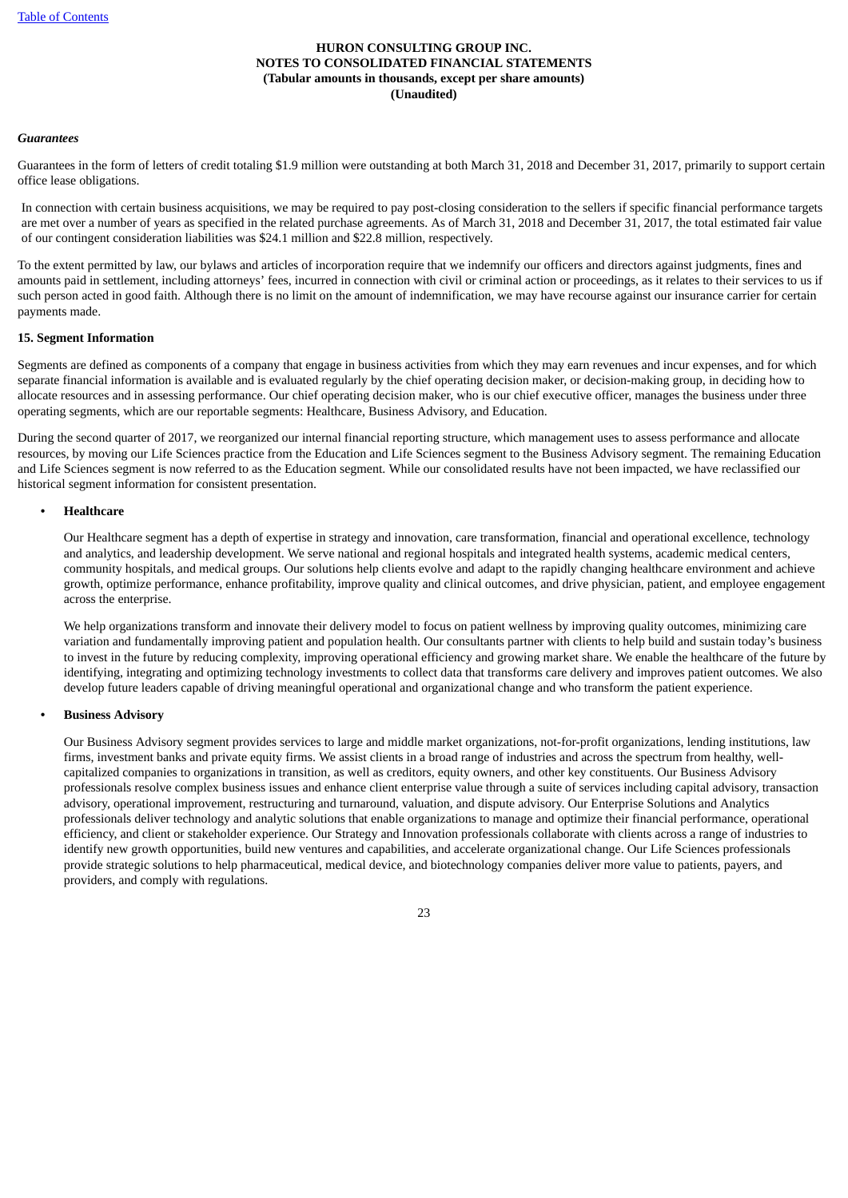#### *Guarantees*

Guarantees in the form of letters of credit totaling \$1.9 million were outstanding at both March 31, 2018 and December 31, 2017, primarily to support certain office lease obligations.

In connection with certain business acquisitions, we may be required to pay post-closing consideration to the sellers if specific financial performance targets are met over a number of years as specified in the related purchase agreements. As of March 31, 2018 and December 31, 2017, the total estimated fair value of our contingent consideration liabilities was \$24.1 million and \$22.8 million, respectively.

To the extent permitted by law, our bylaws and articles of incorporation require that we indemnify our officers and directors against judgments, fines and amounts paid in settlement, including attorneys' fees, incurred in connection with civil or criminal action or proceedings, as it relates to their services to us if such person acted in good faith. Although there is no limit on the amount of indemnification, we may have recourse against our insurance carrier for certain payments made.

#### **15. Segment Information**

Segments are defined as components of a company that engage in business activities from which they may earn revenues and incur expenses, and for which separate financial information is available and is evaluated regularly by the chief operating decision maker, or decision-making group, in deciding how to allocate resources and in assessing performance. Our chief operating decision maker, who is our chief executive officer, manages the business under three operating segments, which are our reportable segments: Healthcare, Business Advisory, and Education.

During the second quarter of 2017, we reorganized our internal financial reporting structure, which management uses to assess performance and allocate resources, by moving our Life Sciences practice from the Education and Life Sciences segment to the Business Advisory segment. The remaining Education and Life Sciences segment is now referred to as the Education segment. While our consolidated results have not been impacted, we have reclassified our historical segment information for consistent presentation.

#### **• Healthcare**

Our Healthcare segment has a depth of expertise in strategy and innovation, care transformation, financial and operational excellence, technology and analytics, and leadership development. We serve national and regional hospitals and integrated health systems, academic medical centers, community hospitals, and medical groups. Our solutions help clients evolve and adapt to the rapidly changing healthcare environment and achieve growth, optimize performance, enhance profitability, improve quality and clinical outcomes, and drive physician, patient, and employee engagement across the enterprise.

We help organizations transform and innovate their delivery model to focus on patient wellness by improving quality outcomes, minimizing care variation and fundamentally improving patient and population health. Our consultants partner with clients to help build and sustain today's business to invest in the future by reducing complexity, improving operational efficiency and growing market share. We enable the healthcare of the future by identifying, integrating and optimizing technology investments to collect data that transforms care delivery and improves patient outcomes. We also develop future leaders capable of driving meaningful operational and organizational change and who transform the patient experience.

#### **• Business Advisory**

Our Business Advisory segment provides services to large and middle market organizations, not-for-profit organizations, lending institutions, law firms, investment banks and private equity firms. We assist clients in a broad range of industries and across the spectrum from healthy, wellcapitalized companies to organizations in transition, as well as creditors, equity owners, and other key constituents. Our Business Advisory professionals resolve complex business issues and enhance client enterprise value through a suite of services including capital advisory, transaction advisory, operational improvement, restructuring and turnaround, valuation, and dispute advisory. Our Enterprise Solutions and Analytics professionals deliver technology and analytic solutions that enable organizations to manage and optimize their financial performance, operational efficiency, and client or stakeholder experience. Our Strategy and Innovation professionals collaborate with clients across a range of industries to identify new growth opportunities, build new ventures and capabilities, and accelerate organizational change. Our Life Sciences professionals provide strategic solutions to help pharmaceutical, medical device, and biotechnology companies deliver more value to patients, payers, and providers, and comply with regulations.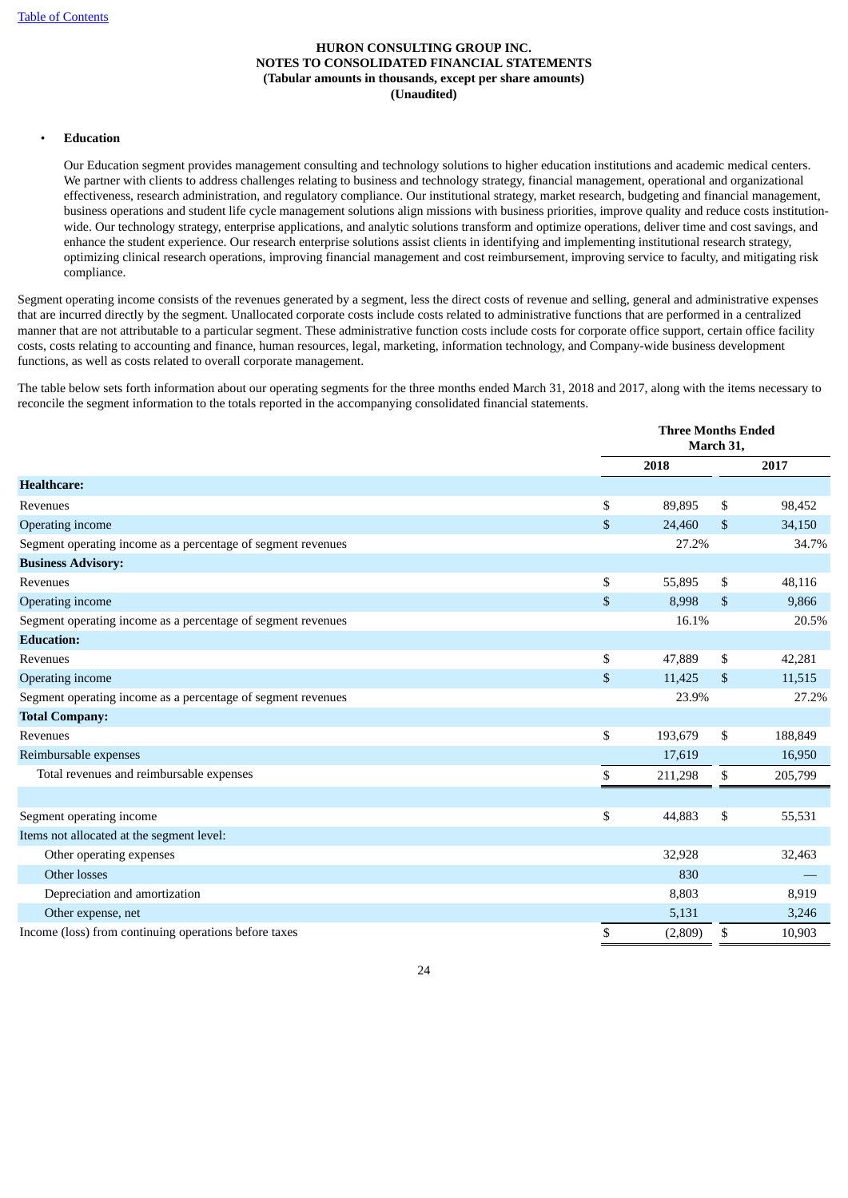#### • **Education**

Our Education segment provides management consulting and technology solutions to higher education institutions and academic medical centers. We partner with clients to address challenges relating to business and technology strategy, financial management, operational and organizational effectiveness, research administration, and regulatory compliance. Our institutional strategy, market research, budgeting and financial management, business operations and student life cycle management solutions align missions with business priorities, improve quality and reduce costs institutionwide. Our technology strategy, enterprise applications, and analytic solutions transform and optimize operations, deliver time and cost savings, and enhance the student experience. Our research enterprise solutions assist clients in identifying and implementing institutional research strategy, optimizing clinical research operations, improving financial management and cost reimbursement, improving service to faculty, and mitigating risk compliance.

Segment operating income consists of the revenues generated by a segment, less the direct costs of revenue and selling, general and administrative expenses that are incurred directly by the segment. Unallocated corporate costs include costs related to administrative functions that are performed in a centralized manner that are not attributable to a particular segment. These administrative function costs include costs for corporate office support, certain office facility costs, costs relating to accounting and finance, human resources, legal, marketing, information technology, and Company-wide business development functions, as well as costs related to overall corporate management.

The table below sets forth information about our operating segments for the three months ended March 31, 2018 and 2017, along with the items necessary to reconcile the segment information to the totals reported in the accompanying consolidated financial statements.

|                                                              | <b>Three Months Ended</b><br>March 31, |    |         |  |
|--------------------------------------------------------------|----------------------------------------|----|---------|--|
|                                                              | 2018                                   |    | 2017    |  |
| <b>Healthcare:</b>                                           |                                        |    |         |  |
| Revenues                                                     | \$<br>89,895                           | \$ | 98,452  |  |
| Operating income                                             | \$<br>24,460                           | \$ | 34,150  |  |
| Segment operating income as a percentage of segment revenues | 27.2%                                  |    | 34.7%   |  |
| <b>Business Advisory:</b>                                    |                                        |    |         |  |
| Revenues                                                     | \$<br>55,895                           | \$ | 48,116  |  |
| Operating income                                             | \$<br>8,998                            | \$ | 9,866   |  |
| Segment operating income as a percentage of segment revenues | 16.1%                                  |    | 20.5%   |  |
| <b>Education:</b>                                            |                                        |    |         |  |
| Revenues                                                     | \$<br>47,889                           | \$ | 42,281  |  |
| Operating income                                             | \$<br>11,425                           | \$ | 11,515  |  |
| Segment operating income as a percentage of segment revenues | 23.9%                                  |    | 27.2%   |  |
| <b>Total Company:</b>                                        |                                        |    |         |  |
| Revenues                                                     | \$<br>193,679                          | \$ | 188,849 |  |
| Reimbursable expenses                                        | 17,619                                 |    | 16,950  |  |
| Total revenues and reimbursable expenses                     | \$<br>211,298                          | \$ | 205,799 |  |
|                                                              |                                        |    |         |  |
| Segment operating income                                     | \$<br>44,883                           | \$ | 55,531  |  |
| Items not allocated at the segment level:                    |                                        |    |         |  |
| Other operating expenses                                     | 32,928                                 |    | 32,463  |  |
| Other losses                                                 | 830                                    |    |         |  |
| Depreciation and amortization                                | 8,803                                  |    | 8,919   |  |
| Other expense, net                                           | 5,131                                  |    | 3,246   |  |
| Income (loss) from continuing operations before taxes        | \$<br>(2,809)                          | \$ | 10,903  |  |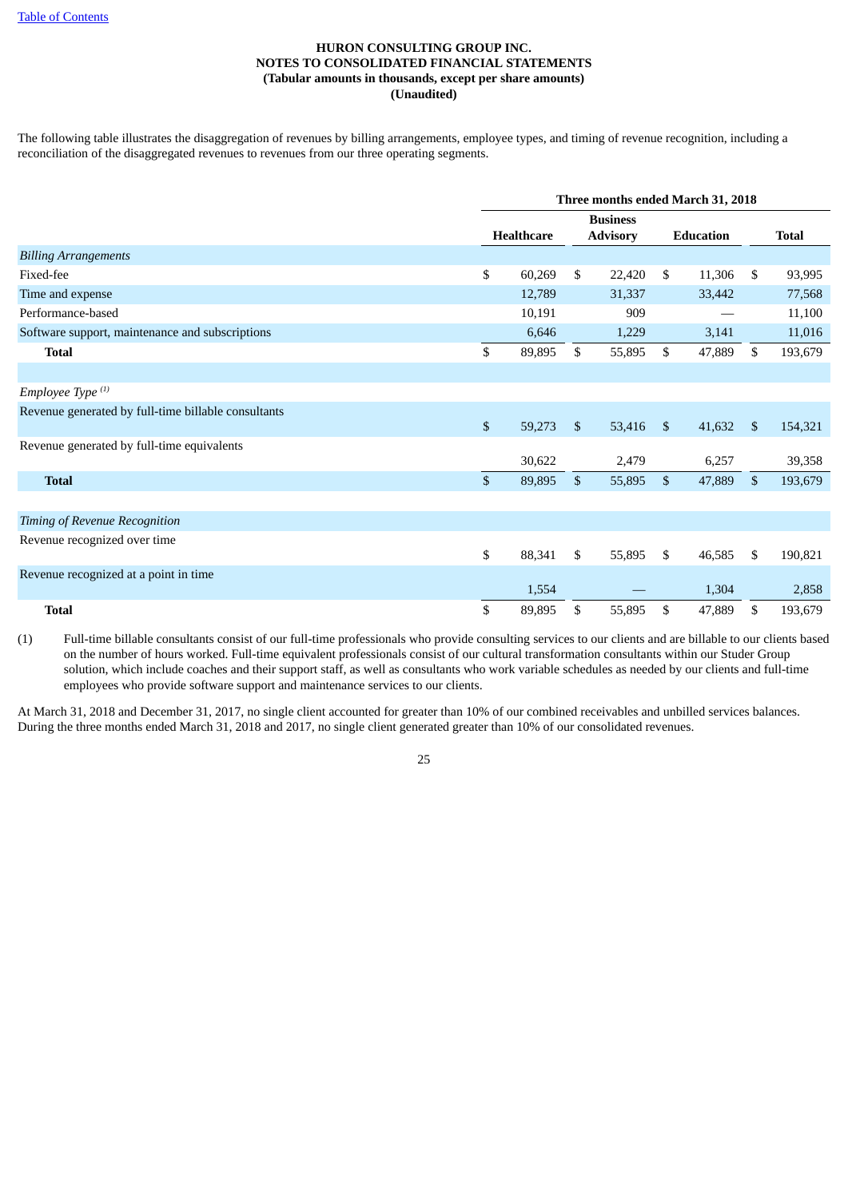The following table illustrates the disaggregation of revenues by billing arrangements, employee types, and timing of revenue recognition, including a reconciliation of the disaggregated revenues to revenues from our three operating segments.

|                                                     | Three months ended March 31, 2018 |                    |                 |                |                  |                |              |  |
|-----------------------------------------------------|-----------------------------------|--------------------|-----------------|----------------|------------------|----------------|--------------|--|
|                                                     | <b>Business</b>                   |                    |                 |                |                  |                |              |  |
|                                                     | Healthcare                        |                    | <b>Advisory</b> |                | <b>Education</b> |                | <b>Total</b> |  |
| <b>Billing Arrangements</b>                         |                                   |                    |                 |                |                  |                |              |  |
| Fixed-fee                                           | \$<br>60,269                      | \$                 | 22,420          | \$             | 11,306           | \$             | 93,995       |  |
| Time and expense                                    | 12,789                            |                    | 31,337          |                | 33,442           |                | 77,568       |  |
| Performance-based                                   | 10,191                            |                    | 909             |                |                  |                | 11,100       |  |
| Software support, maintenance and subscriptions     | 6,646                             |                    | 1,229           |                | 3,141            |                | 11,016       |  |
| <b>Total</b>                                        | \$<br>89,895                      | \$                 | 55,895          | \$             | 47,889           | \$             | 193,679      |  |
|                                                     |                                   |                    |                 |                |                  |                |              |  |
| Employee Type <sup>(1)</sup>                        |                                   |                    |                 |                |                  |                |              |  |
| Revenue generated by full-time billable consultants |                                   |                    |                 |                |                  |                |              |  |
|                                                     | \$<br>59,273                      | <sup>\$</sup>      | 53,416          | -SS            | 41,632           | \$             | 154,321      |  |
| Revenue generated by full-time equivalents          |                                   |                    |                 |                |                  |                |              |  |
|                                                     | 30,622                            |                    | 2,479           |                | 6,257            |                | 39,358       |  |
| <b>Total</b>                                        | \$<br>89,895                      | $\mathbf{\hat{S}}$ | 55,895          | $\mathfrak{S}$ | 47,889           | $\mathfrak{S}$ | 193,679      |  |
|                                                     |                                   |                    |                 |                |                  |                |              |  |
| Timing of Revenue Recognition                       |                                   |                    |                 |                |                  |                |              |  |
| Revenue recognized over time                        |                                   |                    |                 |                |                  |                |              |  |
|                                                     | \$<br>88,341                      | \$                 | 55,895          | \$             | 46,585           | \$             | 190,821      |  |
| Revenue recognized at a point in time               |                                   |                    |                 |                |                  |                |              |  |
|                                                     | 1,554                             |                    |                 |                | 1,304            |                | 2,858        |  |
| <b>Total</b>                                        | \$<br>89,895                      | \$                 | 55,895          | \$             | 47,889           | \$             | 193,679      |  |

(1) Full-time billable consultants consist of our full-time professionals who provide consulting services to our clients and are billable to our clients based on the number of hours worked. Full-time equivalent professionals consist of our cultural transformation consultants within our Studer Group solution, which include coaches and their support staff, as well as consultants who work variable schedules as needed by our clients and full-time employees who provide software support and maintenance services to our clients.

At March 31, 2018 and December 31, 2017, no single client accounted for greater than 10% of our combined receivables and unbilled services balances. During the three months ended March 31, 2018 and 2017, no single client generated greater than 10% of our consolidated revenues.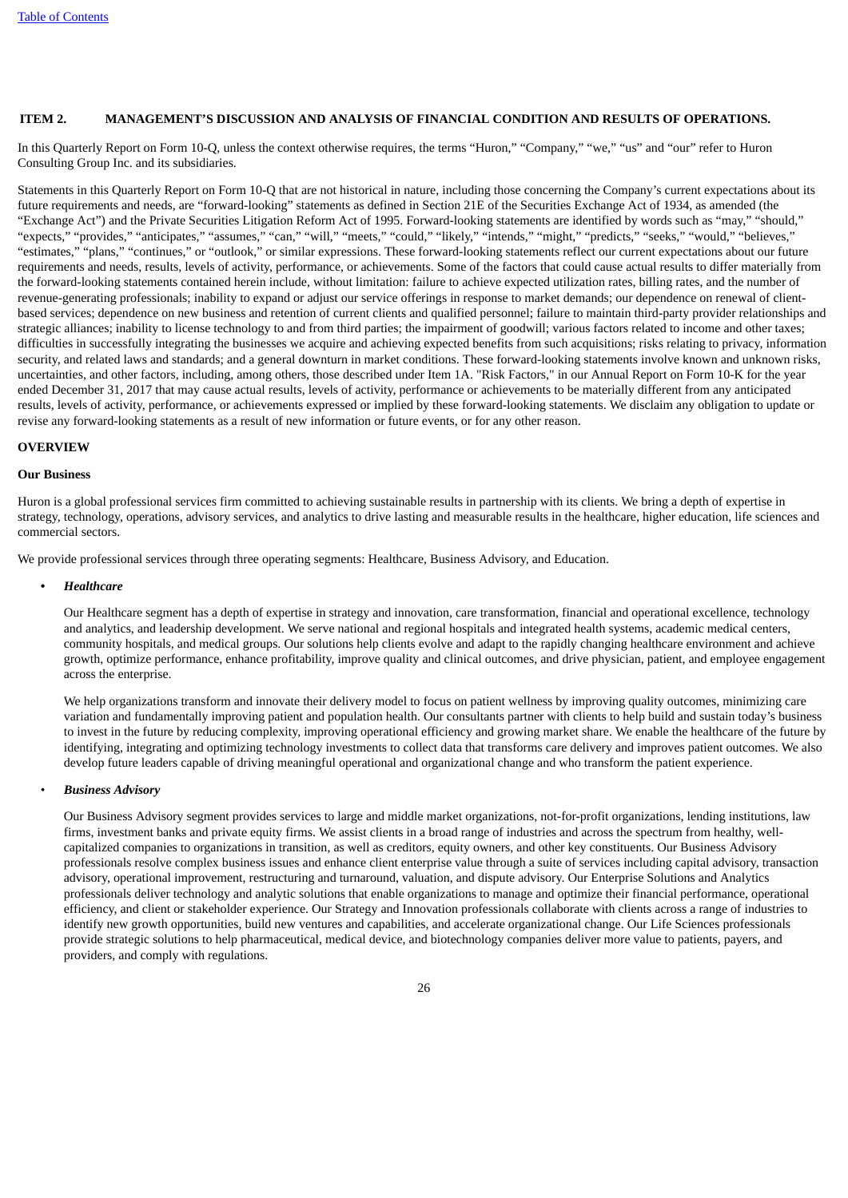#### <span id="page-27-0"></span>**ITEM 2. MANAGEMENT'S DISCUSSION AND ANALYSIS OF FINANCIAL CONDITION AND RESULTS OF OPERATIONS.**

In this Quarterly Report on Form 10-Q, unless the context otherwise requires, the terms "Huron," "Company," "we," "us" and "our" refer to Huron Consulting Group Inc. and its subsidiaries.

Statements in this Quarterly Report on Form 10-Q that are not historical in nature, including those concerning the Company's current expectations about its future requirements and needs, are "forward-looking" statements as defined in Section 21E of the Securities Exchange Act of 1934, as amended (the "Exchange Act") and the Private Securities Litigation Reform Act of 1995. Forward-looking statements are identified by words such as "may," "should," "expects," "provides," "anticipates," "assumes," "can," "will," "meets," "could," "likely," "intends," "might," "predicts," "seeks," "would," "believes," "estimates," "plans," "continues," or "outlook," or similar expressions. These forward-looking statements reflect our current expectations about our future requirements and needs, results, levels of activity, performance, or achievements. Some of the factors that could cause actual results to differ materially from the forward-looking statements contained herein include, without limitation: failure to achieve expected utilization rates, billing rates, and the number of revenue-generating professionals; inability to expand or adjust our service offerings in response to market demands; our dependence on renewal of clientbased services; dependence on new business and retention of current clients and qualified personnel; failure to maintain third-party provider relationships and strategic alliances; inability to license technology to and from third parties; the impairment of goodwill; various factors related to income and other taxes; difficulties in successfully integrating the businesses we acquire and achieving expected benefits from such acquisitions; risks relating to privacy, information security, and related laws and standards; and a general downturn in market conditions. These forward-looking statements involve known and unknown risks, uncertainties, and other factors, including, among others, those described under Item 1A. "Risk Factors," in our Annual Report on Form 10-K for the year ended December 31, 2017 that may cause actual results, levels of activity, performance or achievements to be materially different from any anticipated results, levels of activity, performance, or achievements expressed or implied by these forward-looking statements. We disclaim any obligation to update or revise any forward-looking statements as a result of new information or future events, or for any other reason.

#### **OVERVIEW**

#### **Our Business**

Huron is a global professional services firm committed to achieving sustainable results in partnership with its clients. We bring a depth of expertise in strategy, technology, operations, advisory services, and analytics to drive lasting and measurable results in the healthcare, higher education, life sciences and commercial sectors.

We provide professional services through three operating segments: Healthcare, Business Advisory, and Education.

#### **•** *Healthcare*

Our Healthcare segment has a depth of expertise in strategy and innovation, care transformation, financial and operational excellence, technology and analytics, and leadership development. We serve national and regional hospitals and integrated health systems, academic medical centers, community hospitals, and medical groups. Our solutions help clients evolve and adapt to the rapidly changing healthcare environment and achieve growth, optimize performance, enhance profitability, improve quality and clinical outcomes, and drive physician, patient, and employee engagement across the enterprise.

We help organizations transform and innovate their delivery model to focus on patient wellness by improving quality outcomes, minimizing care variation and fundamentally improving patient and population health. Our consultants partner with clients to help build and sustain today's business to invest in the future by reducing complexity, improving operational efficiency and growing market share. We enable the healthcare of the future by identifying, integrating and optimizing technology investments to collect data that transforms care delivery and improves patient outcomes. We also develop future leaders capable of driving meaningful operational and organizational change and who transform the patient experience.

#### • *Business Advisory*

Our Business Advisory segment provides services to large and middle market organizations, not-for-profit organizations, lending institutions, law firms, investment banks and private equity firms. We assist clients in a broad range of industries and across the spectrum from healthy, wellcapitalized companies to organizations in transition, as well as creditors, equity owners, and other key constituents. Our Business Advisory professionals resolve complex business issues and enhance client enterprise value through a suite of services including capital advisory, transaction advisory, operational improvement, restructuring and turnaround, valuation, and dispute advisory. Our Enterprise Solutions and Analytics professionals deliver technology and analytic solutions that enable organizations to manage and optimize their financial performance, operational efficiency, and client or stakeholder experience. Our Strategy and Innovation professionals collaborate with clients across a range of industries to identify new growth opportunities, build new ventures and capabilities, and accelerate organizational change. Our Life Sciences professionals provide strategic solutions to help pharmaceutical, medical device, and biotechnology companies deliver more value to patients, payers, and providers, and comply with regulations.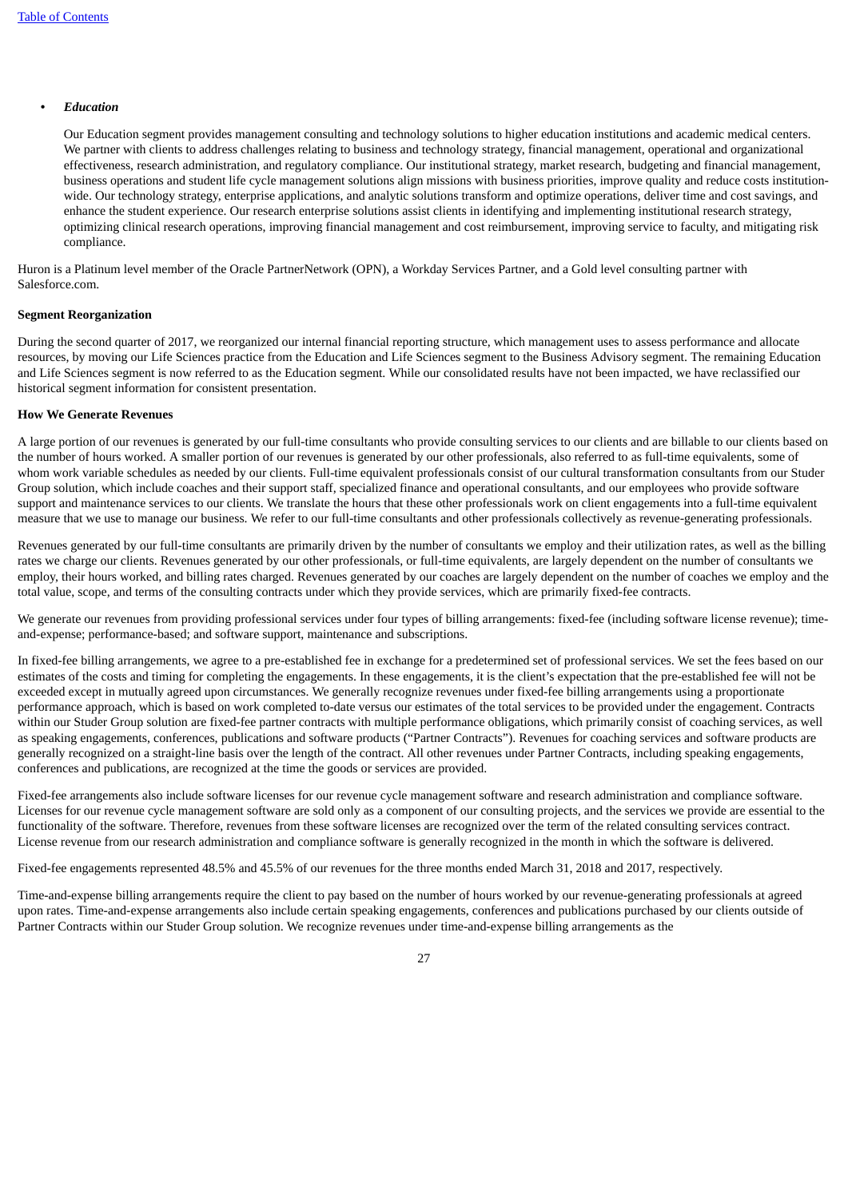#### **•** *Education*

Our Education segment provides management consulting and technology solutions to higher education institutions and academic medical centers. We partner with clients to address challenges relating to business and technology strategy, financial management, operational and organizational effectiveness, research administration, and regulatory compliance. Our institutional strategy, market research, budgeting and financial management, business operations and student life cycle management solutions align missions with business priorities, improve quality and reduce costs institutionwide. Our technology strategy, enterprise applications, and analytic solutions transform and optimize operations, deliver time and cost savings, and enhance the student experience. Our research enterprise solutions assist clients in identifying and implementing institutional research strategy, optimizing clinical research operations, improving financial management and cost reimbursement, improving service to faculty, and mitigating risk compliance.

Huron is a Platinum level member of the Oracle PartnerNetwork (OPN), a Workday Services Partner, and a Gold level consulting partner with Salesforce.com.

#### **Segment Reorganization**

During the second quarter of 2017, we reorganized our internal financial reporting structure, which management uses to assess performance and allocate resources, by moving our Life Sciences practice from the Education and Life Sciences segment to the Business Advisory segment. The remaining Education and Life Sciences segment is now referred to as the Education segment. While our consolidated results have not been impacted, we have reclassified our historical segment information for consistent presentation.

## **How We Generate Revenues**

A large portion of our revenues is generated by our full-time consultants who provide consulting services to our clients and are billable to our clients based on the number of hours worked. A smaller portion of our revenues is generated by our other professionals, also referred to as full-time equivalents, some of whom work variable schedules as needed by our clients. Full-time equivalent professionals consist of our cultural transformation consultants from our Studer Group solution, which include coaches and their support staff, specialized finance and operational consultants, and our employees who provide software support and maintenance services to our clients. We translate the hours that these other professionals work on client engagements into a full-time equivalent measure that we use to manage our business. We refer to our full-time consultants and other professionals collectively as revenue-generating professionals.

Revenues generated by our full-time consultants are primarily driven by the number of consultants we employ and their utilization rates, as well as the billing rates we charge our clients. Revenues generated by our other professionals, or full-time equivalents, are largely dependent on the number of consultants we employ, their hours worked, and billing rates charged. Revenues generated by our coaches are largely dependent on the number of coaches we employ and the total value, scope, and terms of the consulting contracts under which they provide services, which are primarily fixed-fee contracts.

We generate our revenues from providing professional services under four types of billing arrangements: fixed-fee (including software license revenue); timeand-expense; performance-based; and software support, maintenance and subscriptions.

In fixed-fee billing arrangements, we agree to a pre-established fee in exchange for a predetermined set of professional services. We set the fees based on our estimates of the costs and timing for completing the engagements. In these engagements, it is the client's expectation that the pre-established fee will not be exceeded except in mutually agreed upon circumstances. We generally recognize revenues under fixed-fee billing arrangements using a proportionate performance approach, which is based on work completed to-date versus our estimates of the total services to be provided under the engagement. Contracts within our Studer Group solution are fixed-fee partner contracts with multiple performance obligations, which primarily consist of coaching services, as well as speaking engagements, conferences, publications and software products ("Partner Contracts"). Revenues for coaching services and software products are generally recognized on a straight-line basis over the length of the contract. All other revenues under Partner Contracts, including speaking engagements, conferences and publications, are recognized at the time the goods or services are provided.

Fixed-fee arrangements also include software licenses for our revenue cycle management software and research administration and compliance software. Licenses for our revenue cycle management software are sold only as a component of our consulting projects, and the services we provide are essential to the functionality of the software. Therefore, revenues from these software licenses are recognized over the term of the related consulting services contract. License revenue from our research administration and compliance software is generally recognized in the month in which the software is delivered.

Fixed-fee engagements represented 48.5% and 45.5% of our revenues for the three months ended March 31, 2018 and 2017, respectively.

Time-and-expense billing arrangements require the client to pay based on the number of hours worked by our revenue-generating professionals at agreed upon rates. Time-and-expense arrangements also include certain speaking engagements, conferences and publications purchased by our clients outside of Partner Contracts within our Studer Group solution. We recognize revenues under time-and-expense billing arrangements as the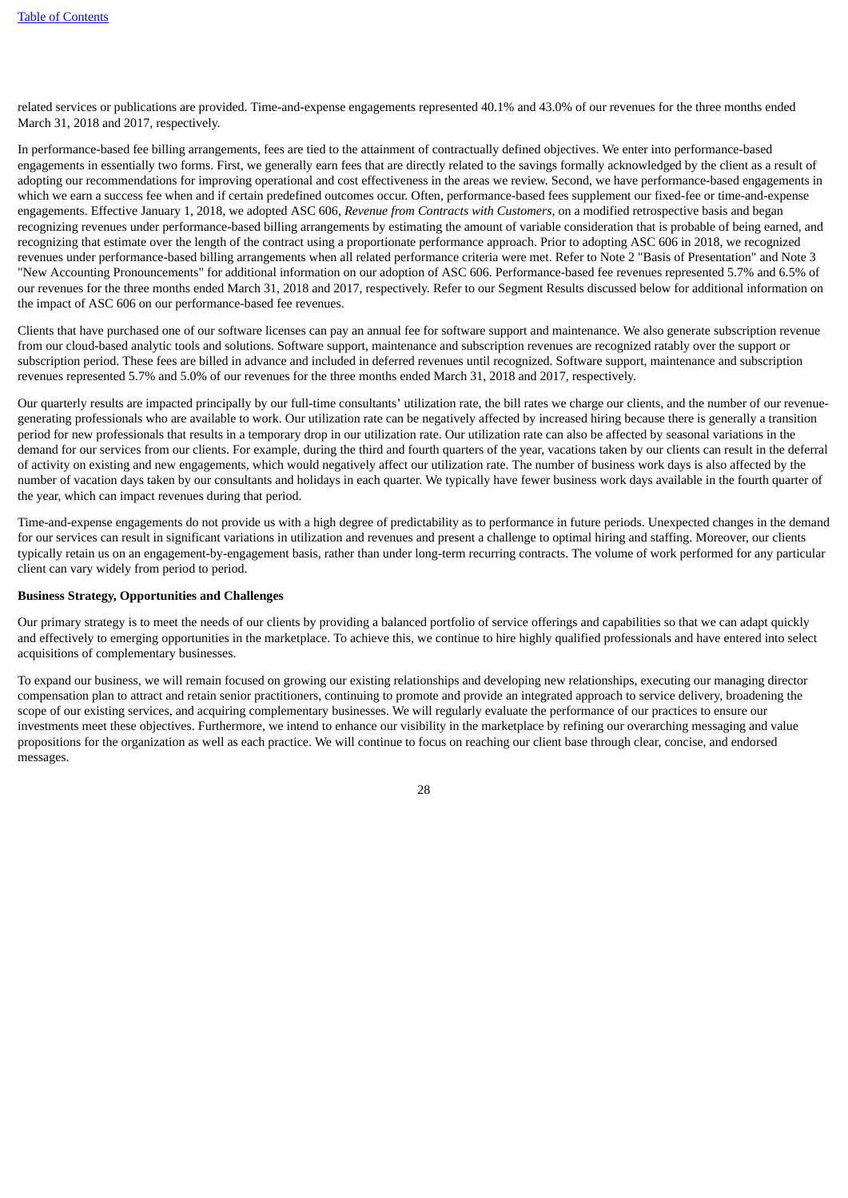related services or publications are provided. Time-and-expense engagements represented 40.1% and 43.0% of our revenues for the three months ended March 31, 2018 and 2017, respectively.

In performance-based fee billing arrangements, fees are tied to the attainment of contractually defined objectives. We enter into performance-based engagements in essentially two forms. First, we generally earn fees that are directly related to the savings formally acknowledged by the client as a result of adopting our recommendations for improving operational and cost effectiveness in the areas we review. Second, we have performance-based engagements in which we earn a success fee when and if certain predefined outcomes occur. Often, performance-based fees supplement our fixed-fee or time-and-expense engagements. Effective January 1, 2018, we adopted ASC 606, *Revenue from Contracts with Customers,* on a modified retrospective basis and began recognizing revenues under performance-based billing arrangements by estimating the amount of variable consideration that is probable of being earned, and recognizing that estimate over the length of the contract using a proportionate performance approach. Prior to adopting ASC 606 in 2018, we recognized revenues under performance-based billing arrangements when all related performance criteria were met. Refer to Note 2 "Basis of Presentation" and Note 3 "New Accounting Pronouncements" for additional information on our adoption of ASC 606. Performance-based fee revenues represented 5.7% and 6.5% of our revenues for the three months ended March 31, 2018 and 2017, respectively. Refer to our Segment Results discussed below for additional information on the impact of ASC 606 on our performance-based fee revenues.

Clients that have purchased one of our software licenses can pay an annual fee for software support and maintenance. We also generate subscription revenue from our cloud-based analytic tools and solutions. Software support, maintenance and subscription revenues are recognized ratably over the support or subscription period. These fees are billed in advance and included in deferred revenues until recognized. Software support, maintenance and subscription revenues represented 5.7% and 5.0% of our revenues for the three months ended March 31, 2018 and 2017, respectively.

Our quarterly results are impacted principally by our full-time consultants' utilization rate, the bill rates we charge our clients, and the number of our revenuegenerating professionals who are available to work. Our utilization rate can be negatively affected by increased hiring because there is generally a transition period for new professionals that results in a temporary drop in our utilization rate. Our utilization rate can also be affected by seasonal variations in the demand for our services from our clients. For example, during the third and fourth quarters of the year, vacations taken by our clients can result in the deferral of activity on existing and new engagements, which would negatively affect our utilization rate. The number of business work days is also affected by the number of vacation days taken by our consultants and holidays in each quarter. We typically have fewer business work days available in the fourth quarter of the year, which can impact revenues during that period.

Time-and-expense engagements do not provide us with a high degree of predictability as to performance in future periods. Unexpected changes in the demand for our services can result in significant variations in utilization and revenues and present a challenge to optimal hiring and staffing. Moreover, our clients typically retain us on an engagement-by-engagement basis, rather than under long-term recurring contracts. The volume of work performed for any particular client can vary widely from period to period.

#### **Business Strategy, Opportunities and Challenges**

Our primary strategy is to meet the needs of our clients by providing a balanced portfolio of service offerings and capabilities so that we can adapt quickly and effectively to emerging opportunities in the marketplace. To achieve this, we continue to hire highly qualified professionals and have entered into select acquisitions of complementary businesses.

To expand our business, we will remain focused on growing our existing relationships and developing new relationships, executing our managing director compensation plan to attract and retain senior practitioners, continuing to promote and provide an integrated approach to service delivery, broadening the scope of our existing services, and acquiring complementary businesses. We will regularly evaluate the performance of our practices to ensure our investments meet these objectives. Furthermore, we intend to enhance our visibility in the marketplace by refining our overarching messaging and value propositions for the organization as well as each practice. We will continue to focus on reaching our client base through clear, concise, and endorsed messages.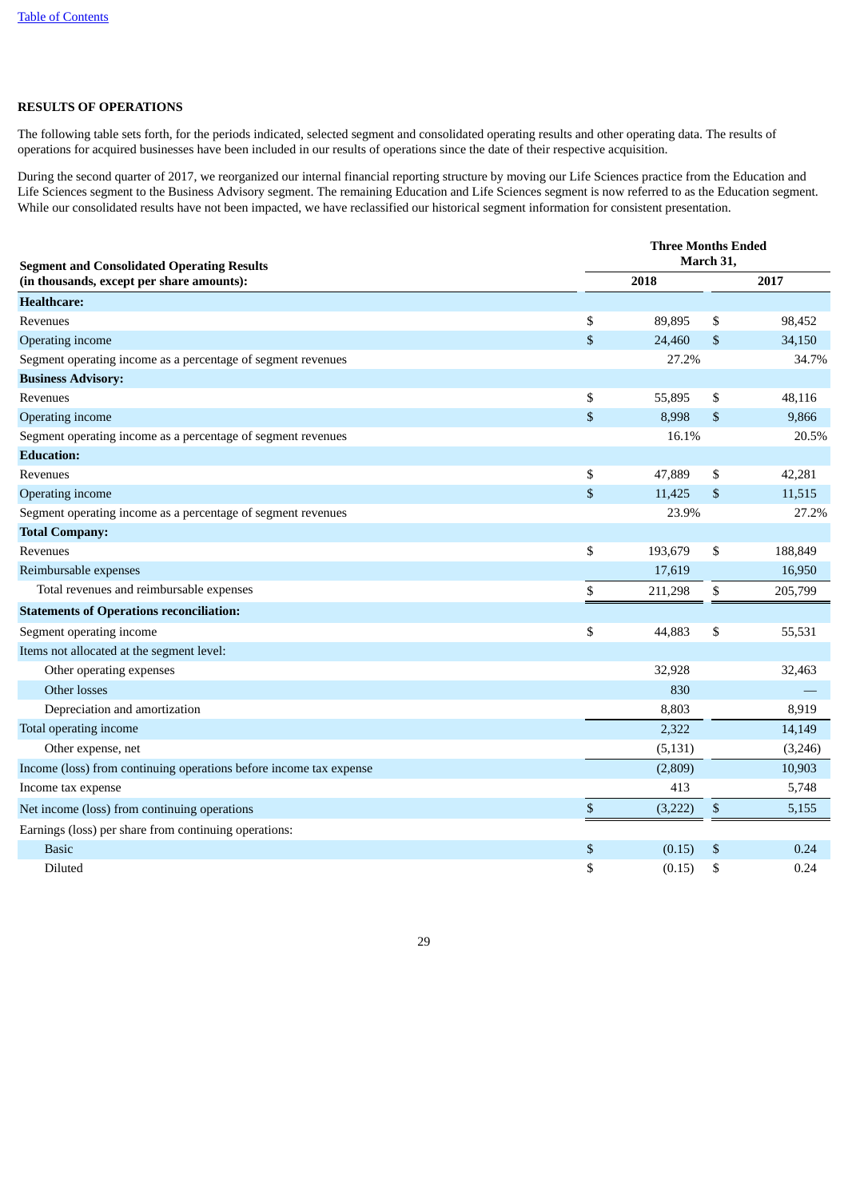## **RESULTS OF OPERATIONS**

The following table sets forth, for the periods indicated, selected segment and consolidated operating results and other operating data. The results of operations for acquired businesses have been included in our results of operations since the date of their respective acquisition.

During the second quarter of 2017, we reorganized our internal financial reporting structure by moving our Life Sciences practice from the Education and Life Sciences segment to the Business Advisory segment. The remaining Education and Life Sciences segment is now referred to as the Education segment. While our consolidated results have not been impacted, we have reclassified our historical segment information for consistent presentation.

| <b>Segment and Consolidated Operating Results</b>                  | <b>Three Months Ended</b> | March 31, |         |
|--------------------------------------------------------------------|---------------------------|-----------|---------|
| (in thousands, except per share amounts):                          | 2018                      |           | 2017    |
| <b>Healthcare:</b>                                                 |                           |           |         |
| Revenues                                                           | \$<br>89,895              | \$        | 98,452  |
| Operating income                                                   | \$<br>24,460              | \$        | 34,150  |
| Segment operating income as a percentage of segment revenues       | 27.2%                     |           | 34.7%   |
| <b>Business Advisory:</b>                                          |                           |           |         |
| Revenues                                                           | \$<br>55,895              | \$        | 48,116  |
| Operating income                                                   | \$<br>8,998               | \$        | 9,866   |
| Segment operating income as a percentage of segment revenues       | 16.1%                     |           | 20.5%   |
| <b>Education:</b>                                                  |                           |           |         |
| Revenues                                                           | \$<br>47,889              | \$        | 42,281  |
| Operating income                                                   | \$<br>11,425              | \$        | 11,515  |
| Segment operating income as a percentage of segment revenues       | 23.9%                     |           | 27.2%   |
| <b>Total Company:</b>                                              |                           |           |         |
| Revenues                                                           | \$<br>193,679             | \$        | 188,849 |
| Reimbursable expenses                                              | 17,619                    |           | 16,950  |
| Total revenues and reimbursable expenses                           | \$<br>211,298             | \$        | 205,799 |
| <b>Statements of Operations reconciliation:</b>                    |                           |           |         |
| Segment operating income                                           | \$<br>44,883              | \$        | 55,531  |
| Items not allocated at the segment level:                          |                           |           |         |
| Other operating expenses                                           | 32,928                    |           | 32,463  |
| Other losses                                                       | 830                       |           |         |
| Depreciation and amortization                                      | 8,803                     |           | 8,919   |
| Total operating income                                             | 2,322                     |           | 14,149  |
| Other expense, net                                                 | (5, 131)                  |           | (3,246) |
| Income (loss) from continuing operations before income tax expense | (2,809)                   |           | 10,903  |
| Income tax expense                                                 | 413                       |           | 5,748   |
| Net income (loss) from continuing operations                       | \$<br>(3,222)             | $\$$      | 5,155   |
| Earnings (loss) per share from continuing operations:              |                           |           |         |
| <b>Basic</b>                                                       | \$<br>(0.15)              | \$        | 0.24    |
| Diluted                                                            | \$<br>(0.15)              | \$        | 0.24    |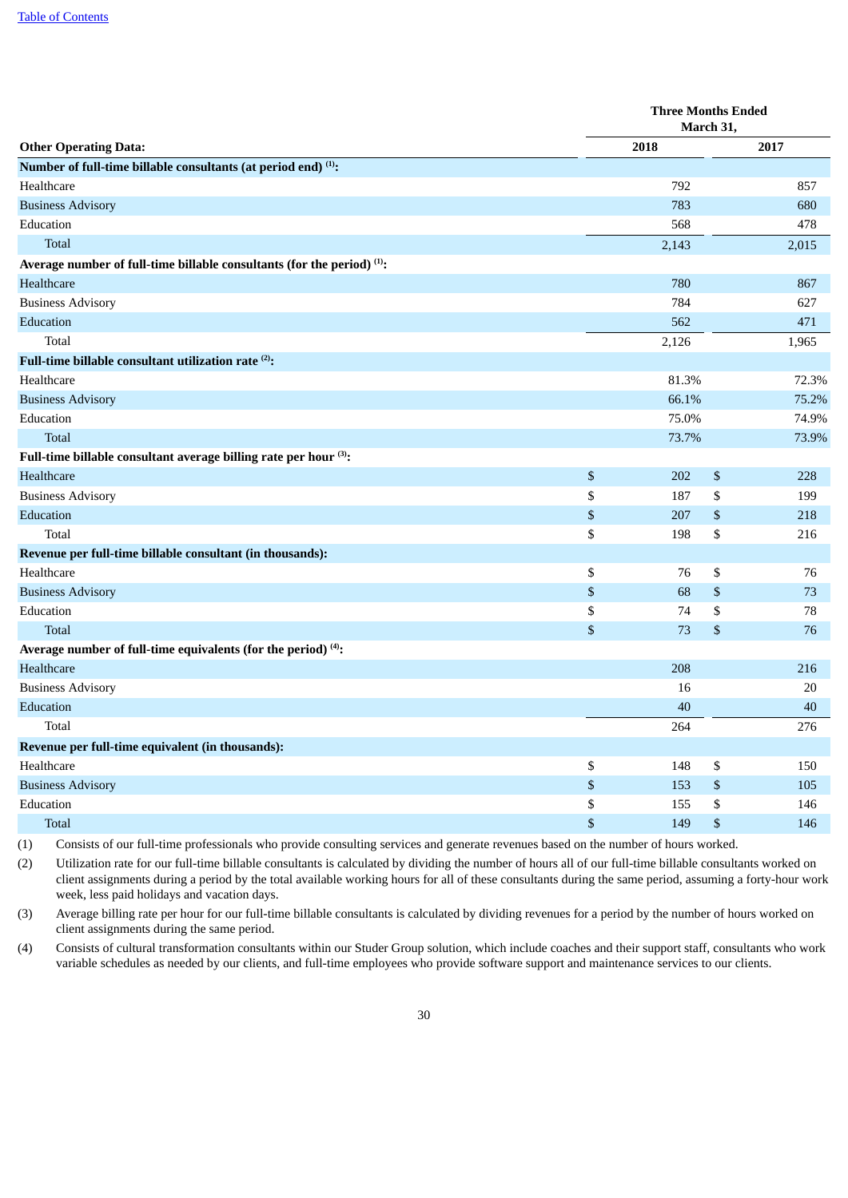|                                                                           | <b>Three Months Ended</b><br>March 31, |              |       |  |  |  |  |
|---------------------------------------------------------------------------|----------------------------------------|--------------|-------|--|--|--|--|
| <b>Other Operating Data:</b>                                              | 2018                                   |              | 2017  |  |  |  |  |
| Number of full-time billable consultants (at period end) <sup>(1)</sup> : |                                        |              |       |  |  |  |  |
| Healthcare                                                                | 792                                    |              | 857   |  |  |  |  |
| <b>Business Advisory</b>                                                  | 783                                    |              | 680   |  |  |  |  |
| Education                                                                 | 568                                    |              | 478   |  |  |  |  |
| <b>Total</b>                                                              | 2,143                                  |              | 2,015 |  |  |  |  |
| Average number of full-time billable consultants (for the period) $(1)$ : |                                        |              |       |  |  |  |  |
| Healthcare                                                                | 780                                    |              | 867   |  |  |  |  |
| <b>Business Advisory</b>                                                  | 784                                    |              | 627   |  |  |  |  |
| Education                                                                 | 562                                    |              | 471   |  |  |  |  |
| Total                                                                     | 2,126                                  |              | 1,965 |  |  |  |  |
| Full-time billable consultant utilization rate (2):                       |                                        |              |       |  |  |  |  |
| Healthcare                                                                | 81.3%                                  |              | 72.3% |  |  |  |  |
| <b>Business Advisory</b>                                                  | 66.1%                                  |              | 75.2% |  |  |  |  |
| Education                                                                 | 75.0%                                  |              | 74.9% |  |  |  |  |
| <b>Total</b>                                                              | 73.7%                                  |              | 73.9% |  |  |  |  |
| Full-time billable consultant average billing rate per hour (3):          |                                        |              |       |  |  |  |  |
| Healthcare                                                                | \$<br>202                              | $\mathbb{S}$ | 228   |  |  |  |  |
| <b>Business Advisory</b>                                                  | \$<br>187                              | \$           | 199   |  |  |  |  |
| Education                                                                 | \$<br>207                              | \$           | 218   |  |  |  |  |
| Total                                                                     | \$<br>198                              | \$           | 216   |  |  |  |  |
| Revenue per full-time billable consultant (in thousands):                 |                                        |              |       |  |  |  |  |
| Healthcare                                                                | \$<br>76                               | \$           | 76    |  |  |  |  |
| <b>Business Advisory</b>                                                  | \$<br>68                               | \$           | 73    |  |  |  |  |
| Education                                                                 | \$<br>74                               | \$           | 78    |  |  |  |  |
| <b>Total</b>                                                              | \$<br>73                               | $\mathbb{S}$ | 76    |  |  |  |  |
| Average number of full-time equivalents (for the period) <sup>(4)</sup> : |                                        |              |       |  |  |  |  |
| Healthcare                                                                | 208                                    |              | 216   |  |  |  |  |
| <b>Business Advisory</b>                                                  | 16                                     |              | 20    |  |  |  |  |
| Education                                                                 | 40                                     |              | 40    |  |  |  |  |
| Total                                                                     | 264                                    |              | 276   |  |  |  |  |
| Revenue per full-time equivalent (in thousands):                          |                                        |              |       |  |  |  |  |
| Healthcare                                                                | \$<br>148                              | \$           | 150   |  |  |  |  |
| <b>Business Advisory</b>                                                  | \$<br>153                              | \$           | 105   |  |  |  |  |
| Education                                                                 | \$<br>155                              | \$           | 146   |  |  |  |  |
| <b>Total</b>                                                              | \$<br>149                              | \$           | 146   |  |  |  |  |

(1) Consists of our full-time professionals who provide consulting services and generate revenues based on the number of hours worked.

(2) Utilization rate for our full-time billable consultants is calculated by dividing the number of hours all of our full-time billable consultants worked on client assignments during a period by the total available working hours for all of these consultants during the same period, assuming a forty-hour work week, less paid holidays and vacation days.

(3) Average billing rate per hour for our full-time billable consultants is calculated by dividing revenues for a period by the number of hours worked on client assignments during the same period.

(4) Consists of cultural transformation consultants within our Studer Group solution, which include coaches and their support staff, consultants who work variable schedules as needed by our clients, and full-time employees who provide software support and maintenance services to our clients.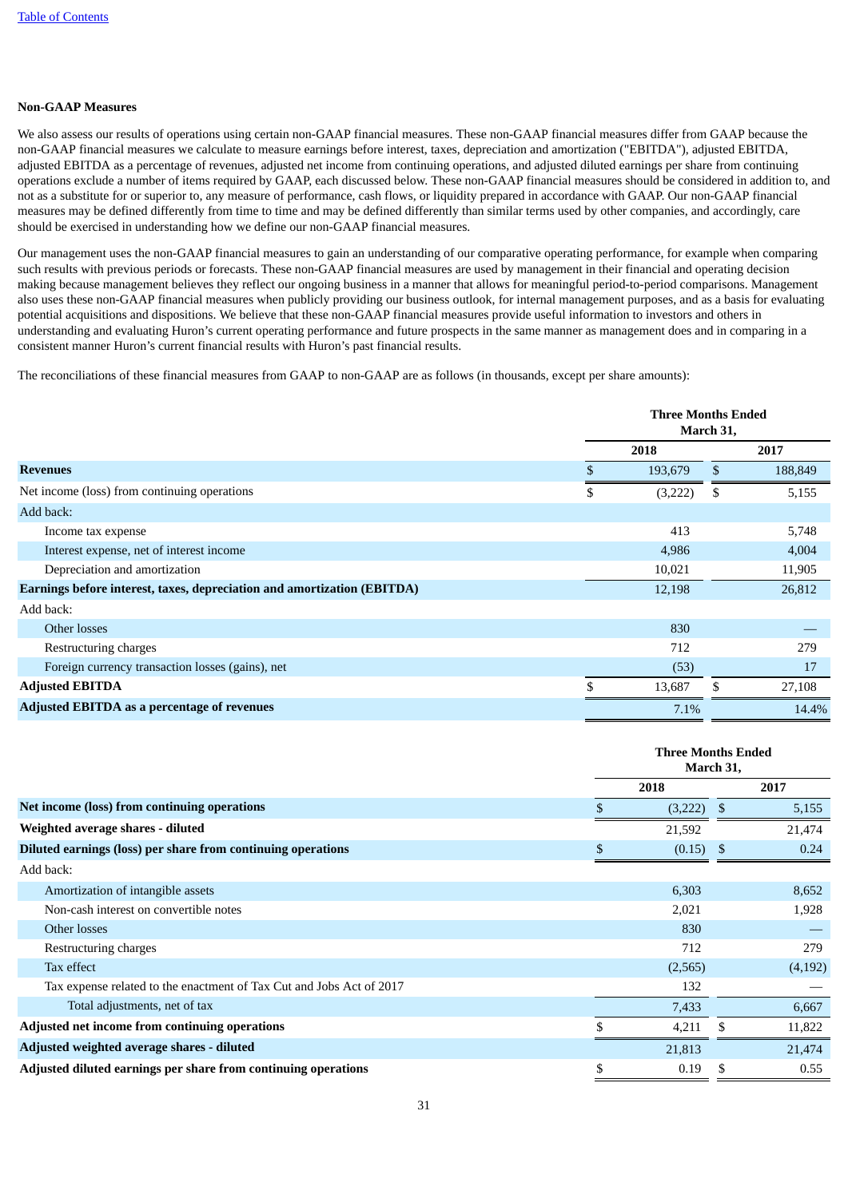## **Non-GAAP Measures**

We also assess our results of operations using certain non-GAAP financial measures. These non-GAAP financial measures differ from GAAP because the non-GAAP financial measures we calculate to measure earnings before interest, taxes, depreciation and amortization ("EBITDA"), adjusted EBITDA, adjusted EBITDA as a percentage of revenues, adjusted net income from continuing operations, and adjusted diluted earnings per share from continuing operations exclude a number of items required by GAAP, each discussed below. These non-GAAP financial measures should be considered in addition to, and not as a substitute for or superior to, any measure of performance, cash flows, or liquidity prepared in accordance with GAAP. Our non-GAAP financial measures may be defined differently from time to time and may be defined differently than similar terms used by other companies, and accordingly, care should be exercised in understanding how we define our non-GAAP financial measures.

Our management uses the non-GAAP financial measures to gain an understanding of our comparative operating performance, for example when comparing such results with previous periods or forecasts. These non-GAAP financial measures are used by management in their financial and operating decision making because management believes they reflect our ongoing business in a manner that allows for meaningful period-to-period comparisons. Management also uses these non-GAAP financial measures when publicly providing our business outlook, for internal management purposes, and as a basis for evaluating potential acquisitions and dispositions. We believe that these non-GAAP financial measures provide useful information to investors and others in understanding and evaluating Huron's current operating performance and future prospects in the same manner as management does and in comparing in a consistent manner Huron's current financial results with Huron's past financial results.

The reconciliations of these financial measures from GAAP to non-GAAP are as follows (in thousands, except per share amounts):

|                                                                         |    | <b>Three Months Ended</b><br>March 31, |    |         |  |
|-------------------------------------------------------------------------|----|----------------------------------------|----|---------|--|
|                                                                         |    | 2018                                   |    | 2017    |  |
| <b>Revenues</b>                                                         |    | 193,679                                | \$ | 188,849 |  |
| Net income (loss) from continuing operations                            | \$ | (3,222)                                | \$ | 5,155   |  |
| Add back:                                                               |    |                                        |    |         |  |
| Income tax expense                                                      |    | 413                                    |    | 5,748   |  |
| Interest expense, net of interest income                                |    | 4,986                                  |    | 4,004   |  |
| Depreciation and amortization                                           |    | 10,021                                 |    | 11,905  |  |
| Earnings before interest, taxes, depreciation and amortization (EBITDA) |    | 12,198                                 |    | 26,812  |  |
| Add back:                                                               |    |                                        |    |         |  |
| Other losses                                                            |    | 830                                    |    |         |  |
| Restructuring charges                                                   |    | 712                                    |    | 279     |  |
| Foreign currency transaction losses (gains), net                        |    | (53)                                   |    | 17      |  |
| <b>Adjusted EBITDA</b>                                                  | ¢  | 13,687                                 | \$ | 27,108  |  |
| Adjusted EBITDA as a percentage of revenues                             |    | 7.1%                                   |    | 14.4%   |  |

|                                                                      | <b>Three Months Ended</b><br>March 31, |              |  |         |  |
|----------------------------------------------------------------------|----------------------------------------|--------------|--|---------|--|
|                                                                      | 2018                                   |              |  | 2017    |  |
| Net income (loss) from continuing operations                         |                                        | $(3,222)$ \$ |  | 5,155   |  |
| Weighted average shares - diluted                                    |                                        | 21,592       |  | 21,474  |  |
| Diluted earnings (loss) per share from continuing operations         | \$                                     | $(0.15)$ \$  |  | 0.24    |  |
| Add back:                                                            |                                        |              |  |         |  |
| Amortization of intangible assets                                    |                                        | 6,303        |  | 8,652   |  |
| Non-cash interest on convertible notes                               |                                        | 2,021        |  | 1,928   |  |
| Other losses                                                         |                                        | 830          |  |         |  |
| Restructuring charges                                                |                                        | 712          |  | 279     |  |
| Tax effect                                                           |                                        | (2,565)      |  | (4,192) |  |
| Tax expense related to the enactment of Tax Cut and Jobs Act of 2017 |                                        | 132          |  |         |  |
| Total adjustments, net of tax                                        |                                        | 7,433        |  | 6,667   |  |
| Adjusted net income from continuing operations                       |                                        | 4,211        |  | 11,822  |  |
| Adjusted weighted average shares - diluted                           |                                        | 21,813       |  | 21,474  |  |
| Adjusted diluted earnings per share from continuing operations       | S                                      | 0.19         |  | 0.55    |  |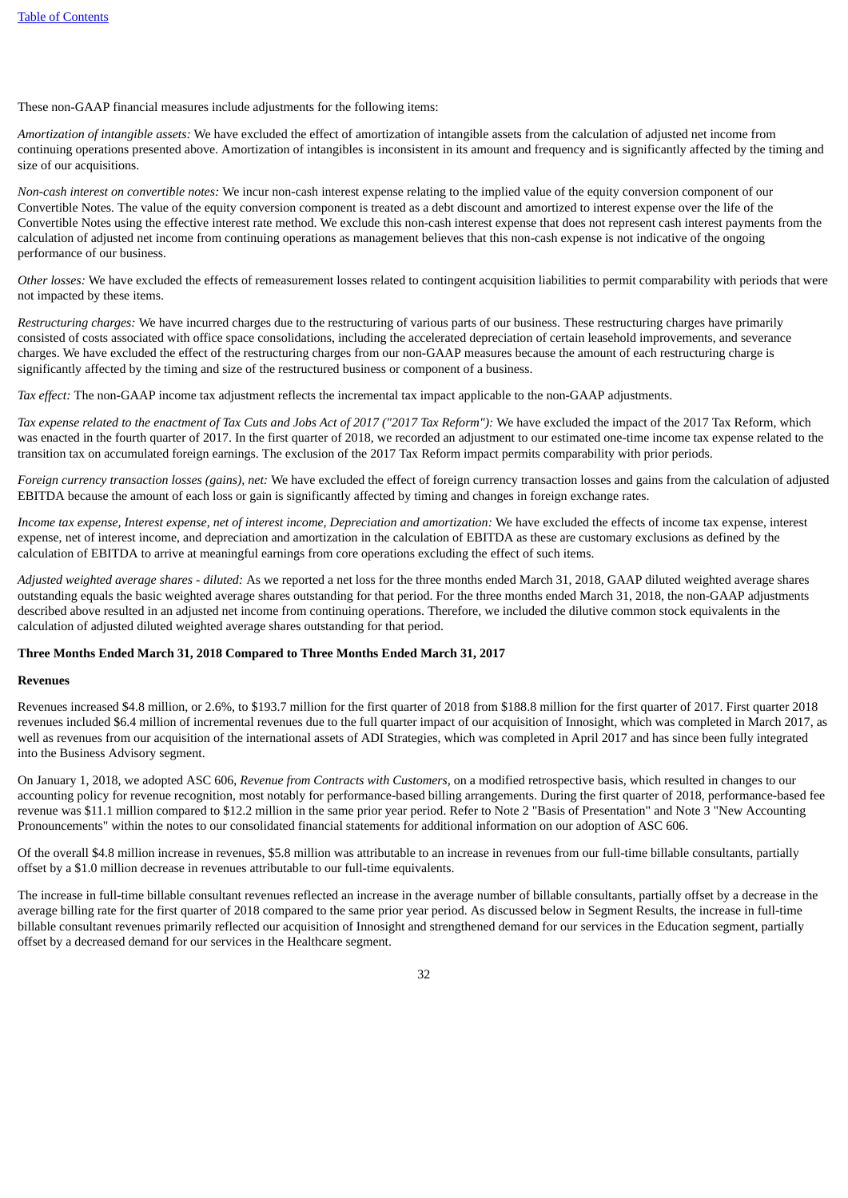These non-GAAP financial measures include adjustments for the following items:

*Amortization of intangible assets:* We have excluded the effect of amortization of intangible assets from the calculation of adjusted net income from continuing operations presented above. Amortization of intangibles is inconsistent in its amount and frequency and is significantly affected by the timing and size of our acquisitions.

*Non-cash interest on convertible notes:* We incur non-cash interest expense relating to the implied value of the equity conversion component of our Convertible Notes. The value of the equity conversion component is treated as a debt discount and amortized to interest expense over the life of the Convertible Notes using the effective interest rate method. We exclude this non-cash interest expense that does not represent cash interest payments from the calculation of adjusted net income from continuing operations as management believes that this non-cash expense is not indicative of the ongoing performance of our business.

*Other losses:* We have excluded the effects of remeasurement losses related to contingent acquisition liabilities to permit comparability with periods that were not impacted by these items.

*Restructuring charges:* We have incurred charges due to the restructuring of various parts of our business. These restructuring charges have primarily consisted of costs associated with office space consolidations, including the accelerated depreciation of certain leasehold improvements, and severance charges. We have excluded the effect of the restructuring charges from our non-GAAP measures because the amount of each restructuring charge is significantly affected by the timing and size of the restructured business or component of a business.

*Tax effect:* The non-GAAP income tax adjustment reflects the incremental tax impact applicable to the non-GAAP adjustments.

Tax expense related to the enactment of Tax Cuts and Jobs Act of 2017 ("2017 Tax Reform"): We have excluded the impact of the 2017 Tax Reform, which was enacted in the fourth quarter of 2017. In the first quarter of 2018, we recorded an adjustment to our estimated one-time income tax expense related to the transition tax on accumulated foreign earnings. The exclusion of the 2017 Tax Reform impact permits comparability with prior periods.

*Foreign currency transaction losses (gains), net:* We have excluded the effect of foreign currency transaction losses and gains from the calculation of adjusted EBITDA because the amount of each loss or gain is significantly affected by timing and changes in foreign exchange rates.

Income tax expense, Interest expense, net of interest income, Depreciation and amortization: We have excluded the effects of income tax expense, interest expense, net of interest income, and depreciation and amortization in the calculation of EBITDA as these are customary exclusions as defined by the calculation of EBITDA to arrive at meaningful earnings from core operations excluding the effect of such items.

*Adjusted weighted average shares - diluted:* As we reported a net loss for the three months ended March 31, 2018, GAAP diluted weighted average shares outstanding equals the basic weighted average shares outstanding for that period. For the three months ended March 31, 2018, the non-GAAP adjustments described above resulted in an adjusted net income from continuing operations. Therefore, we included the dilutive common stock equivalents in the calculation of adjusted diluted weighted average shares outstanding for that period.

## **Three Months Ended March 31, 2018 Compared to Three Months Ended March 31, 2017**

#### **Revenues**

Revenues increased \$4.8 million, or 2.6%, to \$193.7 million for the first quarter of 2018 from \$188.8 million for the first quarter of 2017. First quarter 2018 revenues included \$6.4 million of incremental revenues due to the full quarter impact of our acquisition of Innosight, which was completed in March 2017, as well as revenues from our acquisition of the international assets of ADI Strategies, which was completed in April 2017 and has since been fully integrated into the Business Advisory segment.

On January 1, 2018, we adopted ASC 606, *Revenue from Contracts with Customers,* on a modified retrospective basis, which resulted in changes to our accounting policy for revenue recognition, most notably for performance-based billing arrangements. During the first quarter of 2018, performance-based fee revenue was \$11.1 million compared to \$12.2 million in the same prior year period. Refer to Note 2 "Basis of Presentation" and Note 3 "New Accounting Pronouncements" within the notes to our consolidated financial statements for additional information on our adoption of ASC 606.

Of the overall \$4.8 million increase in revenues, \$5.8 million was attributable to an increase in revenues from our full-time billable consultants, partially offset by a \$1.0 million decrease in revenues attributable to our full-time equivalents.

The increase in full-time billable consultant revenues reflected an increase in the average number of billable consultants, partially offset by a decrease in the average billing rate for the first quarter of 2018 compared to the same prior year period. As discussed below in Segment Results, the increase in full-time billable consultant revenues primarily reflected our acquisition of Innosight and strengthened demand for our services in the Education segment, partially offset by a decreased demand for our services in the Healthcare segment.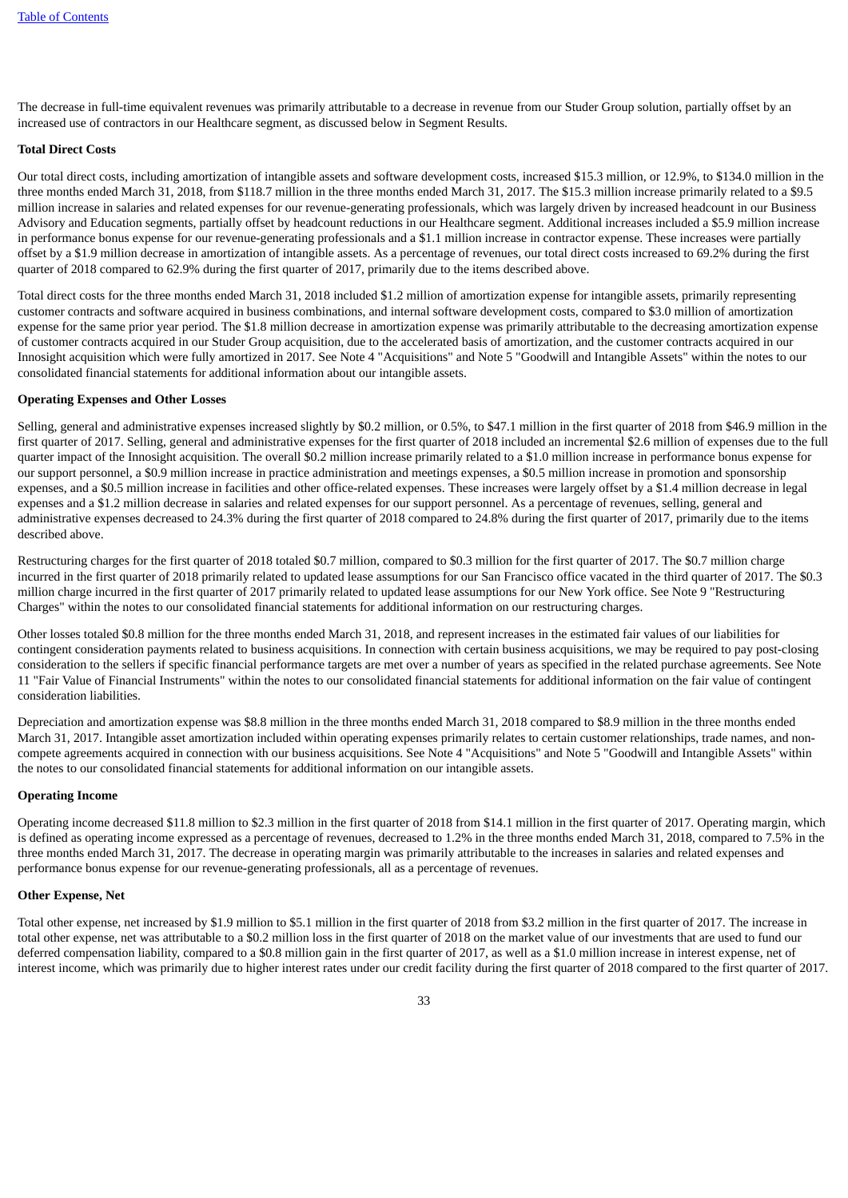The decrease in full-time equivalent revenues was primarily attributable to a decrease in revenue from our Studer Group solution, partially offset by an increased use of contractors in our Healthcare segment, as discussed below in Segment Results.

#### **Total Direct Costs**

Our total direct costs, including amortization of intangible assets and software development costs, increased \$15.3 million, or 12.9%, to \$134.0 million in the three months ended March 31, 2018, from \$118.7 million in the three months ended March 31, 2017. The \$15.3 million increase primarily related to a \$9.5 million increase in salaries and related expenses for our revenue-generating professionals, which was largely driven by increased headcount in our Business Advisory and Education segments, partially offset by headcount reductions in our Healthcare segment. Additional increases included a \$5.9 million increase in performance bonus expense for our revenue-generating professionals and a \$1.1 million increase in contractor expense. These increases were partially offset by a \$1.9 million decrease in amortization of intangible assets. As a percentage of revenues, our total direct costs increased to 69.2% during the first quarter of 2018 compared to 62.9% during the first quarter of 2017, primarily due to the items described above.

Total direct costs for the three months ended March 31, 2018 included \$1.2 million of amortization expense for intangible assets, primarily representing customer contracts and software acquired in business combinations, and internal software development costs, compared to \$3.0 million of amortization expense for the same prior year period. The \$1.8 million decrease in amortization expense was primarily attributable to the decreasing amortization expense of customer contracts acquired in our Studer Group acquisition, due to the accelerated basis of amortization, and the customer contracts acquired in our Innosight acquisition which were fully amortized in 2017. See Note 4 "Acquisitions" and Note 5 "Goodwill and Intangible Assets" within the notes to our consolidated financial statements for additional information about our intangible assets.

#### **Operating Expenses and Other Losses**

Selling, general and administrative expenses increased slightly by \$0.2 million, or 0.5%, to \$47.1 million in the first quarter of 2018 from \$46.9 million in the first quarter of 2017. Selling, general and administrative expenses for the first quarter of 2018 included an incremental \$2.6 million of expenses due to the full quarter impact of the Innosight acquisition. The overall \$0.2 million increase primarily related to a \$1.0 million increase in performance bonus expense for our support personnel, a \$0.9 million increase in practice administration and meetings expenses, a \$0.5 million increase in promotion and sponsorship expenses, and a \$0.5 million increase in facilities and other office-related expenses. These increases were largely offset by a \$1.4 million decrease in legal expenses and a \$1.2 million decrease in salaries and related expenses for our support personnel. As a percentage of revenues, selling, general and administrative expenses decreased to 24.3% during the first quarter of 2018 compared to 24.8% during the first quarter of 2017, primarily due to the items described above.

Restructuring charges for the first quarter of 2018 totaled \$0.7 million, compared to \$0.3 million for the first quarter of 2017. The \$0.7 million charge incurred in the first quarter of 2018 primarily related to updated lease assumptions for our San Francisco office vacated in the third quarter of 2017. The \$0.3 million charge incurred in the first quarter of 2017 primarily related to updated lease assumptions for our New York office. See Note 9 "Restructuring Charges" within the notes to our consolidated financial statements for additional information on our restructuring charges.

Other losses totaled \$0.8 million for the three months ended March 31, 2018, and represent increases in the estimated fair values of our liabilities for contingent consideration payments related to business acquisitions. In connection with certain business acquisitions, we may be required to pay post-closing consideration to the sellers if specific financial performance targets are met over a number of years as specified in the related purchase agreements. See Note 11 "Fair Value of Financial Instruments" within the notes to our consolidated financial statements for additional information on the fair value of contingent consideration liabilities.

Depreciation and amortization expense was \$8.8 million in the three months ended March 31, 2018 compared to \$8.9 million in the three months ended March 31, 2017. Intangible asset amortization included within operating expenses primarily relates to certain customer relationships, trade names, and noncompete agreements acquired in connection with our business acquisitions. See Note 4 "Acquisitions" and Note 5 "Goodwill and Intangible Assets" within the notes to our consolidated financial statements for additional information on our intangible assets.

#### **Operating Income**

Operating income decreased \$11.8 million to \$2.3 million in the first quarter of 2018 from \$14.1 million in the first quarter of 2017. Operating margin, which is defined as operating income expressed as a percentage of revenues, decreased to 1.2% in the three months ended March 31, 2018, compared to 7.5% in the three months ended March 31, 2017. The decrease in operating margin was primarily attributable to the increases in salaries and related expenses and performance bonus expense for our revenue-generating professionals, all as a percentage of revenues.

#### **Other Expense, Net**

Total other expense, net increased by \$1.9 million to \$5.1 million in the first quarter of 2018 from \$3.2 million in the first quarter of 2017. The increase in total other expense, net was attributable to a \$0.2 million loss in the first quarter of 2018 on the market value of our investments that are used to fund our deferred compensation liability, compared to a \$0.8 million gain in the first quarter of 2017, as well as a \$1.0 million increase in interest expense, net of interest income, which was primarily due to higher interest rates under our credit facility during the first quarter of 2018 compared to the first quarter of 2017.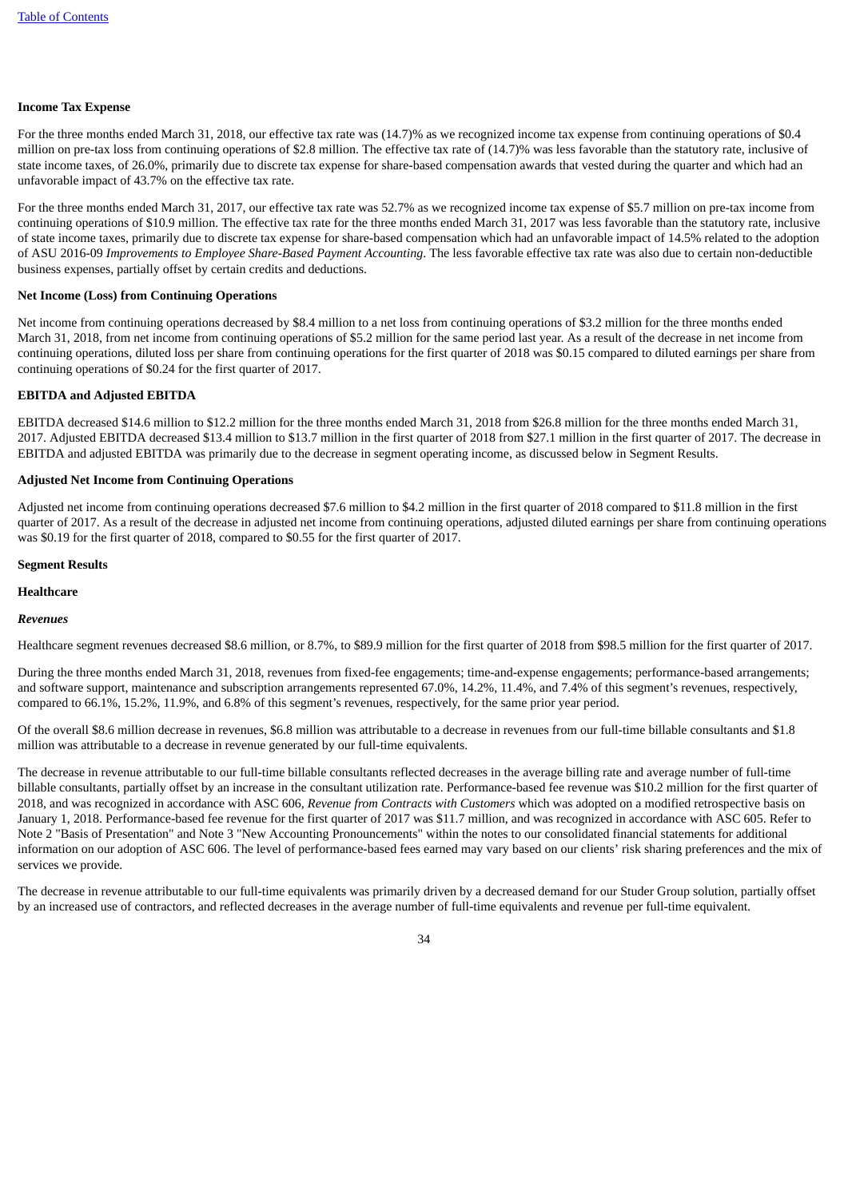#### **Income Tax Expense**

For the three months ended March 31, 2018, our effective tax rate was (14.7)% as we recognized income tax expense from continuing operations of \$0.4 million on pre-tax loss from continuing operations of \$2.8 million. The effective tax rate of (14.7)% was less favorable than the statutory rate, inclusive of state income taxes, of 26.0%, primarily due to discrete tax expense for share-based compensation awards that vested during the quarter and which had an unfavorable impact of 43.7% on the effective tax rate.

For the three months ended March 31, 2017, our effective tax rate was 52.7% as we recognized income tax expense of \$5.7 million on pre-tax income from continuing operations of \$10.9 million. The effective tax rate for the three months ended March 31, 2017 was less favorable than the statutory rate, inclusive of state income taxes, primarily due to discrete tax expense for share-based compensation which had an unfavorable impact of 14.5% related to the adoption of ASU 2016-09 *Improvements to Employee Share-Based Payment Accounting*. The less favorable effective tax rate was also due to certain non-deductible business expenses, partially offset by certain credits and deductions.

#### **Net Income (Loss) from Continuing Operations**

Net income from continuing operations decreased by \$8.4 million to a net loss from continuing operations of \$3.2 million for the three months ended March 31, 2018, from net income from continuing operations of \$5.2 million for the same period last year. As a result of the decrease in net income from continuing operations, diluted loss per share from continuing operations for the first quarter of 2018 was \$0.15 compared to diluted earnings per share from continuing operations of \$0.24 for the first quarter of 2017.

## **EBITDA and Adjusted EBITDA**

EBITDA decreased \$14.6 million to \$12.2 million for the three months ended March 31, 2018 from \$26.8 million for the three months ended March 31, 2017. Adjusted EBITDA decreased \$13.4 million to \$13.7 million in the first quarter of 2018 from \$27.1 million in the first quarter of 2017. The decrease in EBITDA and adjusted EBITDA was primarily due to the decrease in segment operating income, as discussed below in Segment Results.

#### **Adjusted Net Income from Continuing Operations**

Adjusted net income from continuing operations decreased \$7.6 million to \$4.2 million in the first quarter of 2018 compared to \$11.8 million in the first quarter of 2017. As a result of the decrease in adjusted net income from continuing operations, adjusted diluted earnings per share from continuing operations was \$0.19 for the first quarter of 2018, compared to \$0.55 for the first quarter of 2017.

#### **Segment Results**

#### **Healthcare**

#### *Revenues*

Healthcare segment revenues decreased \$8.6 million, or 8.7%, to \$89.9 million for the first quarter of 2018 from \$98.5 million for the first quarter of 2017.

During the three months ended March 31, 2018, revenues from fixed-fee engagements; time-and-expense engagements; performance-based arrangements; and software support, maintenance and subscription arrangements represented 67.0%, 14.2%, 11.4%, and 7.4% of this segment's revenues, respectively, compared to 66.1%, 15.2%, 11.9%, and 6.8% of this segment's revenues, respectively, for the same prior year period.

Of the overall \$8.6 million decrease in revenues, \$6.8 million was attributable to a decrease in revenues from our full-time billable consultants and \$1.8 million was attributable to a decrease in revenue generated by our full-time equivalents.

The decrease in revenue attributable to our full-time billable consultants reflected decreases in the average billing rate and average number of full-time billable consultants, partially offset by an increase in the consultant utilization rate. Performance-based fee revenue was \$10.2 million for the first quarter of 2018, and was recognized in accordance with ASC 606, *Revenue from Contracts with Customers* which was adopted on a modified retrospective basis on January 1, 2018. Performance-based fee revenue for the first quarter of 2017 was \$11.7 million, and was recognized in accordance with ASC 605. Refer to Note 2 "Basis of Presentation" and Note 3 "New Accounting Pronouncements" within the notes to our consolidated financial statements for additional information on our adoption of ASC 606. The level of performance-based fees earned may vary based on our clients' risk sharing preferences and the mix of services we provide.

The decrease in revenue attributable to our full-time equivalents was primarily driven by a decreased demand for our Studer Group solution, partially offset by an increased use of contractors, and reflected decreases in the average number of full-time equivalents and revenue per full-time equivalent.

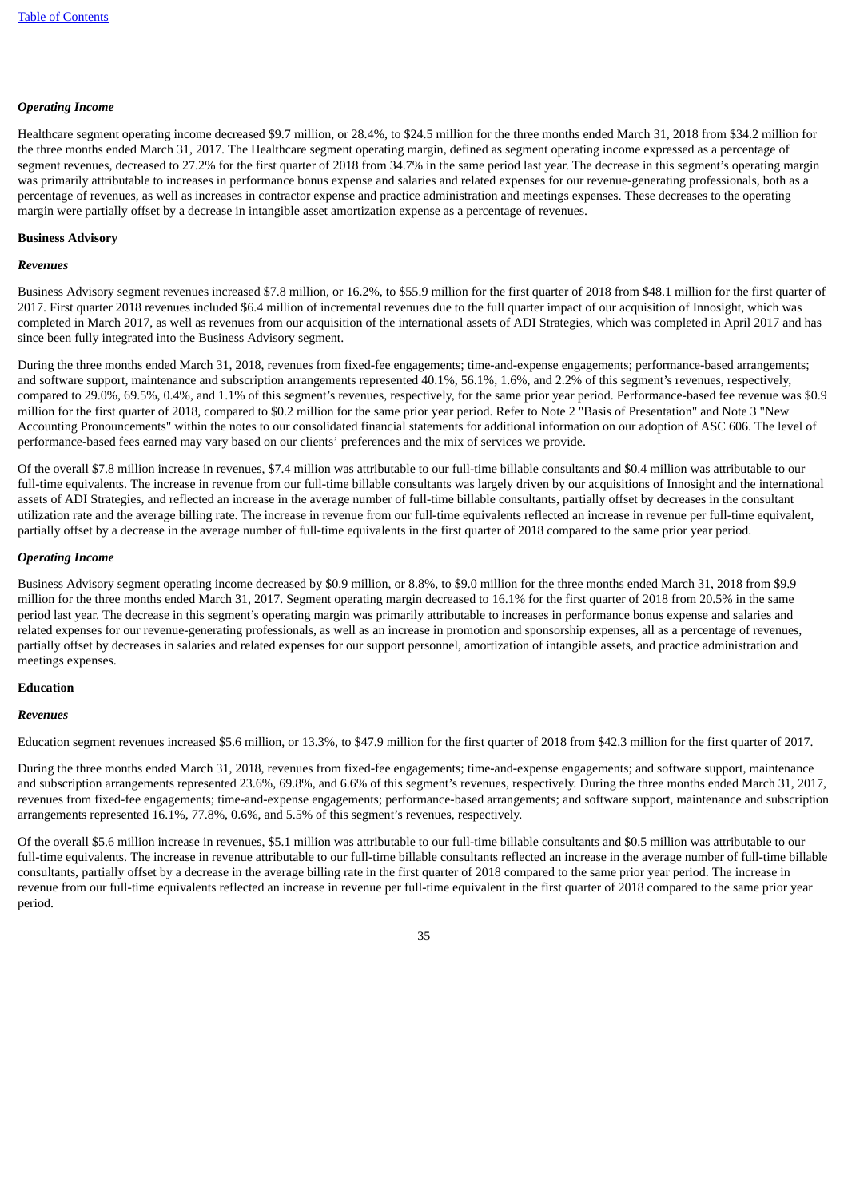#### *Operating Income*

Healthcare segment operating income decreased \$9.7 million, or 28.4%, to \$24.5 million for the three months ended March 31, 2018 from \$34.2 million for the three months ended March 31, 2017. The Healthcare segment operating margin, defined as segment operating income expressed as a percentage of segment revenues, decreased to 27.2% for the first quarter of 2018 from 34.7% in the same period last year. The decrease in this segment's operating margin was primarily attributable to increases in performance bonus expense and salaries and related expenses for our revenue-generating professionals, both as a percentage of revenues, as well as increases in contractor expense and practice administration and meetings expenses. These decreases to the operating margin were partially offset by a decrease in intangible asset amortization expense as a percentage of revenues.

#### **Business Advisory**

#### *Revenues*

Business Advisory segment revenues increased \$7.8 million, or 16.2%, to \$55.9 million for the first quarter of 2018 from \$48.1 million for the first quarter of 2017. First quarter 2018 revenues included \$6.4 million of incremental revenues due to the full quarter impact of our acquisition of Innosight, which was completed in March 2017, as well as revenues from our acquisition of the international assets of ADI Strategies, which was completed in April 2017 and has since been fully integrated into the Business Advisory segment.

During the three months ended March 31, 2018, revenues from fixed-fee engagements; time-and-expense engagements; performance-based arrangements; and software support, maintenance and subscription arrangements represented 40.1%, 56.1%, 1.6%, and 2.2% of this segment's revenues, respectively, compared to 29.0%, 69.5%, 0.4%, and 1.1% of this segment's revenues, respectively, for the same prior year period. Performance-based fee revenue was \$0.9 million for the first quarter of 2018, compared to \$0.2 million for the same prior year period. Refer to Note 2 "Basis of Presentation" and Note 3 "New Accounting Pronouncements" within the notes to our consolidated financial statements for additional information on our adoption of ASC 606. The level of performance-based fees earned may vary based on our clients' preferences and the mix of services we provide.

Of the overall \$7.8 million increase in revenues, \$7.4 million was attributable to our full-time billable consultants and \$0.4 million was attributable to our full-time equivalents. The increase in revenue from our full-time billable consultants was largely driven by our acquisitions of Innosight and the international assets of ADI Strategies, and reflected an increase in the average number of full-time billable consultants, partially offset by decreases in the consultant utilization rate and the average billing rate. The increase in revenue from our full-time equivalents reflected an increase in revenue per full-time equivalent, partially offset by a decrease in the average number of full-time equivalents in the first quarter of 2018 compared to the same prior year period.

#### *Operating Income*

Business Advisory segment operating income decreased by \$0.9 million, or 8.8%, to \$9.0 million for the three months ended March 31, 2018 from \$9.9 million for the three months ended March 31, 2017. Segment operating margin decreased to 16.1% for the first quarter of 2018 from 20.5% in the same period last year. The decrease in this segment's operating margin was primarily attributable to increases in performance bonus expense and salaries and related expenses for our revenue-generating professionals, as well as an increase in promotion and sponsorship expenses, all as a percentage of revenues, partially offset by decreases in salaries and related expenses for our support personnel, amortization of intangible assets, and practice administration and meetings expenses.

## **Education**

#### *Revenues*

Education segment revenues increased \$5.6 million, or 13.3%, to \$47.9 million for the first quarter of 2018 from \$42.3 million for the first quarter of 2017.

During the three months ended March 31, 2018, revenues from fixed-fee engagements; time-and-expense engagements; and software support, maintenance and subscription arrangements represented 23.6%, 69.8%, and 6.6% of this segment's revenues, respectively. During the three months ended March 31, 2017, revenues from fixed-fee engagements; time-and-expense engagements; performance-based arrangements; and software support, maintenance and subscription arrangements represented 16.1%, 77.8%, 0.6%, and 5.5% of this segment's revenues, respectively.

Of the overall \$5.6 million increase in revenues, \$5.1 million was attributable to our full-time billable consultants and \$0.5 million was attributable to our full-time equivalents. The increase in revenue attributable to our full-time billable consultants reflected an increase in the average number of full-time billable consultants, partially offset by a decrease in the average billing rate in the first quarter of 2018 compared to the same prior year period. The increase in revenue from our full-time equivalents reflected an increase in revenue per full-time equivalent in the first quarter of 2018 compared to the same prior year period.

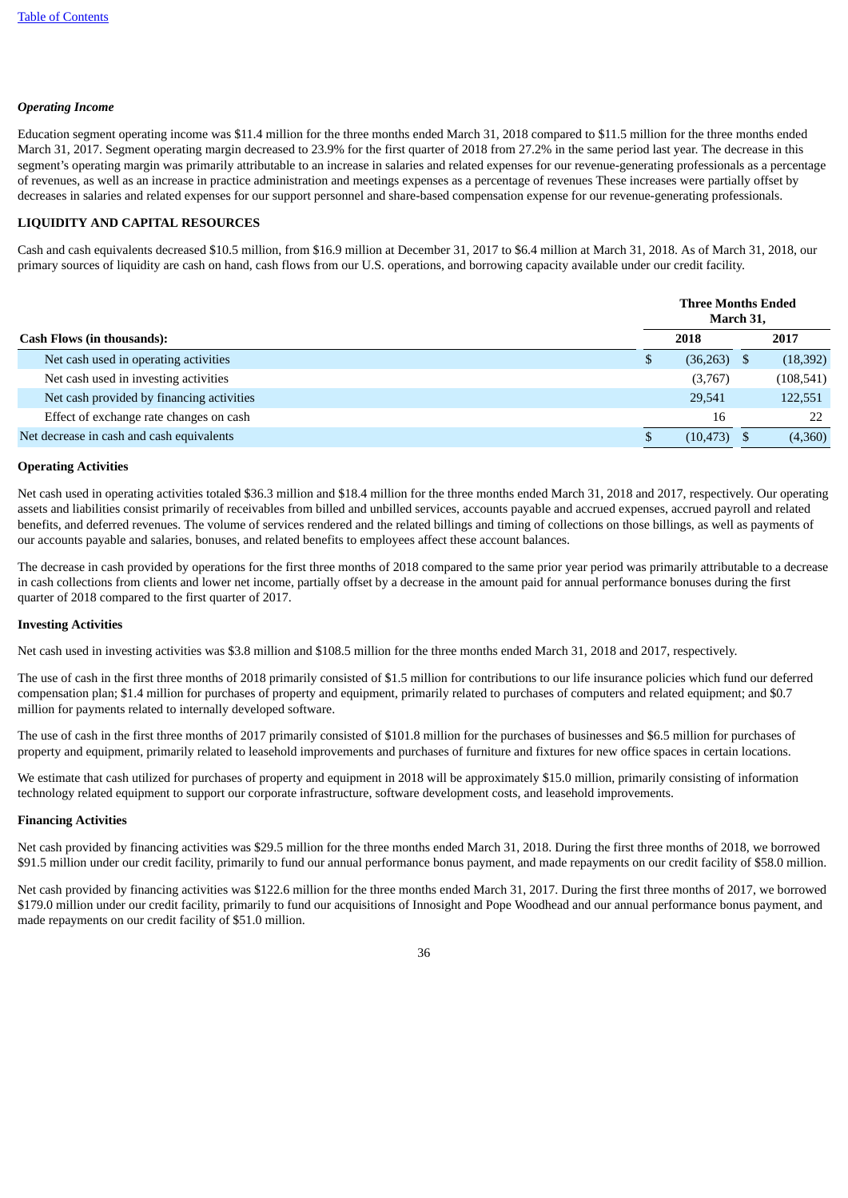## *Operating Income*

Education segment operating income was \$11.4 million for the three months ended March 31, 2018 compared to \$11.5 million for the three months ended March 31, 2017. Segment operating margin decreased to 23.9% for the first quarter of 2018 from 27.2% in the same period last year. The decrease in this segment's operating margin was primarily attributable to an increase in salaries and related expenses for our revenue-generating professionals as a percentage of revenues, as well as an increase in practice administration and meetings expenses as a percentage of revenues These increases were partially offset by decreases in salaries and related expenses for our support personnel and share-based compensation expense for our revenue-generating professionals.

## **LIQUIDITY AND CAPITAL RESOURCES**

Cash and cash equivalents decreased \$10.5 million, from \$16.9 million at December 31, 2017 to \$6.4 million at March 31, 2018. As of March 31, 2018, our primary sources of liquidity are cash on hand, cash flows from our U.S. operations, and borrowing capacity available under our credit facility.

|                                           |    |           | <b>Three Months Ended</b><br>March 31, |            |  |  |  |
|-------------------------------------------|----|-----------|----------------------------------------|------------|--|--|--|
| <b>Cash Flows (in thousands):</b>         |    | 2018      |                                        | 2017       |  |  |  |
| Net cash used in operating activities     | \$ | (36,263)  |                                        | (18, 392)  |  |  |  |
| Net cash used in investing activities     |    | (3,767)   |                                        | (108, 541) |  |  |  |
| Net cash provided by financing activities |    | 29.541    |                                        | 122,551    |  |  |  |
| Effect of exchange rate changes on cash   |    | 16        |                                        | 22         |  |  |  |
| Net decrease in cash and cash equivalents |    | (10, 473) |                                        | (4,360)    |  |  |  |

#### **Operating Activities**

Net cash used in operating activities totaled \$36.3 million and \$18.4 million for the three months ended March 31, 2018 and 2017, respectively. Our operating assets and liabilities consist primarily of receivables from billed and unbilled services, accounts payable and accrued expenses, accrued payroll and related benefits, and deferred revenues. The volume of services rendered and the related billings and timing of collections on those billings, as well as payments of our accounts payable and salaries, bonuses, and related benefits to employees affect these account balances.

The decrease in cash provided by operations for the first three months of 2018 compared to the same prior year period was primarily attributable to a decrease in cash collections from clients and lower net income, partially offset by a decrease in the amount paid for annual performance bonuses during the first quarter of 2018 compared to the first quarter of 2017.

## **Investing Activities**

Net cash used in investing activities was \$3.8 million and \$108.5 million for the three months ended March 31, 2018 and 2017, respectively.

The use of cash in the first three months of 2018 primarily consisted of \$1.5 million for contributions to our life insurance policies which fund our deferred compensation plan; \$1.4 million for purchases of property and equipment, primarily related to purchases of computers and related equipment; and \$0.7 million for payments related to internally developed software.

The use of cash in the first three months of 2017 primarily consisted of \$101.8 million for the purchases of businesses and \$6.5 million for purchases of property and equipment, primarily related to leasehold improvements and purchases of furniture and fixtures for new office spaces in certain locations.

We estimate that cash utilized for purchases of property and equipment in 2018 will be approximately \$15.0 million, primarily consisting of information technology related equipment to support our corporate infrastructure, software development costs, and leasehold improvements.

## **Financing Activities**

Net cash provided by financing activities was \$29.5 million for the three months ended March 31, 2018. During the first three months of 2018, we borrowed \$91.5 million under our credit facility, primarily to fund our annual performance bonus payment, and made repayments on our credit facility of \$58.0 million.

Net cash provided by financing activities was \$122.6 million for the three months ended March 31, 2017. During the first three months of 2017, we borrowed \$179.0 million under our credit facility, primarily to fund our acquisitions of Innosight and Pope Woodhead and our annual performance bonus payment, and made repayments on our credit facility of \$51.0 million.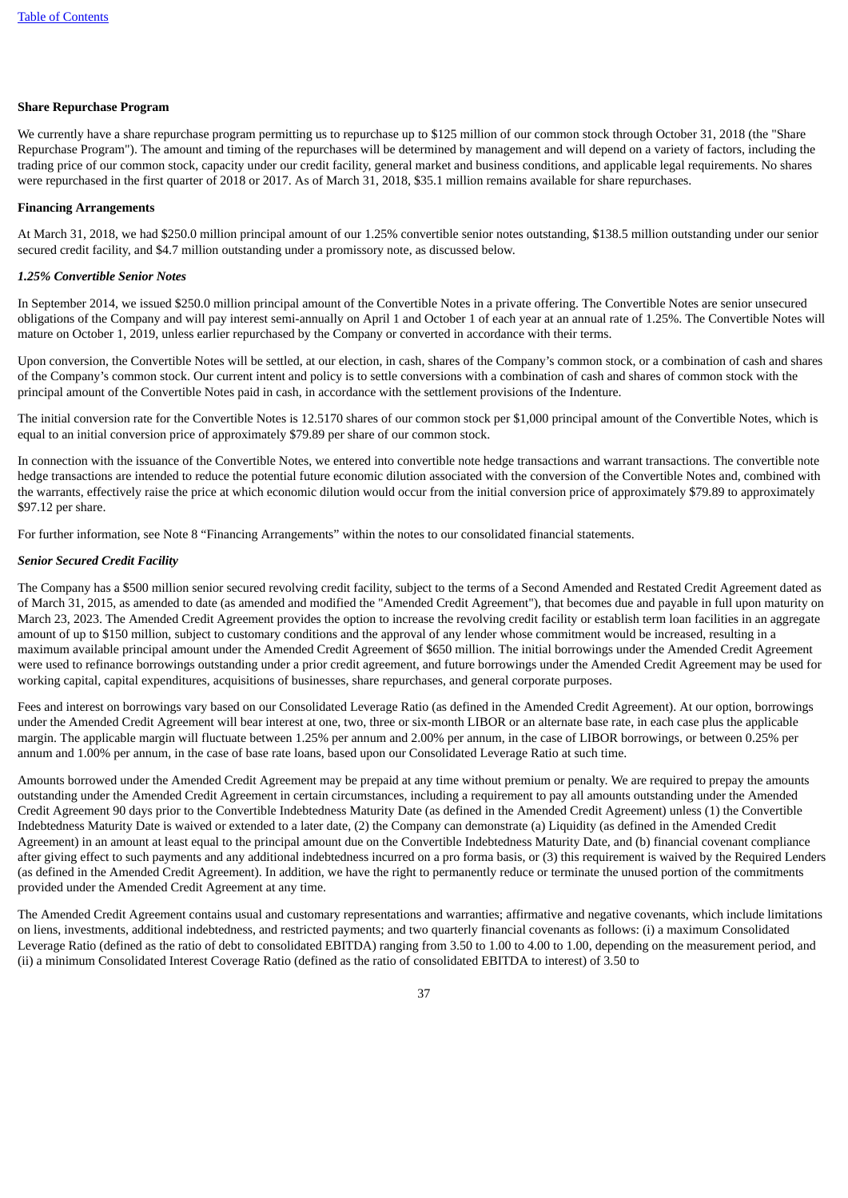#### **Share Repurchase Program**

We currently have a share repurchase program permitting us to repurchase up to \$125 million of our common stock through October 31, 2018 (the "Share Repurchase Program"). The amount and timing of the repurchases will be determined by management and will depend on a variety of factors, including the trading price of our common stock, capacity under our credit facility, general market and business conditions, and applicable legal requirements. No shares were repurchased in the first quarter of 2018 or 2017. As of March 31, 2018, \$35.1 million remains available for share repurchases.

#### **Financing Arrangements**

At March 31, 2018, we had \$250.0 million principal amount of our 1.25% convertible senior notes outstanding, \$138.5 million outstanding under our senior secured credit facility, and \$4.7 million outstanding under a promissory note, as discussed below.

#### *1.25% Convertible Senior Notes*

In September 2014, we issued \$250.0 million principal amount of the Convertible Notes in a private offering. The Convertible Notes are senior unsecured obligations of the Company and will pay interest semi-annually on April 1 and October 1 of each year at an annual rate of 1.25%. The Convertible Notes will mature on October 1, 2019, unless earlier repurchased by the Company or converted in accordance with their terms.

Upon conversion, the Convertible Notes will be settled, at our election, in cash, shares of the Company's common stock, or a combination of cash and shares of the Company's common stock. Our current intent and policy is to settle conversions with a combination of cash and shares of common stock with the principal amount of the Convertible Notes paid in cash, in accordance with the settlement provisions of the Indenture.

The initial conversion rate for the Convertible Notes is 12.5170 shares of our common stock per \$1,000 principal amount of the Convertible Notes, which is equal to an initial conversion price of approximately \$79.89 per share of our common stock.

In connection with the issuance of the Convertible Notes, we entered into convertible note hedge transactions and warrant transactions. The convertible note hedge transactions are intended to reduce the potential future economic dilution associated with the conversion of the Convertible Notes and, combined with the warrants, effectively raise the price at which economic dilution would occur from the initial conversion price of approximately \$79.89 to approximately \$97.12 per share.

For further information, see Note 8 "Financing Arrangements" within the notes to our consolidated financial statements.

#### *Senior Secured Credit Facility*

The Company has a \$500 million senior secured revolving credit facility, subject to the terms of a Second Amended and Restated Credit Agreement dated as of March 31, 2015, as amended to date (as amended and modified the "Amended Credit Agreement"), that becomes due and payable in full upon maturity on March 23, 2023. The Amended Credit Agreement provides the option to increase the revolving credit facility or establish term loan facilities in an aggregate amount of up to \$150 million, subject to customary conditions and the approval of any lender whose commitment would be increased, resulting in a maximum available principal amount under the Amended Credit Agreement of \$650 million. The initial borrowings under the Amended Credit Agreement were used to refinance borrowings outstanding under a prior credit agreement, and future borrowings under the Amended Credit Agreement may be used for working capital, capital expenditures, acquisitions of businesses, share repurchases, and general corporate purposes.

Fees and interest on borrowings vary based on our Consolidated Leverage Ratio (as defined in the Amended Credit Agreement). At our option, borrowings under the Amended Credit Agreement will bear interest at one, two, three or six-month LIBOR or an alternate base rate, in each case plus the applicable margin. The applicable margin will fluctuate between 1.25% per annum and 2.00% per annum, in the case of LIBOR borrowings, or between 0.25% per annum and 1.00% per annum, in the case of base rate loans, based upon our Consolidated Leverage Ratio at such time.

Amounts borrowed under the Amended Credit Agreement may be prepaid at any time without premium or penalty. We are required to prepay the amounts outstanding under the Amended Credit Agreement in certain circumstances, including a requirement to pay all amounts outstanding under the Amended Credit Agreement 90 days prior to the Convertible Indebtedness Maturity Date (as defined in the Amended Credit Agreement) unless (1) the Convertible Indebtedness Maturity Date is waived or extended to a later date, (2) the Company can demonstrate (a) Liquidity (as defined in the Amended Credit Agreement) in an amount at least equal to the principal amount due on the Convertible Indebtedness Maturity Date, and (b) financial covenant compliance after giving effect to such payments and any additional indebtedness incurred on a pro forma basis, or (3) this requirement is waived by the Required Lenders (as defined in the Amended Credit Agreement). In addition, we have the right to permanently reduce or terminate the unused portion of the commitments provided under the Amended Credit Agreement at any time.

The Amended Credit Agreement contains usual and customary representations and warranties; affirmative and negative covenants, which include limitations on liens, investments, additional indebtedness, and restricted payments; and two quarterly financial covenants as follows: (i) a maximum Consolidated Leverage Ratio (defined as the ratio of debt to consolidated EBITDA) ranging from 3.50 to 1.00 to 4.00 to 1.00, depending on the measurement period, and (ii) a minimum Consolidated Interest Coverage Ratio (defined as the ratio of consolidated EBITDA to interest) of 3.50 to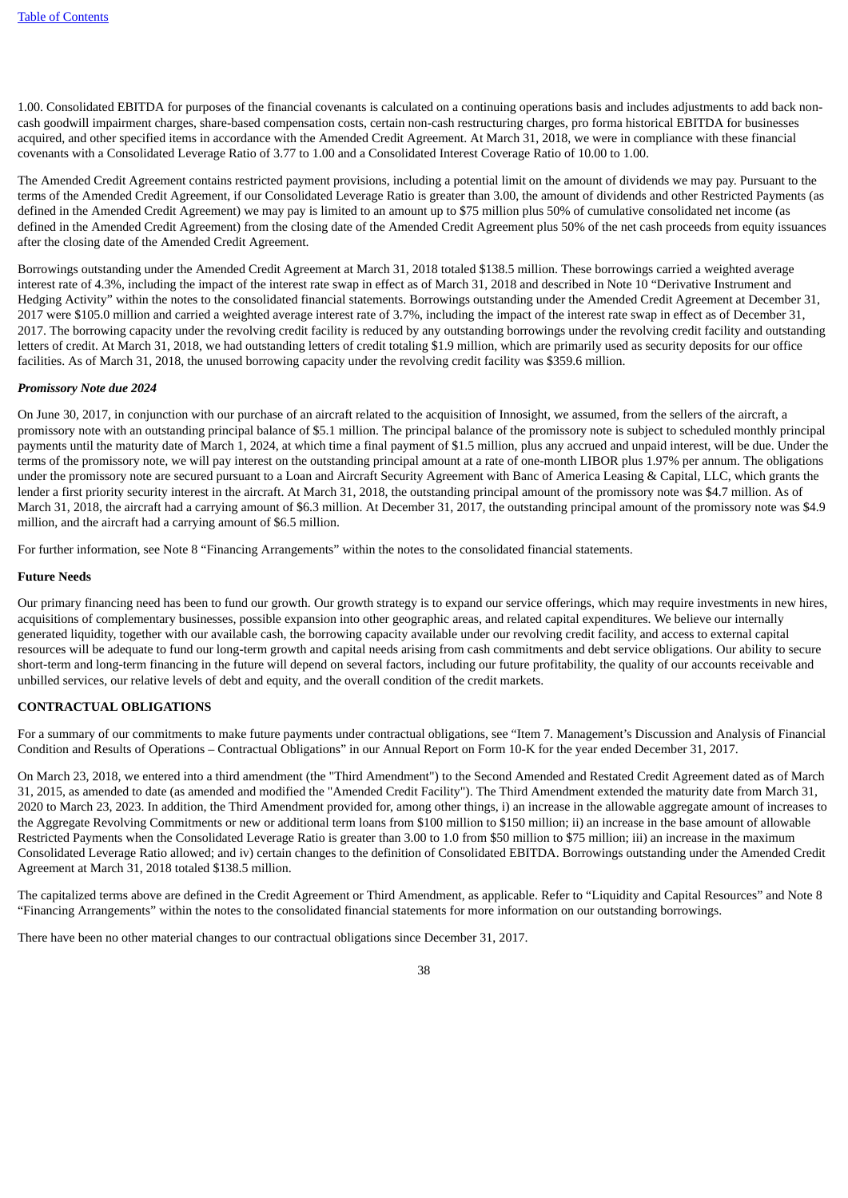1.00. Consolidated EBITDA for purposes of the financial covenants is calculated on a continuing operations basis and includes adjustments to add back noncash goodwill impairment charges, share-based compensation costs, certain non-cash restructuring charges, pro forma historical EBITDA for businesses acquired, and other specified items in accordance with the Amended Credit Agreement. At March 31, 2018, we were in compliance with these financial covenants with a Consolidated Leverage Ratio of 3.77 to 1.00 and a Consolidated Interest Coverage Ratio of 10.00 to 1.00.

The Amended Credit Agreement contains restricted payment provisions, including a potential limit on the amount of dividends we may pay. Pursuant to the terms of the Amended Credit Agreement, if our Consolidated Leverage Ratio is greater than 3.00, the amount of dividends and other Restricted Payments (as defined in the Amended Credit Agreement) we may pay is limited to an amount up to \$75 million plus 50% of cumulative consolidated net income (as defined in the Amended Credit Agreement) from the closing date of the Amended Credit Agreement plus 50% of the net cash proceeds from equity issuances after the closing date of the Amended Credit Agreement.

Borrowings outstanding under the Amended Credit Agreement at March 31, 2018 totaled \$138.5 million. These borrowings carried a weighted average interest rate of 4.3%, including the impact of the interest rate swap in effect as of March 31, 2018 and described in Note 10 "Derivative Instrument and Hedging Activity" within the notes to the consolidated financial statements. Borrowings outstanding under the Amended Credit Agreement at December 31, 2017 were \$105.0 million and carried a weighted average interest rate of 3.7%, including the impact of the interest rate swap in effect as of December 31, 2017. The borrowing capacity under the revolving credit facility is reduced by any outstanding borrowings under the revolving credit facility and outstanding letters of credit. At March 31, 2018, we had outstanding letters of credit totaling \$1.9 million, which are primarily used as security deposits for our office facilities. As of March 31, 2018, the unused borrowing capacity under the revolving credit facility was \$359.6 million.

#### *Promissory Note due 2024*

On June 30, 2017, in conjunction with our purchase of an aircraft related to the acquisition of Innosight, we assumed, from the sellers of the aircraft, a promissory note with an outstanding principal balance of \$5.1 million. The principal balance of the promissory note is subject to scheduled monthly principal payments until the maturity date of March 1, 2024, at which time a final payment of \$1.5 million, plus any accrued and unpaid interest, will be due. Under the terms of the promissory note, we will pay interest on the outstanding principal amount at a rate of one-month LIBOR plus 1.97% per annum. The obligations under the promissory note are secured pursuant to a Loan and Aircraft Security Agreement with Banc of America Leasing & Capital, LLC, which grants the lender a first priority security interest in the aircraft. At March 31, 2018, the outstanding principal amount of the promissory note was \$4.7 million. As of March 31, 2018, the aircraft had a carrying amount of \$6.3 million. At December 31, 2017, the outstanding principal amount of the promissory note was \$4.9 million, and the aircraft had a carrying amount of \$6.5 million.

For further information, see Note 8 "Financing Arrangements" within the notes to the consolidated financial statements.

#### **Future Needs**

Our primary financing need has been to fund our growth. Our growth strategy is to expand our service offerings, which may require investments in new hires, acquisitions of complementary businesses, possible expansion into other geographic areas, and related capital expenditures. We believe our internally generated liquidity, together with our available cash, the borrowing capacity available under our revolving credit facility, and access to external capital resources will be adequate to fund our long-term growth and capital needs arising from cash commitments and debt service obligations. Our ability to secure short-term and long-term financing in the future will depend on several factors, including our future profitability, the quality of our accounts receivable and unbilled services, our relative levels of debt and equity, and the overall condition of the credit markets.

## **CONTRACTUAL OBLIGATIONS**

For a summary of our commitments to make future payments under contractual obligations, see "Item 7. Management's Discussion and Analysis of Financial Condition and Results of Operations – Contractual Obligations" in our Annual Report on Form 10-K for the year ended December 31, 2017.

On March 23, 2018, we entered into a third amendment (the "Third Amendment") to the Second Amended and Restated Credit Agreement dated as of March 31, 2015, as amended to date (as amended and modified the "Amended Credit Facility"). The Third Amendment extended the maturity date from March 31, 2020 to March 23, 2023. In addition, the Third Amendment provided for, among other things, i) an increase in the allowable aggregate amount of increases to the Aggregate Revolving Commitments or new or additional term loans from \$100 million to \$150 million; ii) an increase in the base amount of allowable Restricted Payments when the Consolidated Leverage Ratio is greater than 3.00 to 1.0 from \$50 million to \$75 million; iii) an increase in the maximum Consolidated Leverage Ratio allowed; and iv) certain changes to the definition of Consolidated EBITDA. Borrowings outstanding under the Amended Credit Agreement at March 31, 2018 totaled \$138.5 million.

The capitalized terms above are defined in the Credit Agreement or Third Amendment, as applicable. Refer to "Liquidity and Capital Resources" and Note 8 "Financing Arrangements" within the notes to the consolidated financial statements for more information on our outstanding borrowings.

There have been no other material changes to our contractual obligations since December 31, 2017.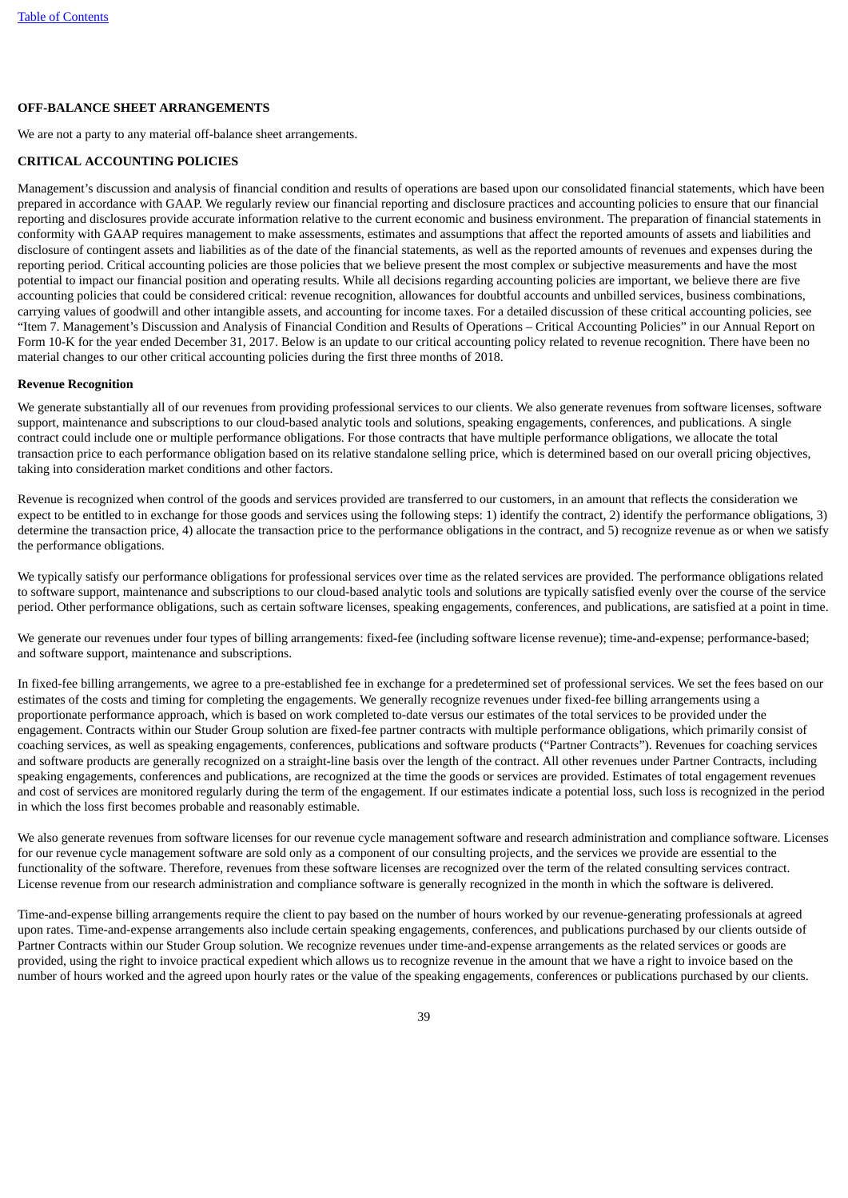## **OFF-BALANCE SHEET ARRANGEMENTS**

We are not a party to any material off-balance sheet arrangements.

#### **CRITICAL ACCOUNTING POLICIES**

Management's discussion and analysis of financial condition and results of operations are based upon our consolidated financial statements, which have been prepared in accordance with GAAP. We regularly review our financial reporting and disclosure practices and accounting policies to ensure that our financial reporting and disclosures provide accurate information relative to the current economic and business environment. The preparation of financial statements in conformity with GAAP requires management to make assessments, estimates and assumptions that affect the reported amounts of assets and liabilities and disclosure of contingent assets and liabilities as of the date of the financial statements, as well as the reported amounts of revenues and expenses during the reporting period. Critical accounting policies are those policies that we believe present the most complex or subjective measurements and have the most potential to impact our financial position and operating results. While all decisions regarding accounting policies are important, we believe there are five accounting policies that could be considered critical: revenue recognition, allowances for doubtful accounts and unbilled services, business combinations, carrying values of goodwill and other intangible assets, and accounting for income taxes. For a detailed discussion of these critical accounting policies, see "Item 7. Management's Discussion and Analysis of Financial Condition and Results of Operations – Critical Accounting Policies" in our Annual Report on Form 10-K for the year ended December 31, 2017. Below is an update to our critical accounting policy related to revenue recognition. There have been no material changes to our other critical accounting policies during the first three months of 2018.

#### **Revenue Recognition**

We generate substantially all of our revenues from providing professional services to our clients. We also generate revenues from software licenses, software support, maintenance and subscriptions to our cloud-based analytic tools and solutions, speaking engagements, conferences, and publications. A single contract could include one or multiple performance obligations. For those contracts that have multiple performance obligations, we allocate the total transaction price to each performance obligation based on its relative standalone selling price, which is determined based on our overall pricing objectives, taking into consideration market conditions and other factors.

Revenue is recognized when control of the goods and services provided are transferred to our customers, in an amount that reflects the consideration we expect to be entitled to in exchange for those goods and services using the following steps: 1) identify the contract, 2) identify the performance obligations, 3) determine the transaction price, 4) allocate the transaction price to the performance obligations in the contract, and 5) recognize revenue as or when we satisfy the performance obligations.

We typically satisfy our performance obligations for professional services over time as the related services are provided. The performance obligations related to software support, maintenance and subscriptions to our cloud-based analytic tools and solutions are typically satisfied evenly over the course of the service period. Other performance obligations, such as certain software licenses, speaking engagements, conferences, and publications, are satisfied at a point in time.

We generate our revenues under four types of billing arrangements: fixed-fee (including software license revenue); time-and-expense; performance-based; and software support, maintenance and subscriptions.

In fixed-fee billing arrangements, we agree to a pre-established fee in exchange for a predetermined set of professional services. We set the fees based on our estimates of the costs and timing for completing the engagements. We generally recognize revenues under fixed-fee billing arrangements using a proportionate performance approach, which is based on work completed to-date versus our estimates of the total services to be provided under the engagement. Contracts within our Studer Group solution are fixed-fee partner contracts with multiple performance obligations, which primarily consist of coaching services, as well as speaking engagements, conferences, publications and software products ("Partner Contracts"). Revenues for coaching services and software products are generally recognized on a straight-line basis over the length of the contract. All other revenues under Partner Contracts, including speaking engagements, conferences and publications, are recognized at the time the goods or services are provided. Estimates of total engagement revenues and cost of services are monitored regularly during the term of the engagement. If our estimates indicate a potential loss, such loss is recognized in the period in which the loss first becomes probable and reasonably estimable.

We also generate revenues from software licenses for our revenue cycle management software and research administration and compliance software. Licenses for our revenue cycle management software are sold only as a component of our consulting projects, and the services we provide are essential to the functionality of the software. Therefore, revenues from these software licenses are recognized over the term of the related consulting services contract. License revenue from our research administration and compliance software is generally recognized in the month in which the software is delivered.

Time-and-expense billing arrangements require the client to pay based on the number of hours worked by our revenue-generating professionals at agreed upon rates. Time-and-expense arrangements also include certain speaking engagements, conferences, and publications purchased by our clients outside of Partner Contracts within our Studer Group solution. We recognize revenues under time-and-expense arrangements as the related services or goods are provided, using the right to invoice practical expedient which allows us to recognize revenue in the amount that we have a right to invoice based on the number of hours worked and the agreed upon hourly rates or the value of the speaking engagements, conferences or publications purchased by our clients.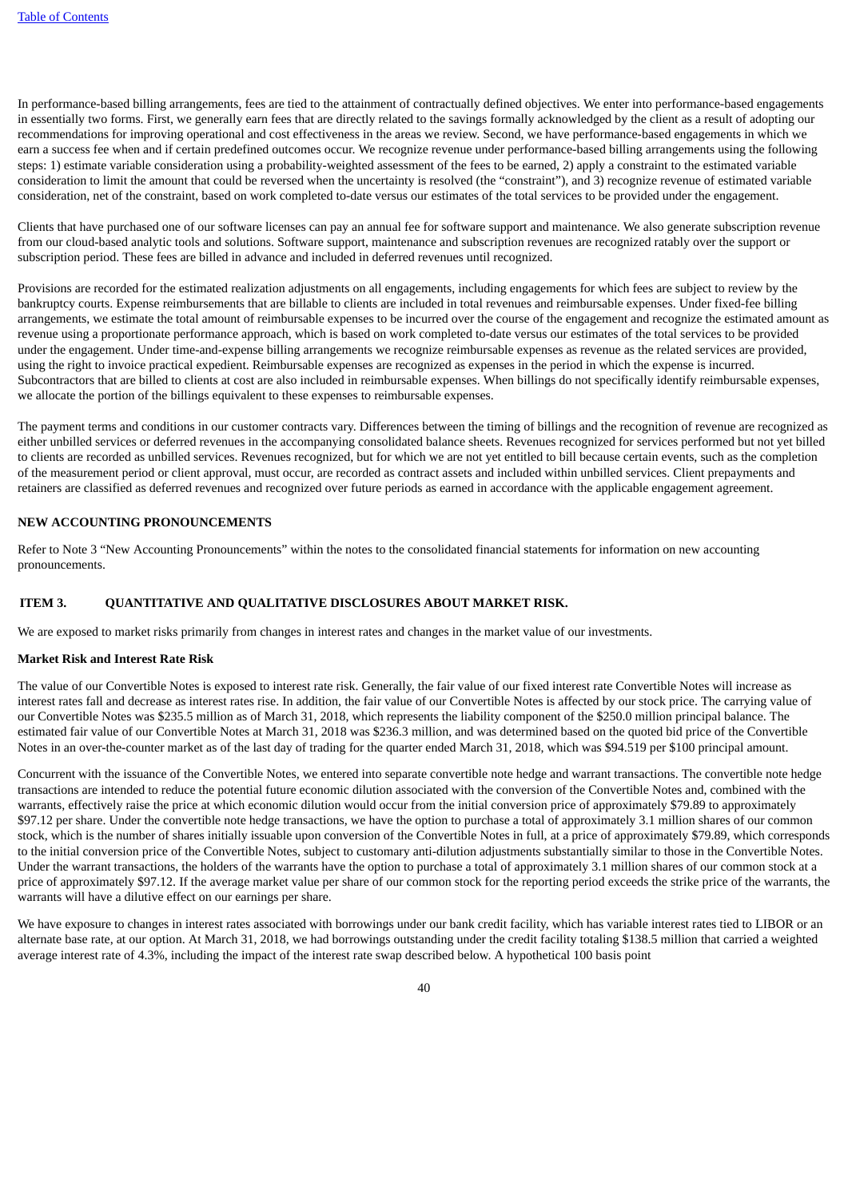In performance-based billing arrangements, fees are tied to the attainment of contractually defined objectives. We enter into performance-based engagements in essentially two forms. First, we generally earn fees that are directly related to the savings formally acknowledged by the client as a result of adopting our recommendations for improving operational and cost effectiveness in the areas we review. Second, we have performance-based engagements in which we earn a success fee when and if certain predefined outcomes occur. We recognize revenue under performance-based billing arrangements using the following steps: 1) estimate variable consideration using a probability-weighted assessment of the fees to be earned, 2) apply a constraint to the estimated variable consideration to limit the amount that could be reversed when the uncertainty is resolved (the "constraint"), and 3) recognize revenue of estimated variable consideration, net of the constraint, based on work completed to-date versus our estimates of the total services to be provided under the engagement.

Clients that have purchased one of our software licenses can pay an annual fee for software support and maintenance. We also generate subscription revenue from our cloud-based analytic tools and solutions. Software support, maintenance and subscription revenues are recognized ratably over the support or subscription period. These fees are billed in advance and included in deferred revenues until recognized.

Provisions are recorded for the estimated realization adjustments on all engagements, including engagements for which fees are subject to review by the bankruptcy courts. Expense reimbursements that are billable to clients are included in total revenues and reimbursable expenses. Under fixed-fee billing arrangements, we estimate the total amount of reimbursable expenses to be incurred over the course of the engagement and recognize the estimated amount as revenue using a proportionate performance approach, which is based on work completed to-date versus our estimates of the total services to be provided under the engagement. Under time-and-expense billing arrangements we recognize reimbursable expenses as revenue as the related services are provided, using the right to invoice practical expedient. Reimbursable expenses are recognized as expenses in the period in which the expense is incurred. Subcontractors that are billed to clients at cost are also included in reimbursable expenses. When billings do not specifically identify reimbursable expenses, we allocate the portion of the billings equivalent to these expenses to reimbursable expenses.

The payment terms and conditions in our customer contracts vary. Differences between the timing of billings and the recognition of revenue are recognized as either unbilled services or deferred revenues in the accompanying consolidated balance sheets. Revenues recognized for services performed but not yet billed to clients are recorded as unbilled services. Revenues recognized, but for which we are not yet entitled to bill because certain events, such as the completion of the measurement period or client approval, must occur, are recorded as contract assets and included within unbilled services. Client prepayments and retainers are classified as deferred revenues and recognized over future periods as earned in accordance with the applicable engagement agreement.

#### **NEW ACCOUNTING PRONOUNCEMENTS**

Refer to Note 3 "New Accounting Pronouncements" within the notes to the consolidated financial statements for information on new accounting pronouncements.

## <span id="page-41-0"></span>**ITEM 3. QUANTITATIVE AND QUALITATIVE DISCLOSURES ABOUT MARKET RISK.**

We are exposed to market risks primarily from changes in interest rates and changes in the market value of our investments.

#### **Market Risk and Interest Rate Risk**

The value of our Convertible Notes is exposed to interest rate risk. Generally, the fair value of our fixed interest rate Convertible Notes will increase as interest rates fall and decrease as interest rates rise. In addition, the fair value of our Convertible Notes is affected by our stock price. The carrying value of our Convertible Notes was \$235.5 million as of March 31, 2018, which represents the liability component of the \$250.0 million principal balance. The estimated fair value of our Convertible Notes at March 31, 2018 was \$236.3 million, and was determined based on the quoted bid price of the Convertible Notes in an over-the-counter market as of the last day of trading for the quarter ended March 31, 2018, which was \$94.519 per \$100 principal amount.

Concurrent with the issuance of the Convertible Notes, we entered into separate convertible note hedge and warrant transactions. The convertible note hedge transactions are intended to reduce the potential future economic dilution associated with the conversion of the Convertible Notes and, combined with the warrants, effectively raise the price at which economic dilution would occur from the initial conversion price of approximately \$79.89 to approximately \$97.12 per share. Under the convertible note hedge transactions, we have the option to purchase a total of approximately 3.1 million shares of our common stock, which is the number of shares initially issuable upon conversion of the Convertible Notes in full, at a price of approximately \$79.89, which corresponds to the initial conversion price of the Convertible Notes, subject to customary anti-dilution adjustments substantially similar to those in the Convertible Notes. Under the warrant transactions, the holders of the warrants have the option to purchase a total of approximately 3.1 million shares of our common stock at a price of approximately \$97.12. If the average market value per share of our common stock for the reporting period exceeds the strike price of the warrants, the warrants will have a dilutive effect on our earnings per share.

We have exposure to changes in interest rates associated with borrowings under our bank credit facility, which has variable interest rates tied to LIBOR or an alternate base rate, at our option. At March 31, 2018, we had borrowings outstanding under the credit facility totaling \$138.5 million that carried a weighted average interest rate of 4.3%, including the impact of the interest rate swap described below. A hypothetical 100 basis point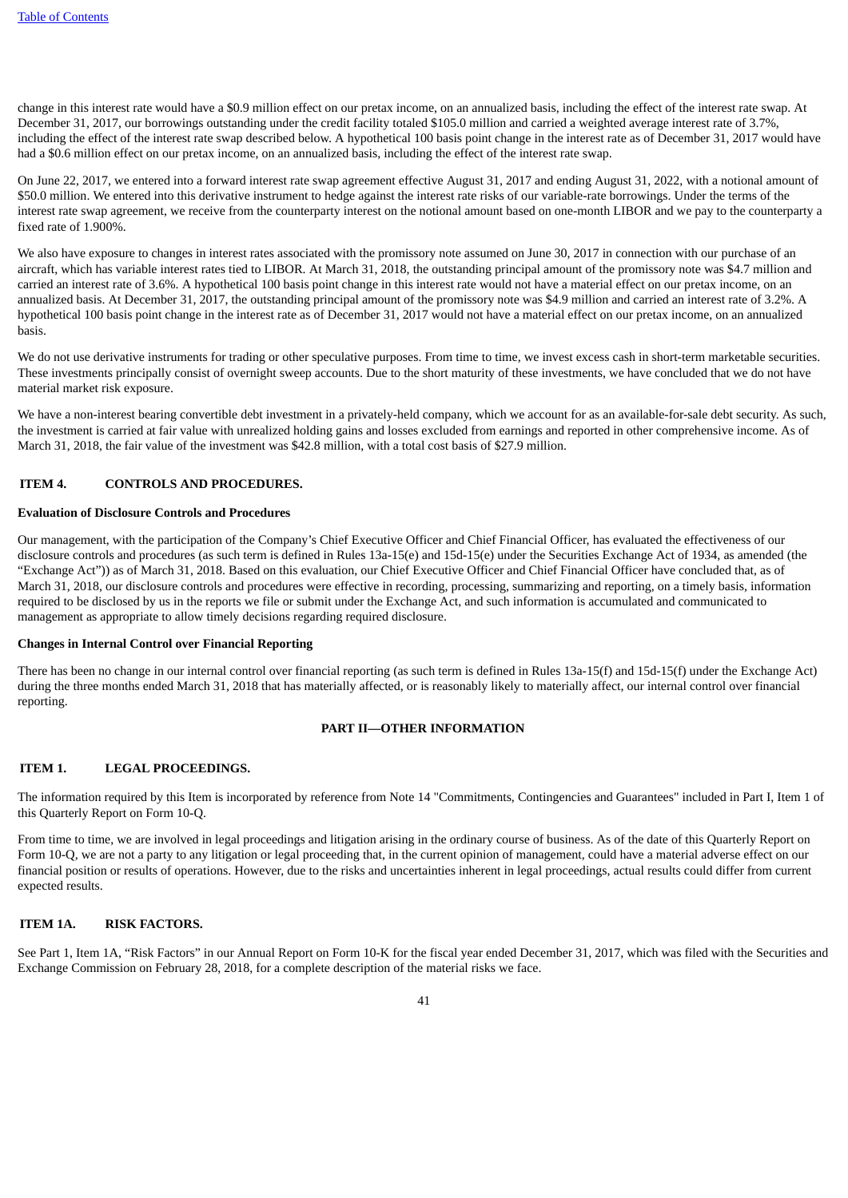change in this interest rate would have a \$0.9 million effect on our pretax income, on an annualized basis, including the effect of the interest rate swap. At December 31, 2017, our borrowings outstanding under the credit facility totaled \$105.0 million and carried a weighted average interest rate of 3.7%, including the effect of the interest rate swap described below. A hypothetical 100 basis point change in the interest rate as of December 31, 2017 would have had a \$0.6 million effect on our pretax income, on an annualized basis, including the effect of the interest rate swap.

On June 22, 2017, we entered into a forward interest rate swap agreement effective August 31, 2017 and ending August 31, 2022, with a notional amount of \$50.0 million. We entered into this derivative instrument to hedge against the interest rate risks of our variable-rate borrowings. Under the terms of the interest rate swap agreement, we receive from the counterparty interest on the notional amount based on one-month LIBOR and we pay to the counterparty a fixed rate of 1.900%.

We also have exposure to changes in interest rates associated with the promissory note assumed on June 30, 2017 in connection with our purchase of an aircraft, which has variable interest rates tied to LIBOR. At March 31, 2018, the outstanding principal amount of the promissory note was \$4.7 million and carried an interest rate of 3.6%. A hypothetical 100 basis point change in this interest rate would not have a material effect on our pretax income, on an annualized basis. At December 31, 2017, the outstanding principal amount of the promissory note was \$4.9 million and carried an interest rate of 3.2%. A hypothetical 100 basis point change in the interest rate as of December 31, 2017 would not have a material effect on our pretax income, on an annualized basis.

We do not use derivative instruments for trading or other speculative purposes. From time to time, we invest excess cash in short-term marketable securities. These investments principally consist of overnight sweep accounts. Due to the short maturity of these investments, we have concluded that we do not have material market risk exposure.

We have a non-interest bearing convertible debt investment in a privately-held company, which we account for as an available-for-sale debt security. As such, the investment is carried at fair value with unrealized holding gains and losses excluded from earnings and reported in other comprehensive income. As of March 31, 2018, the fair value of the investment was \$42.8 million, with a total cost basis of \$27.9 million.

## <span id="page-42-0"></span>**ITEM 4. CONTROLS AND PROCEDURES.**

#### **Evaluation of Disclosure Controls and Procedures**

Our management, with the participation of the Company's Chief Executive Officer and Chief Financial Officer, has evaluated the effectiveness of our disclosure controls and procedures (as such term is defined in Rules 13a-15(e) and 15d-15(e) under the Securities Exchange Act of 1934, as amended (the "Exchange Act")) as of March 31, 2018. Based on this evaluation, our Chief Executive Officer and Chief Financial Officer have concluded that, as of March 31, 2018, our disclosure controls and procedures were effective in recording, processing, summarizing and reporting, on a timely basis, information required to be disclosed by us in the reports we file or submit under the Exchange Act, and such information is accumulated and communicated to management as appropriate to allow timely decisions regarding required disclosure.

## **Changes in Internal Control over Financial Reporting**

<span id="page-42-1"></span>There has been no change in our internal control over financial reporting (as such term is defined in Rules 13a-15(f) and 15d-15(f) under the Exchange Act) during the three months ended March 31, 2018 that has materially affected, or is reasonably likely to materially affect, our internal control over financial reporting.

## **PART II—OTHER INFORMATION**

## <span id="page-42-2"></span>**ITEM 1. LEGAL PROCEEDINGS.**

The information required by this Item is incorporated by reference from Note 14 "Commitments, Contingencies and Guarantees" included in Part I, Item 1 of this Quarterly Report on Form 10-Q.

From time to time, we are involved in legal proceedings and litigation arising in the ordinary course of business. As of the date of this Quarterly Report on Form 10-Q, we are not a party to any litigation or legal proceeding that, in the current opinion of management, could have a material adverse effect on our financial position or results of operations. However, due to the risks and uncertainties inherent in legal proceedings, actual results could differ from current expected results.

#### <span id="page-42-3"></span>**ITEM 1A. RISK FACTORS.**

See Part 1, Item 1A, "Risk Factors" in our Annual Report on Form 10-K for the fiscal year ended December 31, 2017, which was filed with the Securities and Exchange Commission on February 28, 2018, for a complete description of the material risks we face.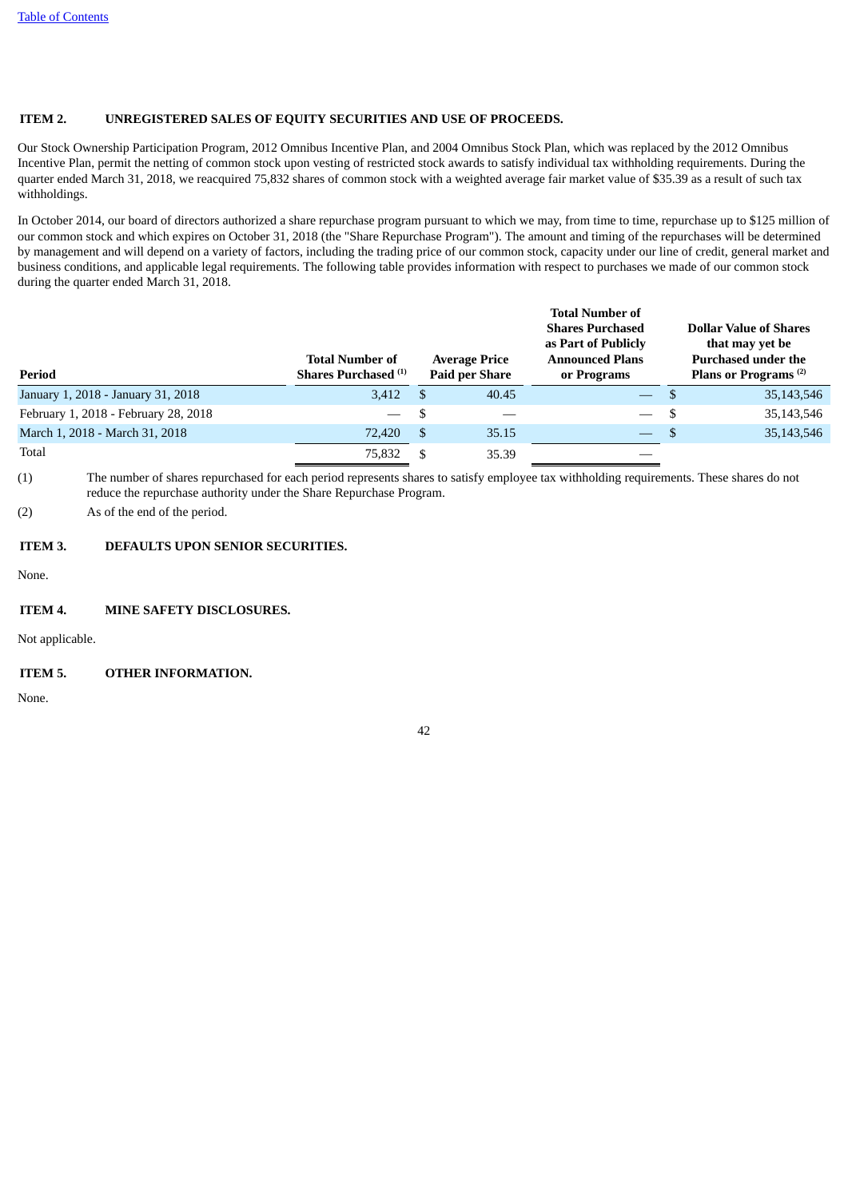## <span id="page-43-0"></span>**ITEM 2. UNREGISTERED SALES OF EQUITY SECURITIES AND USE OF PROCEEDS.**

Our Stock Ownership Participation Program, 2012 Omnibus Incentive Plan, and 2004 Omnibus Stock Plan, which was replaced by the 2012 Omnibus Incentive Plan, permit the netting of common stock upon vesting of restricted stock awards to satisfy individual tax withholding requirements. During the quarter ended March 31, 2018, we reacquired 75,832 shares of common stock with a weighted average fair market value of \$35.39 as a result of such tax withholdings.

In October 2014, our board of directors authorized a share repurchase program pursuant to which we may, from time to time, repurchase up to \$125 million of our common stock and which expires on October 31, 2018 (the "Share Repurchase Program"). The amount and timing of the repurchases will be determined by management and will depend on a variety of factors, including the trading price of our common stock, capacity under our line of credit, general market and business conditions, and applicable legal requirements. The following table provides information with respect to purchases we made of our common stock during the quarter ended March 31, 2018.

| Period                               | <b>Total Number of</b><br><b>Shares Purchased</b> <sup>(1)</sup> |              | <b>Average Price</b><br><b>Paid per Share</b> | <b>Total Number of</b><br><b>Shares Purchased</b><br>as Part of Publicly<br><b>Announced Plans</b><br>or Programs |      | <b>Dollar Value of Shares</b><br>that may yet be<br>Purchased under the<br>Plans or Programs <sup>(2)</sup> |
|--------------------------------------|------------------------------------------------------------------|--------------|-----------------------------------------------|-------------------------------------------------------------------------------------------------------------------|------|-------------------------------------------------------------------------------------------------------------|
| January 1, 2018 - January 31, 2018   | 3,412                                                            | - S          | 40.45                                         |                                                                                                                   |      | 35,143,546                                                                                                  |
| February 1, 2018 - February 28, 2018 | $\overline{\phantom{0}}$                                         |              |                                               | $\overline{\phantom{0}}$                                                                                          | - \$ | 35,143,546                                                                                                  |
| March 1, 2018 - March 31, 2018       | 72,420                                                           | <sup>S</sup> | 35.15                                         | $-$ \$                                                                                                            |      | 35,143,546                                                                                                  |
| Total                                | 75,832                                                           |              | 35.39                                         |                                                                                                                   |      |                                                                                                             |

(1) The number of shares repurchased for each period represents shares to satisfy employee tax withholding requirements. These shares do not reduce the repurchase authority under the Share Repurchase Program.

<span id="page-43-1"></span>(2) As of the end of the period.

## **ITEM 3. DEFAULTS UPON SENIOR SECURITIES.**

<span id="page-43-2"></span>None.

#### **ITEM 4. MINE SAFETY DISCLOSURES.**

<span id="page-43-3"></span>Not applicable.

#### **ITEM 5. OTHER INFORMATION.**

None.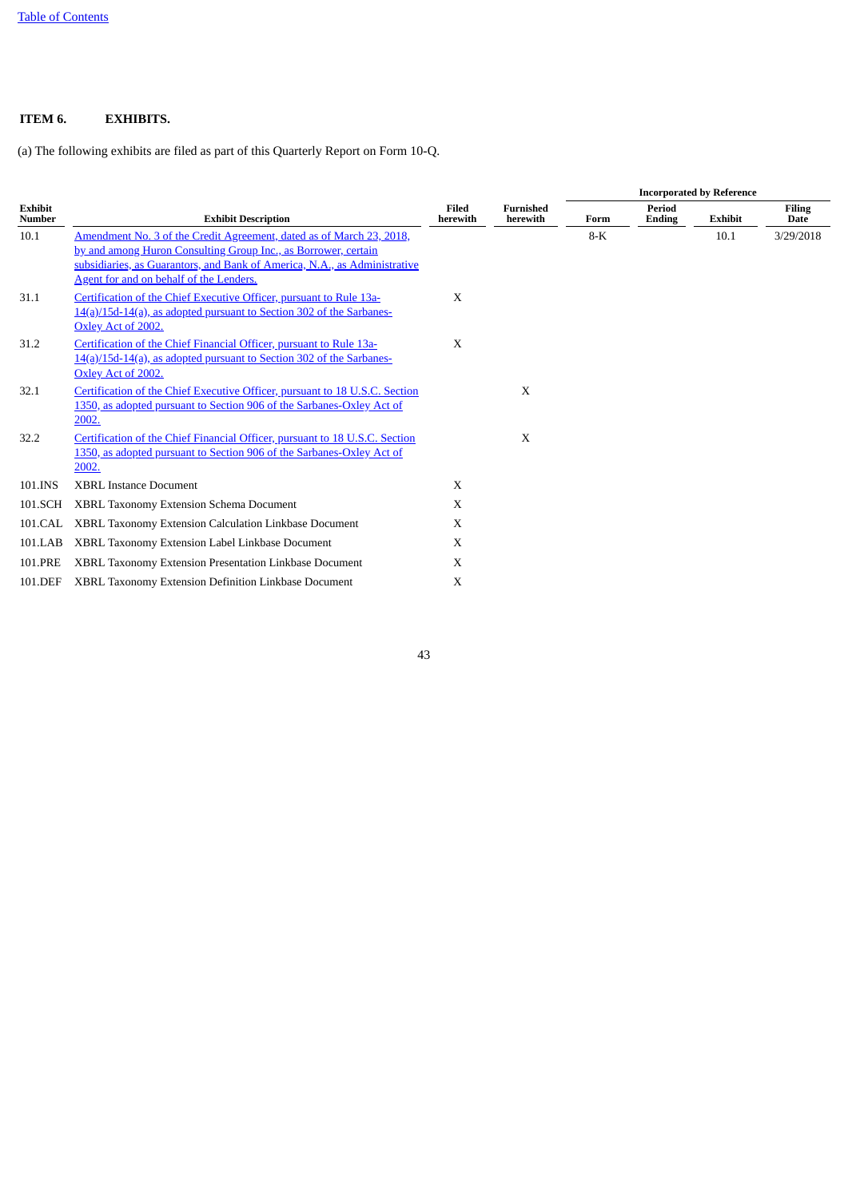# <span id="page-44-0"></span>**ITEM 6. EXHIBITS.**

(a) The following exhibits are filed as part of this Quarterly Report on Form 10-Q.

|                          |                                                                                                                                                                                                                                                                |                          |                              | <b>Incorporated by Reference</b> |                         |                |                              |
|--------------------------|----------------------------------------------------------------------------------------------------------------------------------------------------------------------------------------------------------------------------------------------------------------|--------------------------|------------------------------|----------------------------------|-------------------------|----------------|------------------------------|
| Exhibit<br><b>Number</b> | <b>Exhibit Description</b>                                                                                                                                                                                                                                     | <b>Filed</b><br>herewith | <b>Furnished</b><br>herewith | Form                             | Period<br><b>Ending</b> | <b>Exhibit</b> | <b>Filing</b><br><b>Date</b> |
| 10.1                     | Amendment No. 3 of the Credit Agreement, dated as of March 23, 2018,<br>by and among Huron Consulting Group Inc., as Borrower, certain<br>subsidiaries, as Guarantors, and Bank of America, N.A., as Administrative<br>Agent for and on behalf of the Lenders. |                          |                              | $8-K$                            |                         | 10.1           | 3/29/2018                    |
| 31.1                     | Certification of the Chief Executive Officer, pursuant to Rule 13a-<br>14(a)/15d-14(a), as adopted pursuant to Section 302 of the Sarbanes-<br>Oxley Act of 2002.                                                                                              | X                        |                              |                                  |                         |                |                              |
| 31.2                     | Certification of the Chief Financial Officer, pursuant to Rule 13a-<br>14(a)/15d-14(a), as adopted pursuant to Section 302 of the Sarbanes-<br>Oxley Act of 2002.                                                                                              | X                        |                              |                                  |                         |                |                              |
| 32.1                     | Certification of the Chief Executive Officer, pursuant to 18 U.S.C. Section<br>1350, as adopted pursuant to Section 906 of the Sarbanes-Oxley Act of<br>2002.                                                                                                  |                          | X                            |                                  |                         |                |                              |
| 32.2                     | Certification of the Chief Financial Officer, pursuant to 18 U.S.C. Section<br>1350, as adopted pursuant to Section 906 of the Sarbanes-Oxley Act of<br>2002.                                                                                                  |                          | X                            |                                  |                         |                |                              |
| 101.INS                  | <b>XBRL Instance Document</b>                                                                                                                                                                                                                                  | X                        |                              |                                  |                         |                |                              |
| 101.SCH                  | XBRL Taxonomy Extension Schema Document                                                                                                                                                                                                                        | X                        |                              |                                  |                         |                |                              |
| 101.CAL                  | XBRL Taxonomy Extension Calculation Linkbase Document                                                                                                                                                                                                          | $\mathbf{x}$             |                              |                                  |                         |                |                              |
| 101.LAB                  | XBRL Taxonomy Extension Label Linkbase Document                                                                                                                                                                                                                | X                        |                              |                                  |                         |                |                              |
| 101.PRE                  | XBRL Taxonomy Extension Presentation Linkbase Document                                                                                                                                                                                                         | X                        |                              |                                  |                         |                |                              |
| 101.DEF                  | XBRL Taxonomy Extension Definition Linkbase Document                                                                                                                                                                                                           | X                        |                              |                                  |                         |                |                              |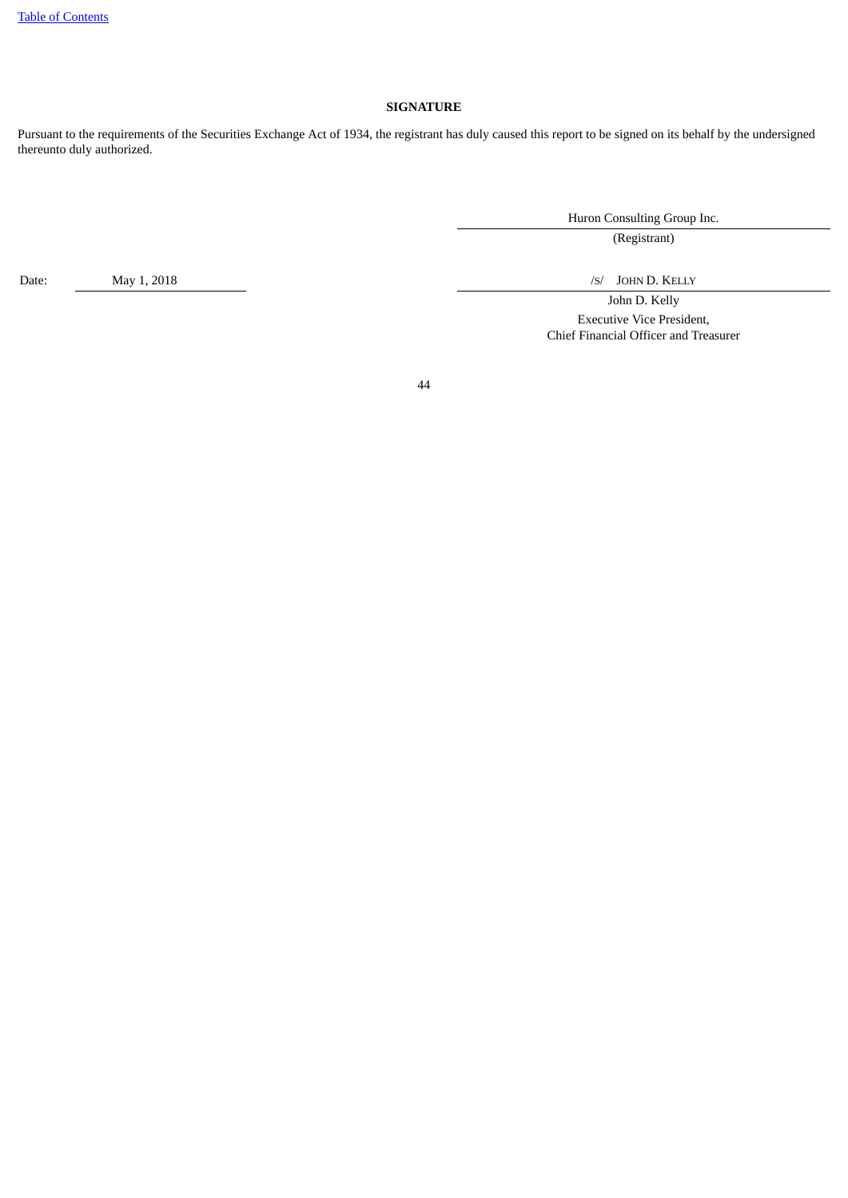## **SIGNATURE**

<span id="page-45-0"></span>Pursuant to the requirements of the Securities Exchange Act of 1934, the registrant has duly caused this report to be signed on its behalf by the undersigned thereunto duly authorized.

Huron Consulting Group Inc.

(Registrant)

Date: May 1, 2018 May 1, 2018

John D. Kelly Executive Vice President, Chief Financial Officer and Treasurer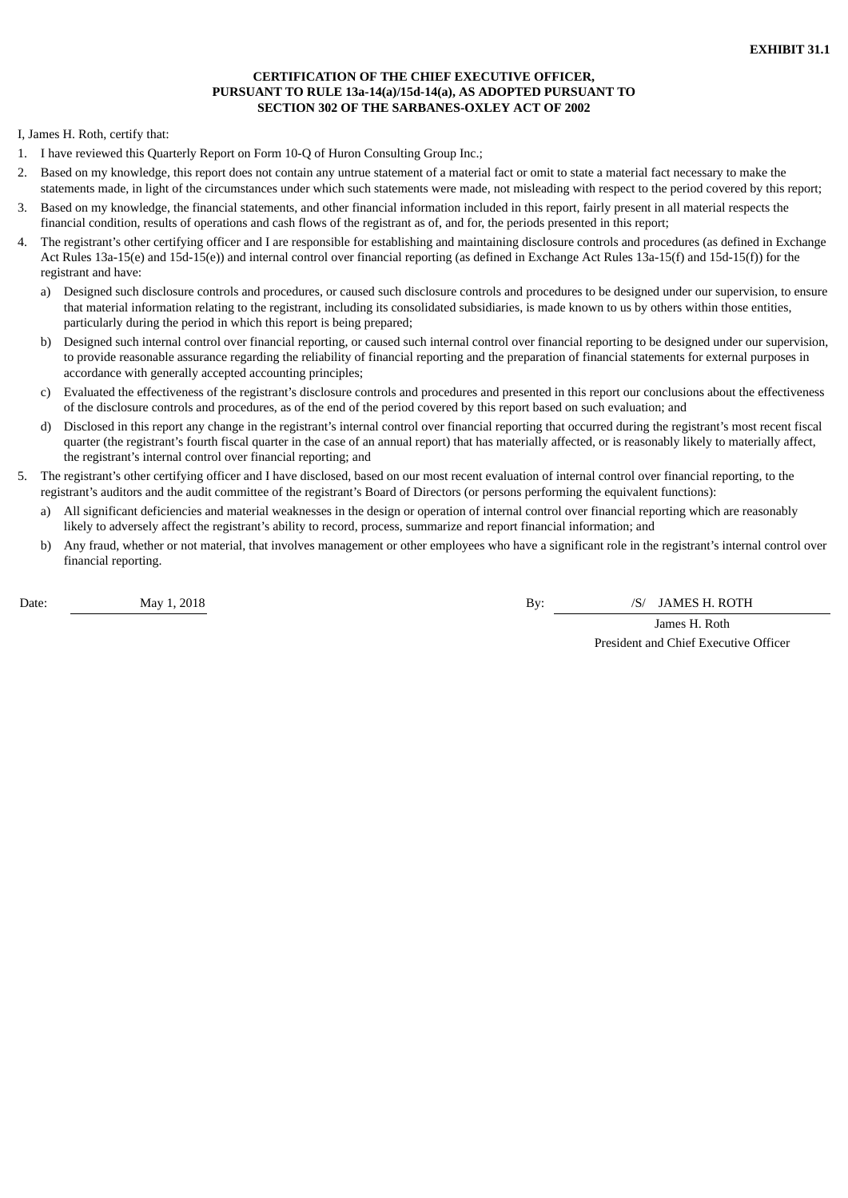## **CERTIFICATION OF THE CHIEF EXECUTIVE OFFICER, PURSUANT TO RULE 13a-14(a)/15d-14(a), AS ADOPTED PURSUANT TO SECTION 302 OF THE SARBANES-OXLEY ACT OF 2002**

I, James H. Roth, certify that:

- 1. I have reviewed this Quarterly Report on Form 10-Q of Huron Consulting Group Inc.;
- 2. Based on my knowledge, this report does not contain any untrue statement of a material fact or omit to state a material fact necessary to make the statements made, in light of the circumstances under which such statements were made, not misleading with respect to the period covered by this report;
- 3. Based on my knowledge, the financial statements, and other financial information included in this report, fairly present in all material respects the financial condition, results of operations and cash flows of the registrant as of, and for, the periods presented in this report;
- 4. The registrant's other certifying officer and I are responsible for establishing and maintaining disclosure controls and procedures (as defined in Exchange Act Rules 13a-15(e) and 15d-15(e)) and internal control over financial reporting (as defined in Exchange Act Rules 13a-15(f) and 15d-15(f)) for the registrant and have:
	- a) Designed such disclosure controls and procedures, or caused such disclosure controls and procedures to be designed under our supervision, to ensure that material information relating to the registrant, including its consolidated subsidiaries, is made known to us by others within those entities, particularly during the period in which this report is being prepared;
	- b) Designed such internal control over financial reporting, or caused such internal control over financial reporting to be designed under our supervision, to provide reasonable assurance regarding the reliability of financial reporting and the preparation of financial statements for external purposes in accordance with generally accepted accounting principles;
	- c) Evaluated the effectiveness of the registrant's disclosure controls and procedures and presented in this report our conclusions about the effectiveness of the disclosure controls and procedures, as of the end of the period covered by this report based on such evaluation; and
	- d) Disclosed in this report any change in the registrant's internal control over financial reporting that occurred during the registrant's most recent fiscal quarter (the registrant's fourth fiscal quarter in the case of an annual report) that has materially affected, or is reasonably likely to materially affect, the registrant's internal control over financial reporting; and
- 5. The registrant's other certifying officer and I have disclosed, based on our most recent evaluation of internal control over financial reporting, to the registrant's auditors and the audit committee of the registrant's Board of Directors (or persons performing the equivalent functions):
	- a) All significant deficiencies and material weaknesses in the design or operation of internal control over financial reporting which are reasonably likely to adversely affect the registrant's ability to record, process, summarize and report financial information; and
	- b) Any fraud, whether or not material, that involves management or other employees who have a significant role in the registrant's internal control over financial reporting.

Date: May 1, 2018 **By:** /S/ JAMES H. ROTH

James H. Roth President and Chief Executive Officer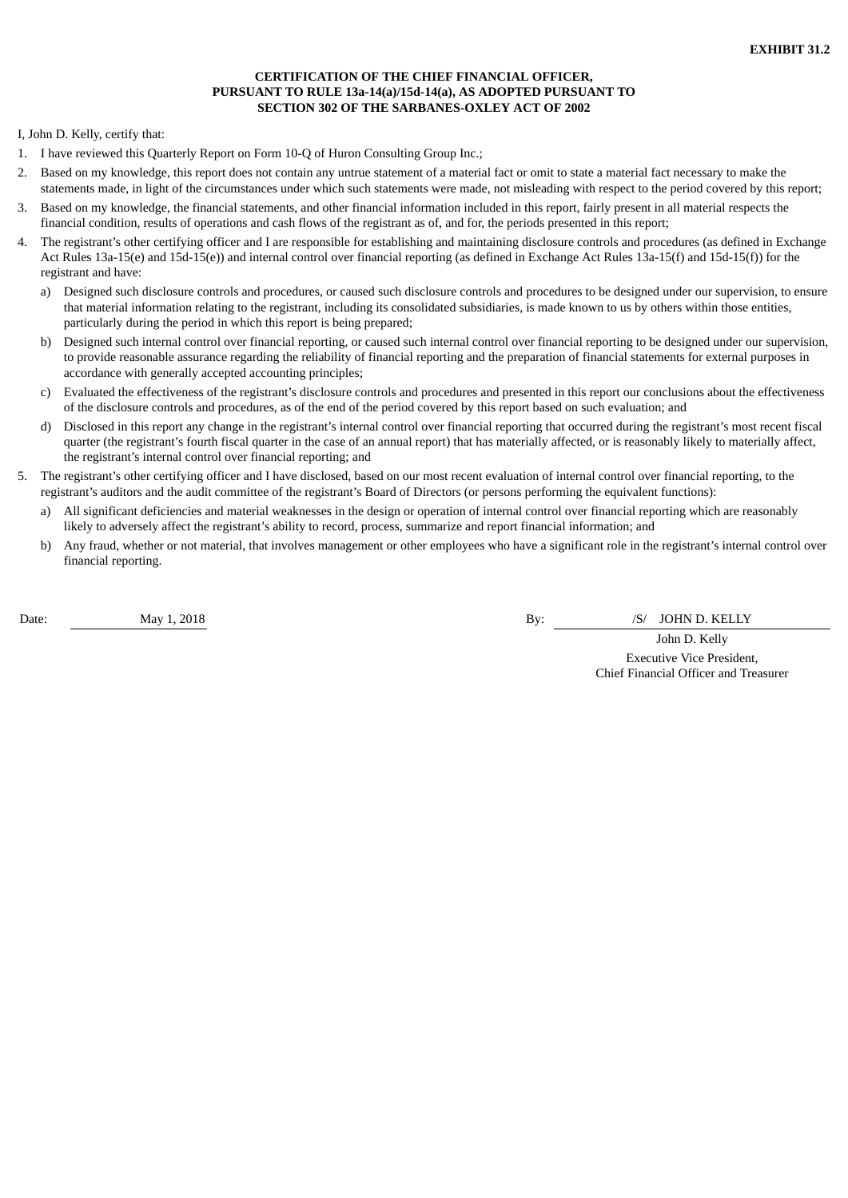## **CERTIFICATION OF THE CHIEF FINANCIAL OFFICER, PURSUANT TO RULE 13a-14(a)/15d-14(a), AS ADOPTED PURSUANT TO SECTION 302 OF THE SARBANES-OXLEY ACT OF 2002**

I, John D. Kelly, certify that:

- 1. I have reviewed this Quarterly Report on Form 10-Q of Huron Consulting Group Inc.;
- 2. Based on my knowledge, this report does not contain any untrue statement of a material fact or omit to state a material fact necessary to make the statements made, in light of the circumstances under which such statements were made, not misleading with respect to the period covered by this report;
- 3. Based on my knowledge, the financial statements, and other financial information included in this report, fairly present in all material respects the financial condition, results of operations and cash flows of the registrant as of, and for, the periods presented in this report;
- 4. The registrant's other certifying officer and I are responsible for establishing and maintaining disclosure controls and procedures (as defined in Exchange Act Rules 13a-15(e) and 15d-15(e)) and internal control over financial reporting (as defined in Exchange Act Rules 13a-15(f) and 15d-15(f)) for the registrant and have:
	- a) Designed such disclosure controls and procedures, or caused such disclosure controls and procedures to be designed under our supervision, to ensure that material information relating to the registrant, including its consolidated subsidiaries, is made known to us by others within those entities, particularly during the period in which this report is being prepared;
	- b) Designed such internal control over financial reporting, or caused such internal control over financial reporting to be designed under our supervision, to provide reasonable assurance regarding the reliability of financial reporting and the preparation of financial statements for external purposes in accordance with generally accepted accounting principles;
	- c) Evaluated the effectiveness of the registrant's disclosure controls and procedures and presented in this report our conclusions about the effectiveness of the disclosure controls and procedures, as of the end of the period covered by this report based on such evaluation; and
	- d) Disclosed in this report any change in the registrant's internal control over financial reporting that occurred during the registrant's most recent fiscal quarter (the registrant's fourth fiscal quarter in the case of an annual report) that has materially affected, or is reasonably likely to materially affect, the registrant's internal control over financial reporting; and
- 5. The registrant's other certifying officer and I have disclosed, based on our most recent evaluation of internal control over financial reporting, to the registrant's auditors and the audit committee of the registrant's Board of Directors (or persons performing the equivalent functions):
	- a) All significant deficiencies and material weaknesses in the design or operation of internal control over financial reporting which are reasonably likely to adversely affect the registrant's ability to record, process, summarize and report financial information; and
	- b) Any fraud, whether or not material, that involves management or other employees who have a significant role in the registrant's internal control over financial reporting.

Date: May 1, 2018 By: /S/ JOHN D. KELLY

John D. Kelly Executive Vice President, Chief Financial Officer and Treasurer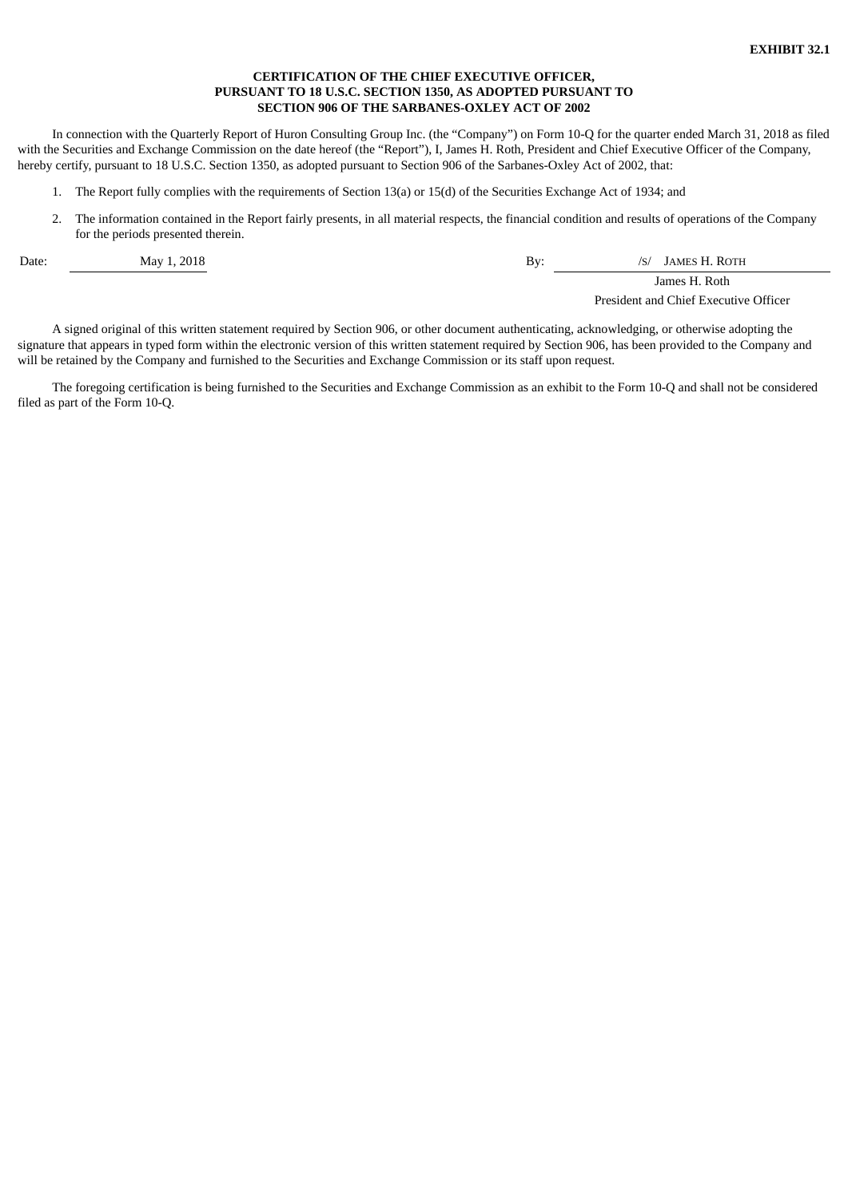## **CERTIFICATION OF THE CHIEF EXECUTIVE OFFICER, PURSUANT TO 18 U.S.C. SECTION 1350, AS ADOPTED PURSUANT TO SECTION 906 OF THE SARBANES-OXLEY ACT OF 2002**

In connection with the Quarterly Report of Huron Consulting Group Inc. (the "Company") on Form 10-Q for the quarter ended March 31, 2018 as filed with the Securities and Exchange Commission on the date hereof (the "Report"), I, James H. Roth, President and Chief Executive Officer of the Company, hereby certify, pursuant to 18 U.S.C. Section 1350, as adopted pursuant to Section 906 of the Sarbanes-Oxley Act of 2002, that:

- 1. The Report fully complies with the requirements of Section 13(a) or 15(d) of the Securities Exchange Act of 1934; and
- 2. The information contained in the Report fairly presents, in all material respects, the financial condition and results of operations of the Company for the periods presented therein.

Date: May 1, 2018 May 1, 2018

James H. Roth

President and Chief Executive Officer

A signed original of this written statement required by Section 906, or other document authenticating, acknowledging, or otherwise adopting the signature that appears in typed form within the electronic version of this written statement required by Section 906, has been provided to the Company and will be retained by the Company and furnished to the Securities and Exchange Commission or its staff upon request.

The foregoing certification is being furnished to the Securities and Exchange Commission as an exhibit to the Form 10-Q and shall not be considered filed as part of the Form 10-Q.